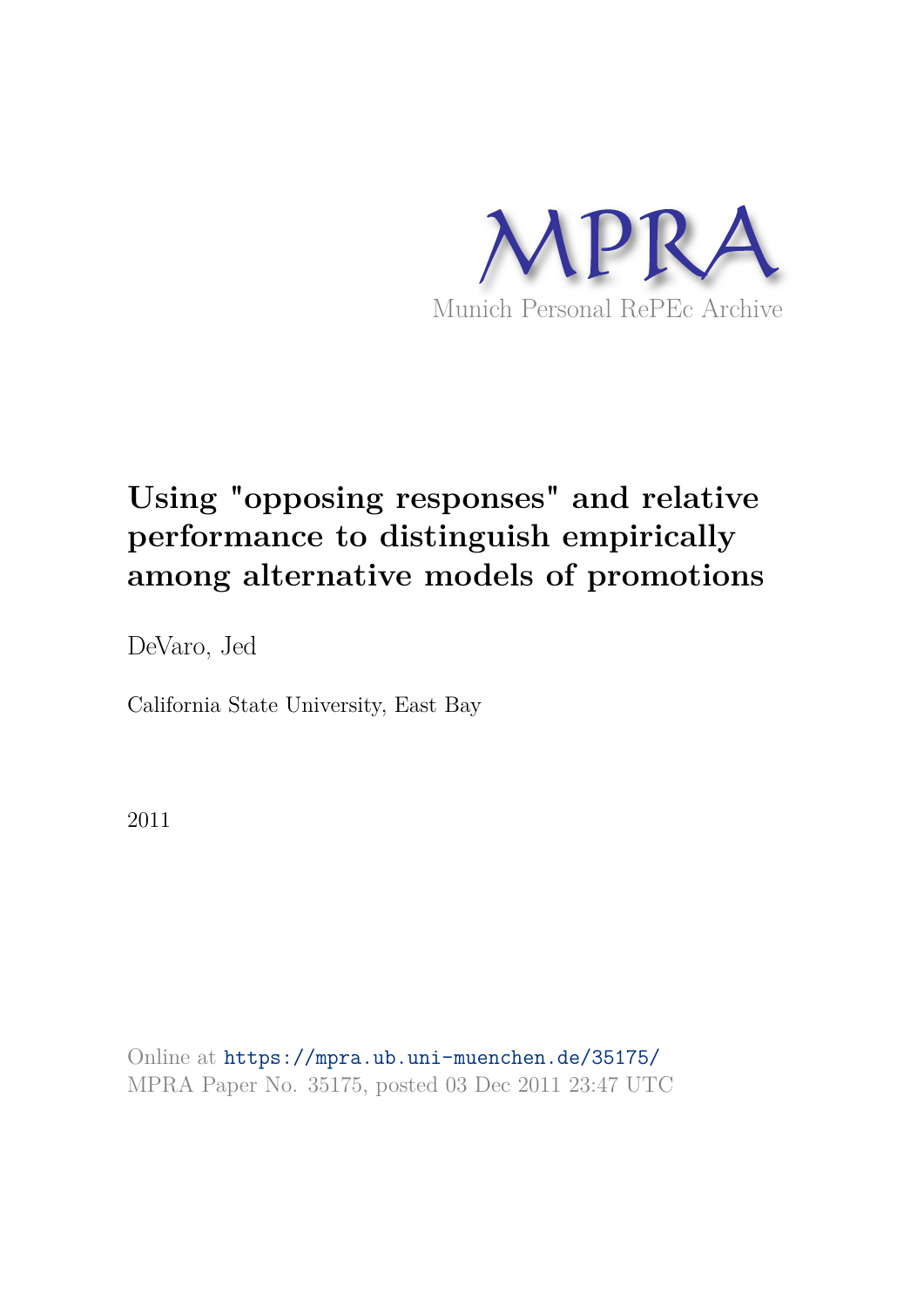

# **Using "opposing responses" and relative performance to distinguish empirically among alternative models of promotions**

DeVaro, Jed

California State University, East Bay

2011

Online at https://mpra.ub.uni-muenchen.de/35175/ MPRA Paper No. 35175, posted 03 Dec 2011 23:47 UTC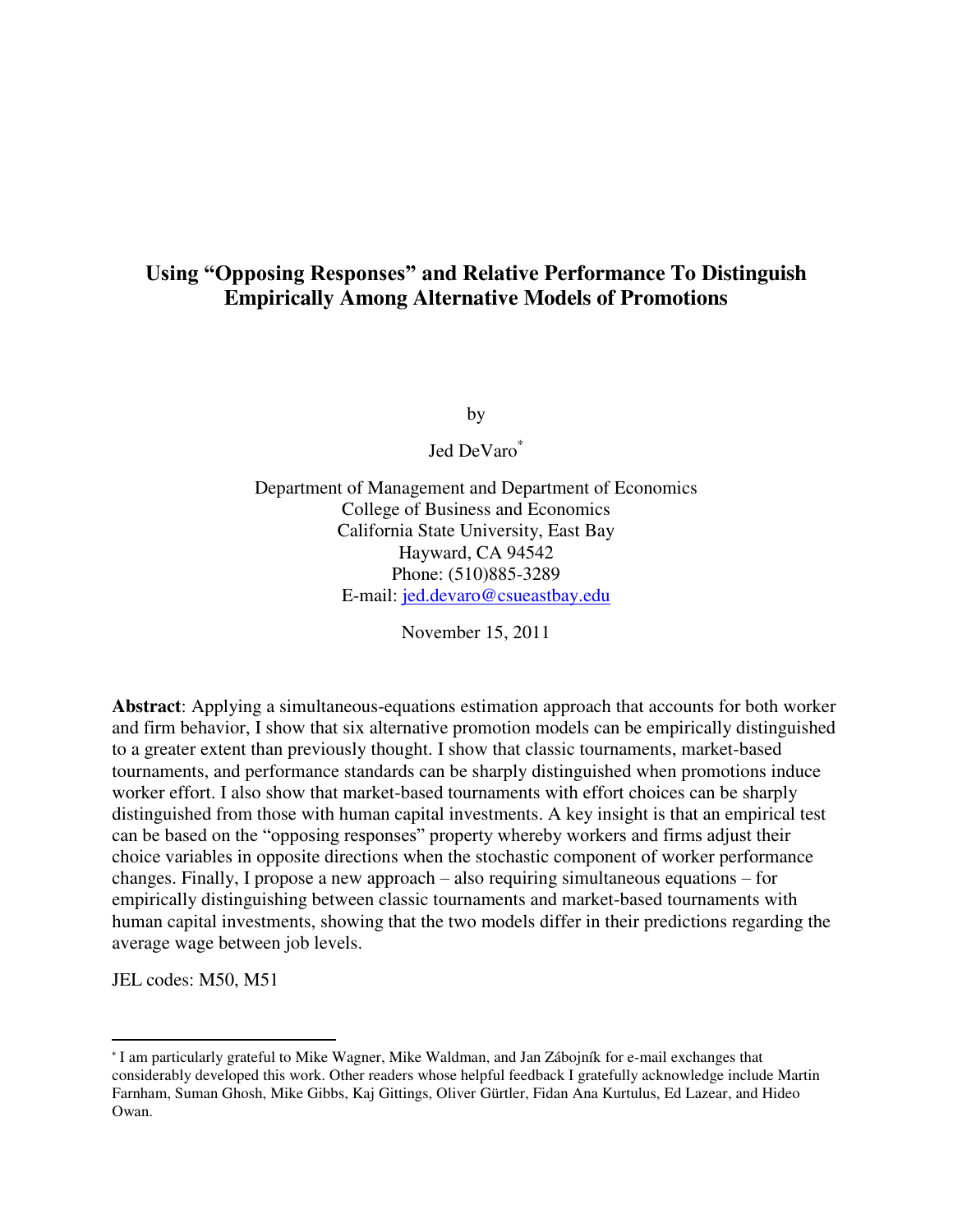# **Using "Opposing Responses" and Relative Performance To Distinguish Empirically Among Alternative Models of Promotions**

by

Jed DeVaro\*

Department of Management and Department of Economics College of Business and Economics California State University, East Bay Hayward, CA 94542 Phone: (510)885-3289 E-mail: [jed.devaro@csueastbay.edu](mailto:jed.devaro@csueastbay.edu)

November 15, 2011

**Abstract**: Applying a simultaneous-equations estimation approach that accounts for both worker and firm behavior, I show that six alternative promotion models can be empirically distinguished to a greater extent than previously thought. I show that classic tournaments, market-based tournaments, and performance standards can be sharply distinguished when promotions induce worker effort. I also show that market-based tournaments with effort choices can be sharply distinguished from those with human capital investments. A key insight is that an empirical test can be based on the "opposing responses" property whereby workers and firms adjust their choice variables in opposite directions when the stochastic component of worker performance changes. Finally, I propose a new approach – also requiring simultaneous equations – for empirically distinguishing between classic tournaments and market-based tournaments with human capital investments, showing that the two models differ in their predictions regarding the average wage between job levels.

JEL codes: M50, M51

l

<sup>\*</sup> I am particularly grateful to Mike Wagner, Mike Waldman, and Jan Zábojník for e-mail exchanges that considerably developed this work. Other readers whose helpful feedback I gratefully acknowledge include Martin Farnham, Suman Ghosh, Mike Gibbs, Kaj Gittings, Oliver Gürtler, Fidan Ana Kurtulus, Ed Lazear, and Hideo Owan.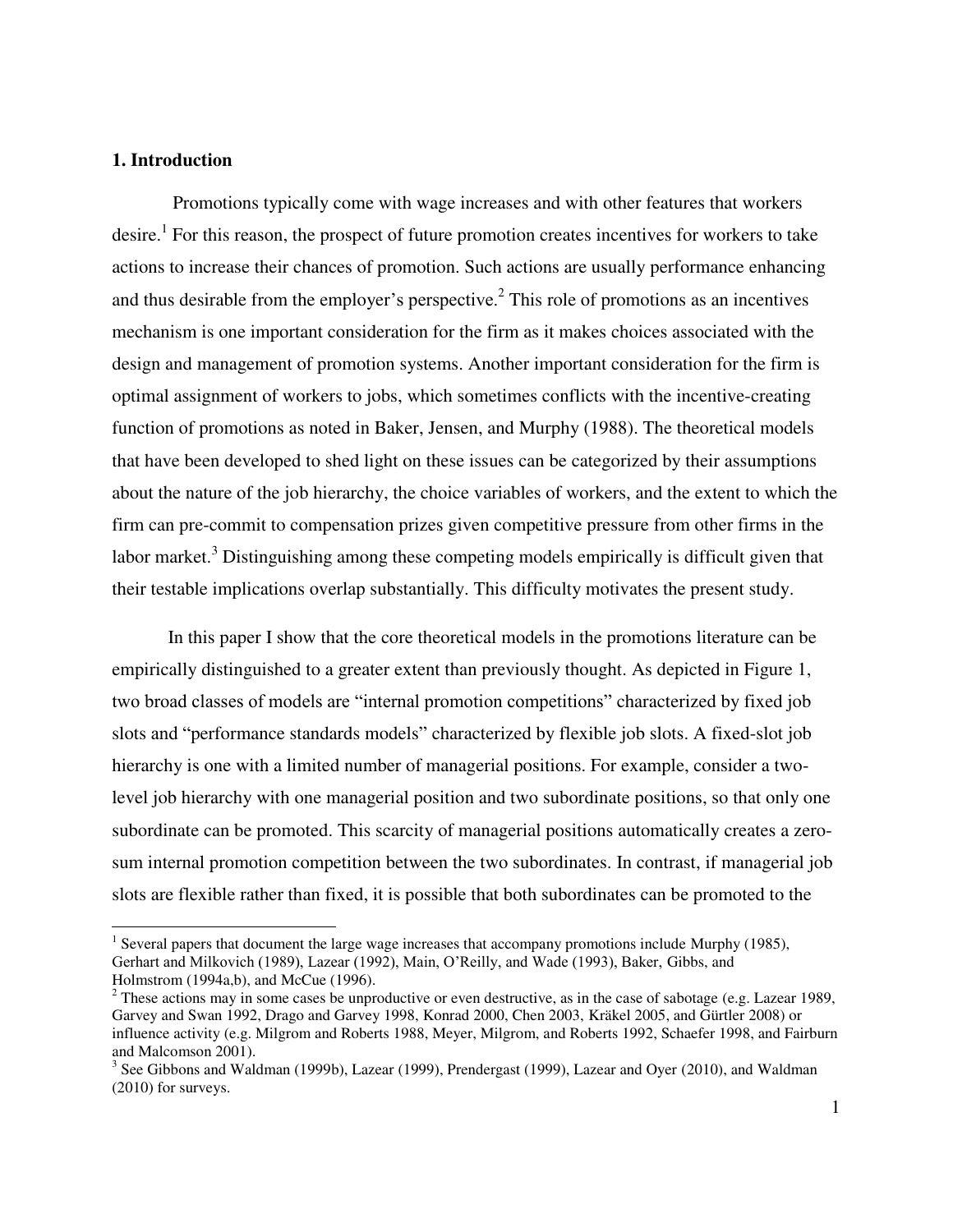# **1. Introduction**

 $\overline{a}$ 

 Promotions typically come with wage increases and with other features that workers desire.<sup>1</sup> For this reason, the prospect of future promotion creates incentives for workers to take actions to increase their chances of promotion. Such actions are usually performance enhancing and thus desirable from the employer's perspective.<sup>2</sup> This role of promotions as an incentives mechanism is one important consideration for the firm as it makes choices associated with the design and management of promotion systems. Another important consideration for the firm is optimal assignment of workers to jobs, which sometimes conflicts with the incentive-creating function of promotions as noted in Baker, Jensen, and Murphy (1988). The theoretical models that have been developed to shed light on these issues can be categorized by their assumptions about the nature of the job hierarchy, the choice variables of workers, and the extent to which the firm can pre-commit to compensation prizes given competitive pressure from other firms in the labor market.<sup>3</sup> Distinguishing among these competing models empirically is difficult given that their testable implications overlap substantially. This difficulty motivates the present study.

In this paper I show that the core theoretical models in the promotions literature can be empirically distinguished to a greater extent than previously thought. As depicted in Figure 1, two broad classes of models are "internal promotion competitions" characterized by fixed job slots and "performance standards models" characterized by flexible job slots. A fixed-slot job hierarchy is one with a limited number of managerial positions. For example, consider a twolevel job hierarchy with one managerial position and two subordinate positions, so that only one subordinate can be promoted. This scarcity of managerial positions automatically creates a zerosum internal promotion competition between the two subordinates. In contrast, if managerial job slots are flexible rather than fixed, it is possible that both subordinates can be promoted to the

<sup>&</sup>lt;sup>1</sup> Several papers that document the large wage increases that accompany promotions include Murphy (1985), Gerhart and Milkovich (1989), Lazear (1992), Main, O'Reilly, and Wade (1993), Baker, Gibbs, and Holmstrom (1994a,b), and McCue (1996).

 $2$  These actions may in some cases be unproductive or even destructive, as in the case of sabotage (e.g. Lazear 1989, Garvey and Swan 1992, Drago and Garvey 1998, Konrad 2000, Chen 2003, Kräkel 2005, and Gürtler 2008) or influence activity (e.g. Milgrom and Roberts 1988, Meyer, Milgrom, and Roberts 1992, Schaefer 1998, and Fairburn and Malcomson 2001).

 $3$  See Gibbons and Waldman (1999b), Lazear (1999), Prendergast (1999), Lazear and Oyer (2010), and Waldman (2010) for surveys.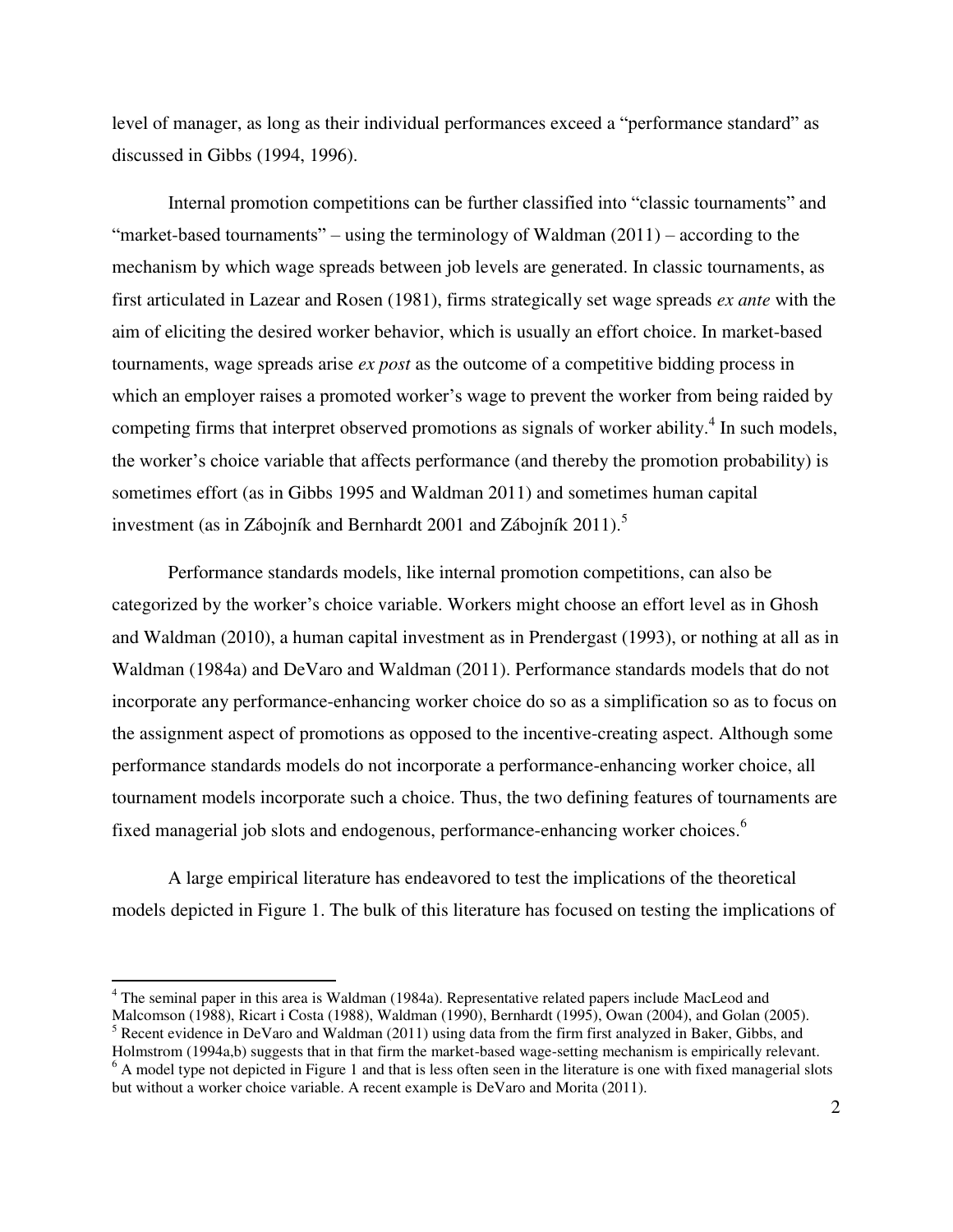level of manager, as long as their individual performances exceed a "performance standard" as discussed in Gibbs (1994, 1996).

Internal promotion competitions can be further classified into "classic tournaments" and "market-based tournaments" – using the terminology of Waldman  $(2011)$  – according to the mechanism by which wage spreads between job levels are generated. In classic tournaments, as first articulated in Lazear and Rosen (1981), firms strategically set wage spreads *ex ante* with the aim of eliciting the desired worker behavior, which is usually an effort choice. In market-based tournaments, wage spreads arise *ex post* as the outcome of a competitive bidding process in which an employer raises a promoted worker's wage to prevent the worker from being raided by competing firms that interpret observed promotions as signals of worker ability.<sup>4</sup> In such models, the worker's choice variable that affects performance (and thereby the promotion probability) is sometimes effort (as in Gibbs 1995 and Waldman 2011) and sometimes human capital investment (as in Zábojník and Bernhardt 2001 and Zábojník 2011).<sup>5</sup>

Performance standards models, like internal promotion competitions, can also be categorized by the worker's choice variable. Workers might choose an effort level as in Ghosh and Waldman (2010), a human capital investment as in Prendergast (1993), or nothing at all as in Waldman (1984a) and DeVaro and Waldman (2011). Performance standards models that do not incorporate any performance-enhancing worker choice do so as a simplification so as to focus on the assignment aspect of promotions as opposed to the incentive-creating aspect. Although some performance standards models do not incorporate a performance-enhancing worker choice, all tournament models incorporate such a choice. Thus, the two defining features of tournaments are fixed managerial job slots and endogenous, performance-enhancing worker choices.<sup>6</sup>

 A large empirical literature has endeavored to test the implications of the theoretical models depicted in Figure 1. The bulk of this literature has focused on testing the implications of

 $\overline{a}$ 

<sup>&</sup>lt;sup>4</sup> The seminal paper in this area is Waldman (1984a). Representative related papers include MacLeod and Malcomson (1988), Ricart i Costa (1988), Waldman (1990), Bernhardt (1995), Owan (2004), and Golan (2005).

<sup>&</sup>lt;sup>5</sup> Recent evidence in DeVaro and Waldman (2011) using data from the firm first analyzed in Baker, Gibbs, and

Holmstrom (1994a,b) suggests that in that firm the market-based wage-setting mechanism is empirically relevant.  $6$  A model type not depicted in Figure 1 and that is less often seen in the literature is one with fixed managerial slots but without a worker choice variable. A recent example is DeVaro and Morita (2011).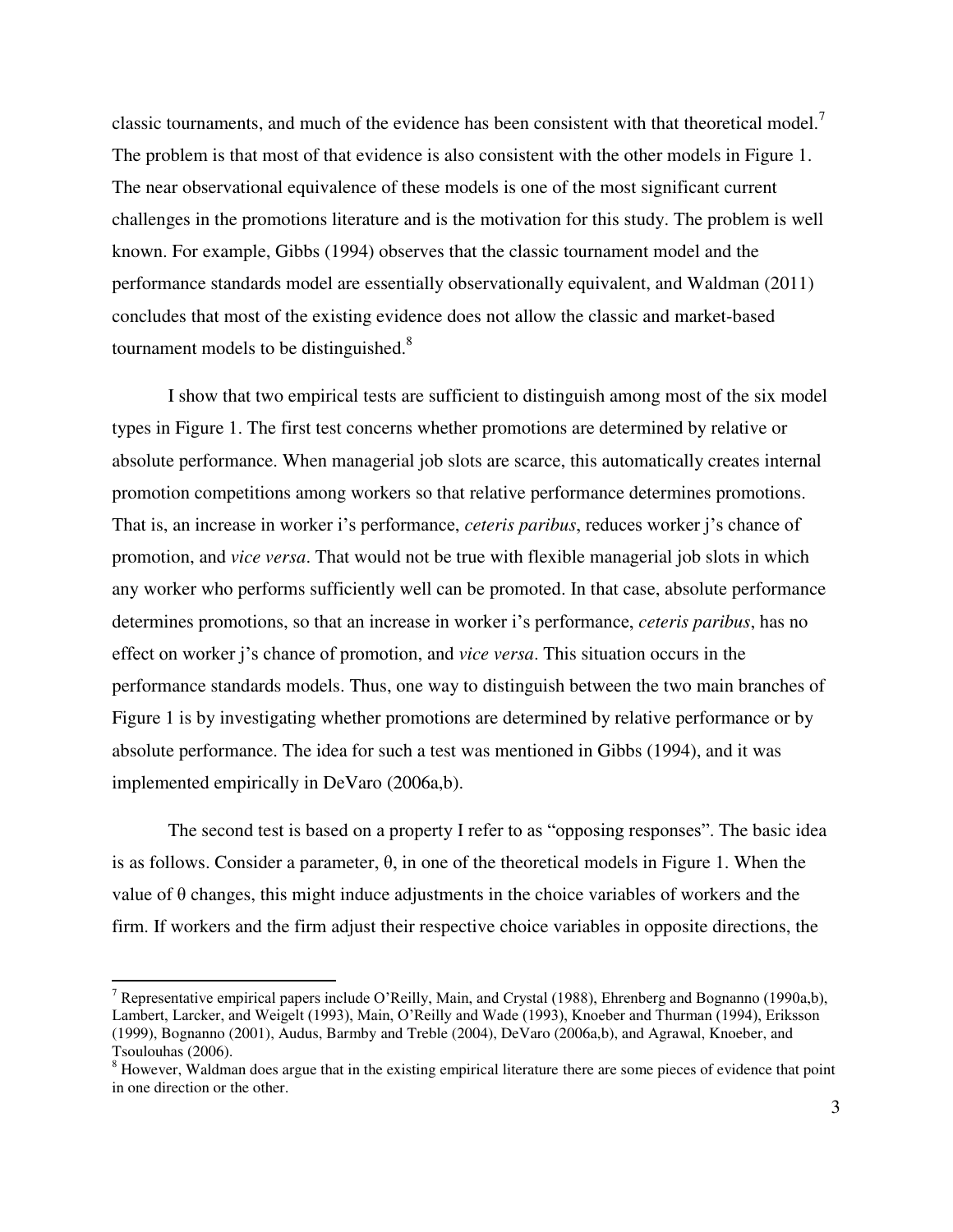classic tournaments, and much of the evidence has been consistent with that theoretical model.<sup>7</sup> The problem is that most of that evidence is also consistent with the other models in Figure 1. The near observational equivalence of these models is one of the most significant current challenges in the promotions literature and is the motivation for this study. The problem is well known. For example, Gibbs (1994) observes that the classic tournament model and the performance standards model are essentially observationally equivalent, and Waldman (2011) concludes that most of the existing evidence does not allow the classic and market-based tournament models to be distinguished.<sup>8</sup>

I show that two empirical tests are sufficient to distinguish among most of the six model types in Figure 1. The first test concerns whether promotions are determined by relative or absolute performance. When managerial job slots are scarce, this automatically creates internal promotion competitions among workers so that relative performance determines promotions. That is, an increase in worker i's performance, *ceteris paribus*, reduces worker j's chance of promotion, and *vice versa*. That would not be true with flexible managerial job slots in which any worker who performs sufficiently well can be promoted. In that case, absolute performance determines promotions, so that an increase in worker i's performance, *ceteris paribus*, has no effect on worker j's chance of promotion, and *vice versa*. This situation occurs in the performance standards models. Thus, one way to distinguish between the two main branches of Figure 1 is by investigating whether promotions are determined by relative performance or by absolute performance. The idea for such a test was mentioned in Gibbs (1994), and it was implemented empirically in DeVaro (2006a,b).

 The second test is based on a property I refer to as "opposing responses". The basic idea is as follows. Consider a parameter, θ, in one of the theoretical models in Figure 1. When the value of θ changes, this might induce adjustments in the choice variables of workers and the firm. If workers and the firm adjust their respective choice variables in opposite directions, the

 $\overline{a}$ 

<sup>&</sup>lt;sup>7</sup> Representative empirical papers include O'Reilly, Main, and Crystal (1988), Ehrenberg and Bognanno (1990a,b), Lambert, Larcker, and Weigelt (1993), Main, O'Reilly and Wade (1993), Knoeber and Thurman (1994), Eriksson (1999), Bognanno (2001), Audus, Barmby and Treble (2004), DeVaro (2006a,b), and Agrawal, Knoeber, and Tsoulouhas (2006).

 $8$  However, Waldman does argue that in the existing empirical literature there are some pieces of evidence that point in one direction or the other.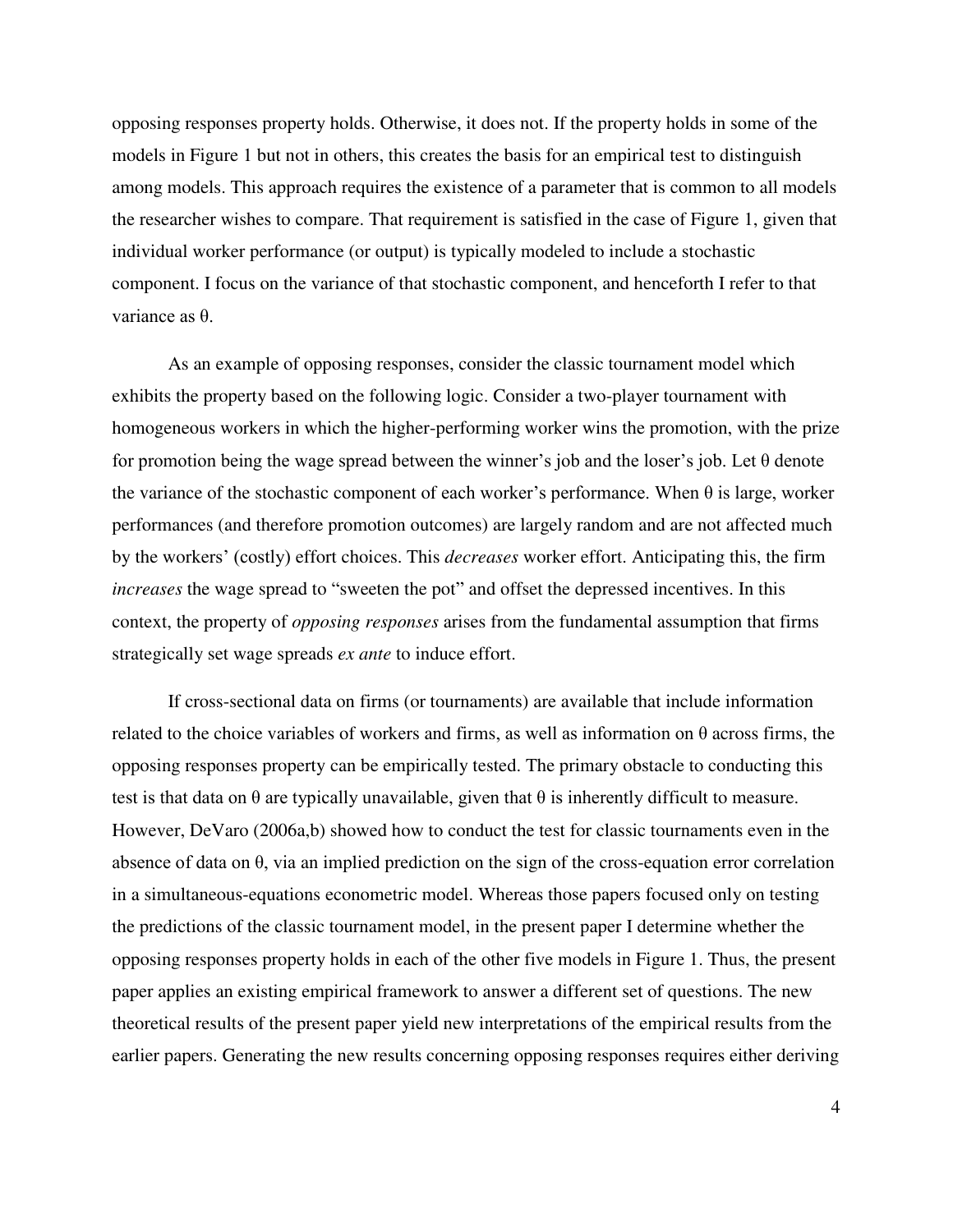opposing responses property holds. Otherwise, it does not. If the property holds in some of the models in Figure 1 but not in others, this creates the basis for an empirical test to distinguish among models. This approach requires the existence of a parameter that is common to all models the researcher wishes to compare. That requirement is satisfied in the case of Figure 1, given that individual worker performance (or output) is typically modeled to include a stochastic component. I focus on the variance of that stochastic component, and henceforth I refer to that variance as θ.

 As an example of opposing responses, consider the classic tournament model which exhibits the property based on the following logic. Consider a two-player tournament with homogeneous workers in which the higher-performing worker wins the promotion, with the prize for promotion being the wage spread between the winner's job and the loser's job. Let  $\theta$  denote the variance of the stochastic component of each worker's performance. When θ is large, worker performances (and therefore promotion outcomes) are largely random and are not affected much by the workers' (costly) effort choices. This *decreases* worker effort. Anticipating this, the firm *increases* the wage spread to "sweeten the pot" and offset the depressed incentives. In this context, the property of *opposing responses* arises from the fundamental assumption that firms strategically set wage spreads *ex ante* to induce effort.

If cross-sectional data on firms (or tournaments) are available that include information related to the choice variables of workers and firms, as well as information on  $\theta$  across firms, the opposing responses property can be empirically tested. The primary obstacle to conducting this test is that data on  $\theta$  are typically unavailable, given that  $\theta$  is inherently difficult to measure. However, DeVaro (2006a,b) showed how to conduct the test for classic tournaments even in the absence of data on θ, via an implied prediction on the sign of the cross-equation error correlation in a simultaneous-equations econometric model. Whereas those papers focused only on testing the predictions of the classic tournament model, in the present paper I determine whether the opposing responses property holds in each of the other five models in Figure 1. Thus, the present paper applies an existing empirical framework to answer a different set of questions. The new theoretical results of the present paper yield new interpretations of the empirical results from the earlier papers. Generating the new results concerning opposing responses requires either deriving

4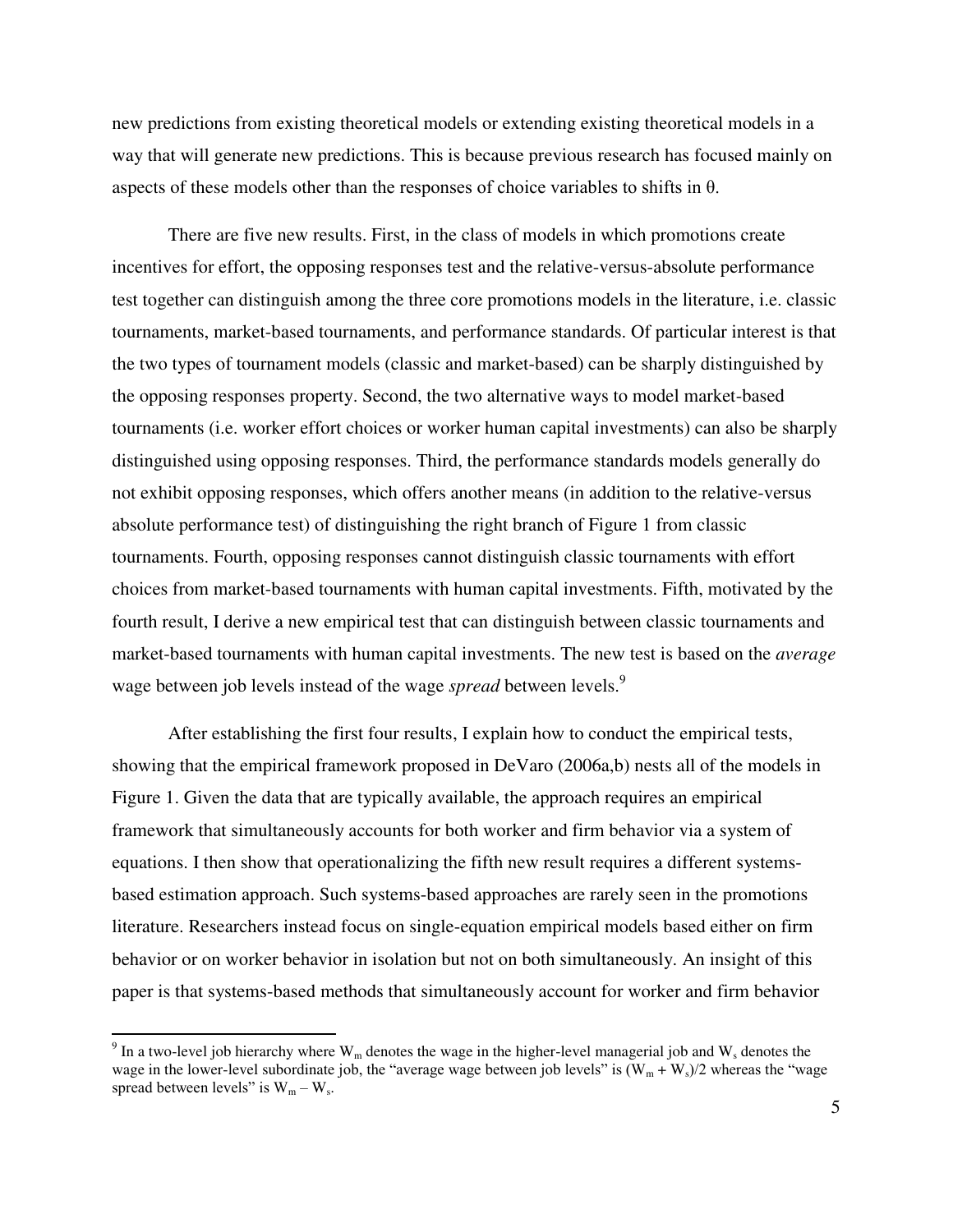new predictions from existing theoretical models or extending existing theoretical models in a way that will generate new predictions. This is because previous research has focused mainly on aspects of these models other than the responses of choice variables to shifts in  $\theta$ .

There are five new results. First, in the class of models in which promotions create incentives for effort, the opposing responses test and the relative-versus-absolute performance test together can distinguish among the three core promotions models in the literature, i.e. classic tournaments, market-based tournaments, and performance standards. Of particular interest is that the two types of tournament models (classic and market-based) can be sharply distinguished by the opposing responses property. Second, the two alternative ways to model market-based tournaments (i.e. worker effort choices or worker human capital investments) can also be sharply distinguished using opposing responses. Third, the performance standards models generally do not exhibit opposing responses, which offers another means (in addition to the relative-versus absolute performance test) of distinguishing the right branch of Figure 1 from classic tournaments. Fourth, opposing responses cannot distinguish classic tournaments with effort choices from market-based tournaments with human capital investments. Fifth, motivated by the fourth result, I derive a new empirical test that can distinguish between classic tournaments and market-based tournaments with human capital investments. The new test is based on the *average* wage between job levels instead of the wage *spread* between levels.<sup>9</sup>

After establishing the first four results, I explain how to conduct the empirical tests, showing that the empirical framework proposed in DeVaro (2006a,b) nests all of the models in Figure 1. Given the data that are typically available, the approach requires an empirical framework that simultaneously accounts for both worker and firm behavior via a system of equations. I then show that operationalizing the fifth new result requires a different systemsbased estimation approach. Such systems-based approaches are rarely seen in the promotions literature. Researchers instead focus on single-equation empirical models based either on firm behavior or on worker behavior in isolation but not on both simultaneously. An insight of this paper is that systems-based methods that simultaneously account for worker and firm behavior

 $\overline{a}$ 

<sup>&</sup>lt;sup>9</sup> In a two-level job hierarchy where  $W_m$  denotes the wage in the higher-level managerial job and  $W_s$  denotes the wage in the lower-level subordinate job, the "average wage between job levels" is  $(W_m + W_s)/2$  whereas the "wage spread between levels" is  $W_m - W_s$ .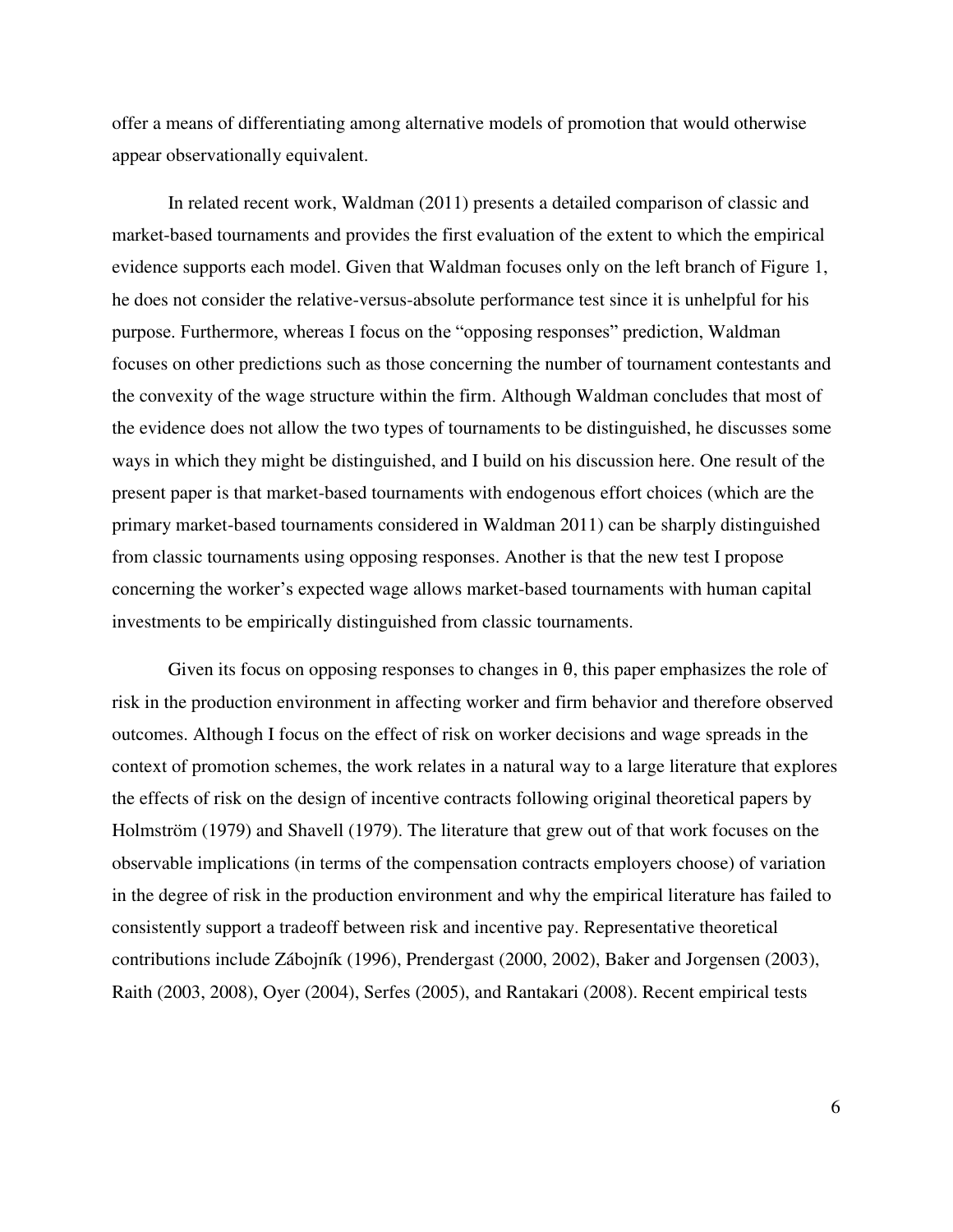offer a means of differentiating among alternative models of promotion that would otherwise appear observationally equivalent.

In related recent work, Waldman (2011) presents a detailed comparison of classic and market-based tournaments and provides the first evaluation of the extent to which the empirical evidence supports each model. Given that Waldman focuses only on the left branch of Figure 1, he does not consider the relative-versus-absolute performance test since it is unhelpful for his purpose. Furthermore, whereas I focus on the "opposing responses" prediction, Waldman focuses on other predictions such as those concerning the number of tournament contestants and the convexity of the wage structure within the firm. Although Waldman concludes that most of the evidence does not allow the two types of tournaments to be distinguished, he discusses some ways in which they might be distinguished, and I build on his discussion here. One result of the present paper is that market-based tournaments with endogenous effort choices (which are the primary market-based tournaments considered in Waldman 2011) can be sharply distinguished from classic tournaments using opposing responses. Another is that the new test I propose concerning the worker's expected wage allows market-based tournaments with human capital investments to be empirically distinguished from classic tournaments.

Given its focus on opposing responses to changes in  $\theta$ , this paper emphasizes the role of risk in the production environment in affecting worker and firm behavior and therefore observed outcomes. Although I focus on the effect of risk on worker decisions and wage spreads in the context of promotion schemes, the work relates in a natural way to a large literature that explores the effects of risk on the design of incentive contracts following original theoretical papers by Holmström (1979) and Shavell (1979). The literature that grew out of that work focuses on the observable implications (in terms of the compensation contracts employers choose) of variation in the degree of risk in the production environment and why the empirical literature has failed to consistently support a tradeoff between risk and incentive pay. Representative theoretical contributions include Zábojník (1996), Prendergast (2000, 2002), Baker and Jorgensen (2003), Raith (2003, 2008), Oyer (2004), Serfes (2005), and Rantakari (2008). Recent empirical tests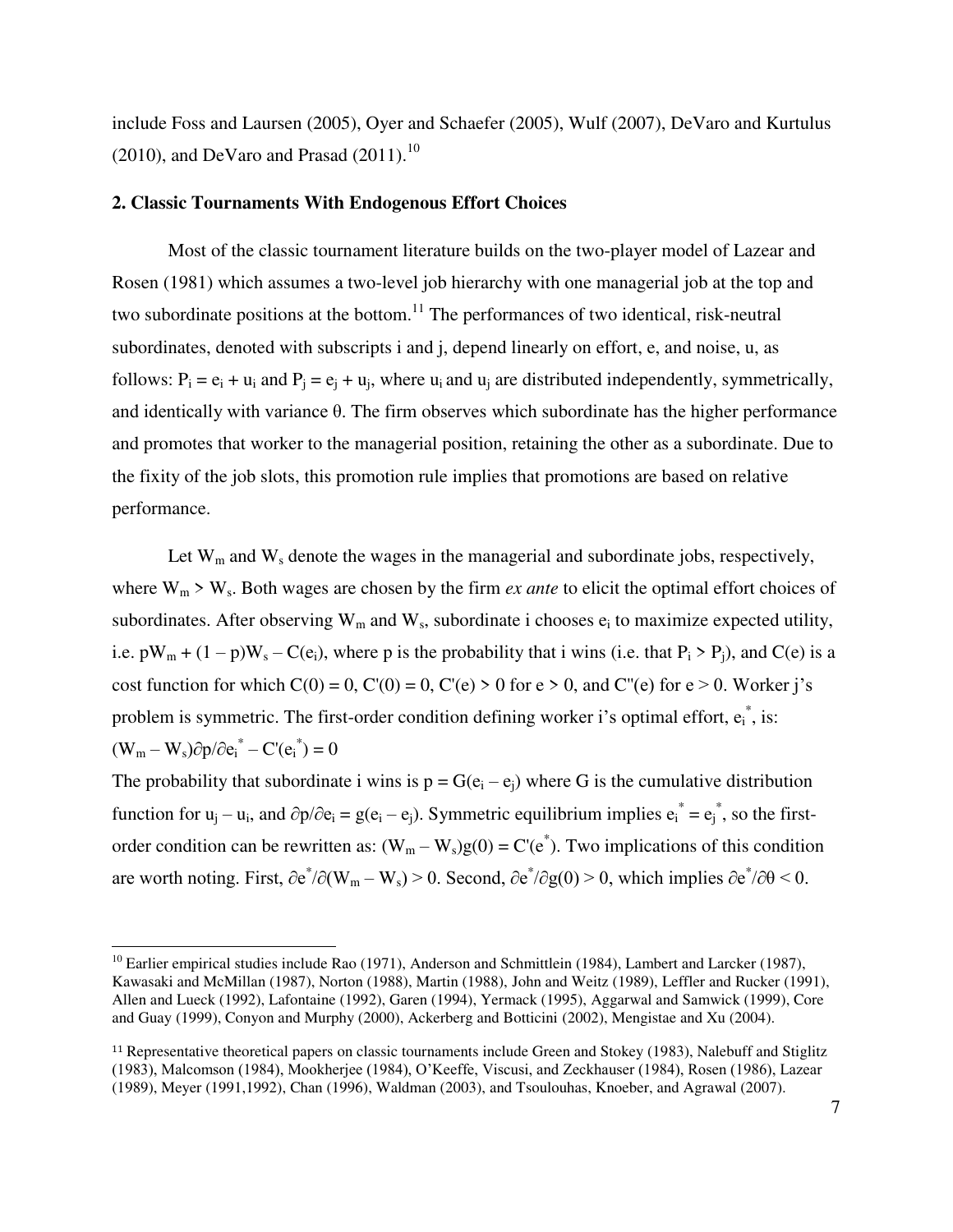include Foss and Laursen (2005), Oyer and Schaefer (2005), Wulf (2007), DeVaro and Kurtulus  $(2010)$ , and DeVaro and Prasad  $(2011)$ .<sup>10</sup>

# **2. Classic Tournaments With Endogenous Effort Choices**

Most of the classic tournament literature builds on the two-player model of Lazear and Rosen (1981) which assumes a two-level job hierarchy with one managerial job at the top and two subordinate positions at the bottom.<sup>11</sup> The performances of two identical, risk-neutral subordinates, denoted with subscripts i and j, depend linearly on effort, e, and noise, u, as follows:  $P_i = e_i + u_i$  and  $P_j = e_j + u_j$ , where  $u_i$  and  $u_j$  are distributed independently, symmetrically, and identically with variance  $\theta$ . The firm observes which subordinate has the higher performance and promotes that worker to the managerial position, retaining the other as a subordinate. Due to the fixity of the job slots, this promotion rule implies that promotions are based on relative performance.

Let  $W_m$  and  $W_s$  denote the wages in the managerial and subordinate jobs, respectively, where  $W_m$  >  $W_s$ . Both wages are chosen by the firm *ex ante* to elicit the optimal effort choices of subordinates. After observing  $W_m$  and  $W_s$ , subordinate i chooses  $e_i$  to maximize expected utility, i.e.  $pW_m + (1 - p)W_s - C(e_i)$ , where p is the probability that i wins (i.e. that  $P_i > P_j$ ), and  $C(e)$  is a cost function for which  $C(0) = 0$ ,  $C'(0) = 0$ ,  $C'(e) > 0$  for  $e > 0$ , and  $C''(e)$  for  $e > 0$ . Worker j's problem is symmetric. The first-order condition defining worker i's optimal effort,  $e_i^*$ , is:  $(W_m - W_s) \partial p / \partial e_i^* - C' (e_i^*) = 0$ 

The probability that subordinate i wins is  $p = G(e_i - e_i)$  where G is the cumulative distribution function for  $u_j - u_i$ , and  $\partial p/\partial e_i = g(e_i - e_j)$ . Symmetric equilibrium implies  $e_i^* = e_j^*$ , so the firstorder condition can be rewritten as:  $(W_m - W_s)g(0) = C'(e^*)$ . Two implications of this condition are worth noting. First,  $\partial e^*/\partial (W_m - W_s) > 0$ . Second,  $\partial e^*/\partial g(0) > 0$ , which implies  $\partial e^*/\partial \theta < 0$ .

 $\overline{a}$ 

<sup>&</sup>lt;sup>10</sup> Earlier empirical studies include Rao (1971), Anderson and Schmittlein (1984), Lambert and Larcker (1987), Kawasaki and McMillan (1987), Norton (1988), Martin (1988), John and Weitz (1989), Leffler and Rucker (1991), Allen and Lueck (1992), Lafontaine (1992), Garen (1994), Yermack (1995), Aggarwal and Samwick (1999), Core and Guay (1999), Conyon and Murphy (2000), Ackerberg and Botticini (2002), Mengistae and Xu (2004).

<sup>11</sup> Representative theoretical papers on classic tournaments include Green and Stokey (1983), Nalebuff and Stiglitz (1983), Malcomson (1984), Mookherjee (1984), O'Keeffe, Viscusi, and Zeckhauser (1984), Rosen (1986), Lazear (1989), Meyer (1991,1992), Chan (1996), Waldman (2003), and Tsoulouhas, Knoeber, and Agrawal (2007).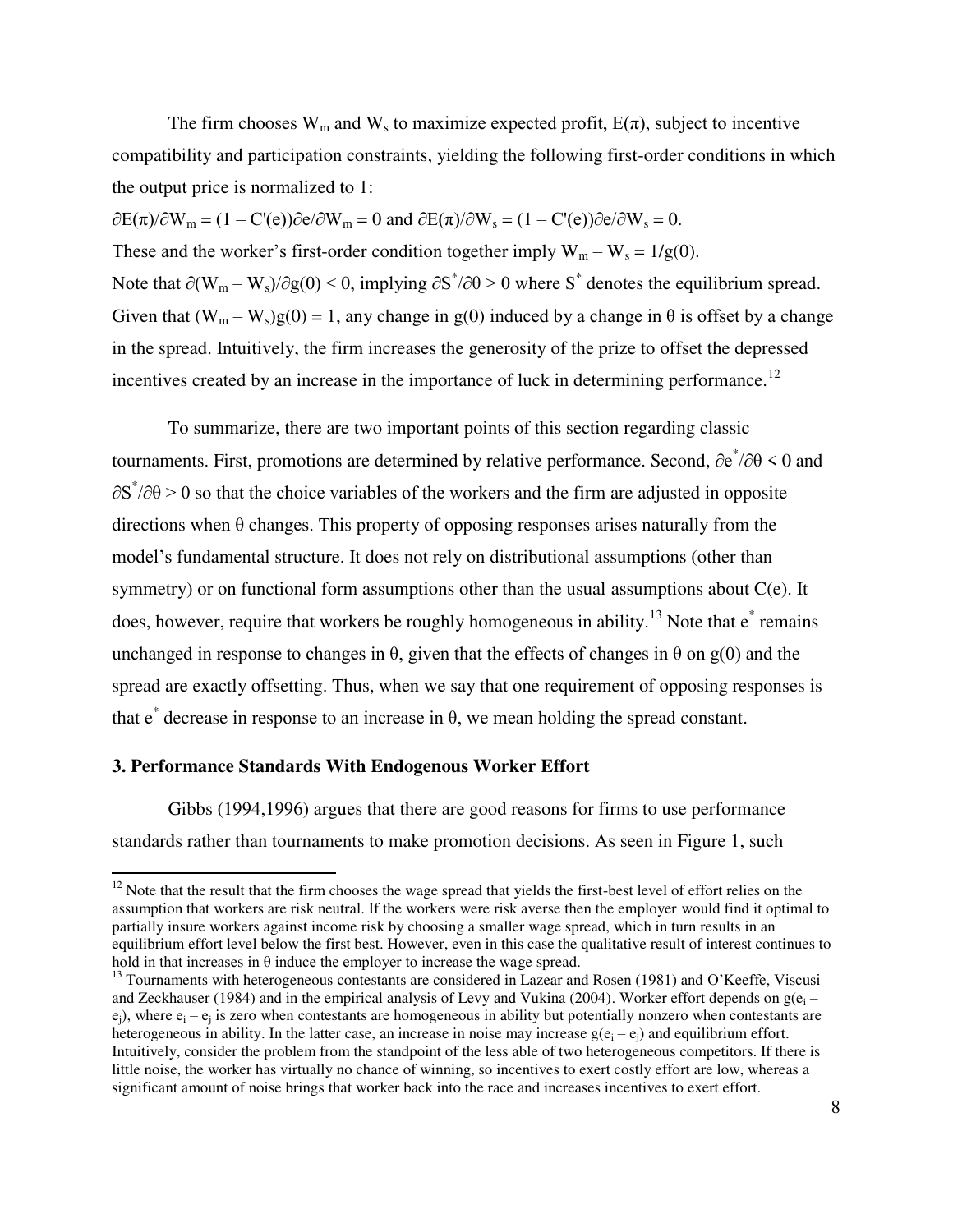The firm chooses  $W_m$  and  $W_s$  to maximize expected profit,  $E(\pi)$ , subject to incentive compatibility and participation constraints, yielding the following first-order conditions in which the output price is normalized to 1:

 $\partial E(\pi)/\partial W_m = (1 - C'(e))\partial e/\partial W_m = 0$  and  $\partial E(\pi)/\partial W_s = (1 - C'(e))\partial e/\partial W_s = 0$ . These and the worker's first-order condition together imply  $W_m - W_s = 1/g(0)$ . Note that  $\partial(W_m - W_s)/\partial g(0) \le 0$ , implying  $\partial S^* / \partial \theta > 0$  where  $S^*$  denotes the equilibrium spread. Given that  $(W_m - W_s)g(0) = 1$ , any change in g(0) induced by a change in  $\theta$  is offset by a change in the spread. Intuitively, the firm increases the generosity of the prize to offset the depressed incentives created by an increase in the importance of luck in determining performance.<sup>12</sup>

 To summarize, there are two important points of this section regarding classic tournaments. First, promotions are determined by relative performance. Second,  $\partial e^*/\partial \theta \leq 0$  and  $\partial S^* / \partial \theta > 0$  so that the choice variables of the workers and the firm are adjusted in opposite directions when  $\theta$  changes. This property of opposing responses arises naturally from the model's fundamental structure. It does not rely on distributional assumptions (other than symmetry) or on functional form assumptions other than the usual assumptions about C(e). It does, however, require that workers be roughly homogeneous in ability.<sup>13</sup> Note that  $e^*$  remains unchanged in response to changes in  $\theta$ , given that the effects of changes in  $\theta$  on g(0) and the spread are exactly offsetting. Thus, when we say that one requirement of opposing responses is that  $e^*$  decrease in response to an increase in θ, we mean holding the spread constant.

# **3. Performance Standards With Endogenous Worker Effort**

 $\overline{a}$ 

Gibbs (1994,1996) argues that there are good reasons for firms to use performance standards rather than tournaments to make promotion decisions. As seen in Figure 1, such

 $12$  Note that the result that the firm chooses the wage spread that yields the first-best level of effort relies on the assumption that workers are risk neutral. If the workers were risk averse then the employer would find it optimal to partially insure workers against income risk by choosing a smaller wage spread, which in turn results in an equilibrium effort level below the first best. However, even in this case the qualitative result of interest continues to hold in that increases in  $\theta$  induce the employer to increase the wage spread.

<sup>&</sup>lt;sup>13</sup> Tournaments with heterogeneous contestants are considered in Lazear and Rosen (1981) and O'Keeffe. Viscusi and Zeckhauser (1984) and in the empirical analysis of Levy and Vukina (2004). Worker effort depends on  $g(e_i$  $e_j$ ), where  $e_i - e_j$  is zero when contestants are homogeneous in ability but potentially nonzero when contestants are heterogeneous in ability. In the latter case, an increase in noise may increase  $g(e_i - e_j)$  and equilibrium effort. Intuitively, consider the problem from the standpoint of the less able of two heterogeneous competitors. If there is little noise, the worker has virtually no chance of winning, so incentives to exert costly effort are low, whereas a significant amount of noise brings that worker back into the race and increases incentives to exert effort.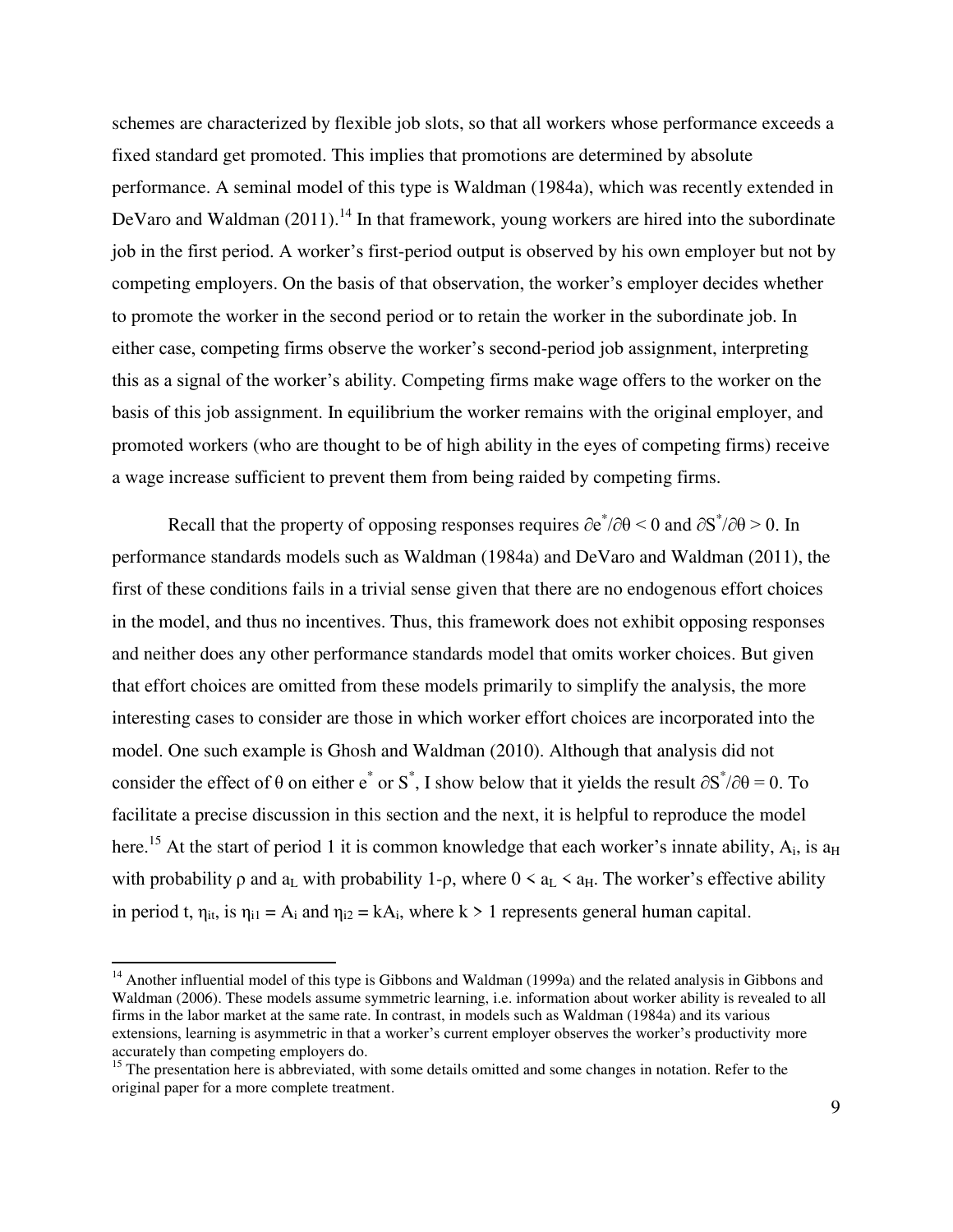schemes are characterized by flexible job slots, so that all workers whose performance exceeds a fixed standard get promoted. This implies that promotions are determined by absolute performance. A seminal model of this type is Waldman (1984a), which was recently extended in DeVaro and Waldman  $(2011)$ .<sup>14</sup> In that framework, young workers are hired into the subordinate job in the first period. A worker's first-period output is observed by his own employer but not by competing employers. On the basis of that observation, the worker's employer decides whether to promote the worker in the second period or to retain the worker in the subordinate job. In either case, competing firms observe the worker's second-period job assignment, interpreting this as a signal of the worker's ability. Competing firms make wage offers to the worker on the basis of this job assignment. In equilibrium the worker remains with the original employer, and promoted workers (who are thought to be of high ability in the eyes of competing firms) receive a wage increase sufficient to prevent them from being raided by competing firms.

Recall that the property of opposing responses requires  $\partial e^*/\partial \theta \le 0$  and  $\partial S^*/\partial \theta \ge 0$ . In performance standards models such as Waldman (1984a) and DeVaro and Waldman (2011), the first of these conditions fails in a trivial sense given that there are no endogenous effort choices in the model, and thus no incentives. Thus, this framework does not exhibit opposing responses and neither does any other performance standards model that omits worker choices. But given that effort choices are omitted from these models primarily to simplify the analysis, the more interesting cases to consider are those in which worker effort choices are incorporated into the model. One such example is Ghosh and Waldman (2010). Although that analysis did not consider the effect of  $\theta$  on either e<sup>\*</sup> or S<sup>\*</sup>, I show below that it yields the result  $\partial S^*/\partial \theta = 0$ . To facilitate a precise discussion in this section and the next, it is helpful to reproduce the model here.<sup>15</sup> At the start of period 1 it is common knowledge that each worker's innate ability,  $A_i$ , is a<sub>H</sub> with probability  $\rho$  and  $a_L$  with probability 1- $\rho$ , where  $0 \lt a_L \lt a_H$ . The worker's effective ability in period t,  $\eta_{it}$ , is  $\eta_{i1} = A_i$  and  $\eta_{i2} = kA_i$ , where  $k > 1$  represents general human capital.

l

<sup>&</sup>lt;sup>14</sup> Another influential model of this type is Gibbons and Waldman (1999a) and the related analysis in Gibbons and Waldman (2006). These models assume symmetric learning, i.e. information about worker ability is revealed to all firms in the labor market at the same rate. In contrast, in models such as Waldman (1984a) and its various extensions, learning is asymmetric in that a worker's current employer observes the worker's productivity more accurately than competing employers do.

<sup>&</sup>lt;sup>15</sup> The presentation here is abbreviated, with some details omitted and some changes in notation. Refer to the original paper for a more complete treatment.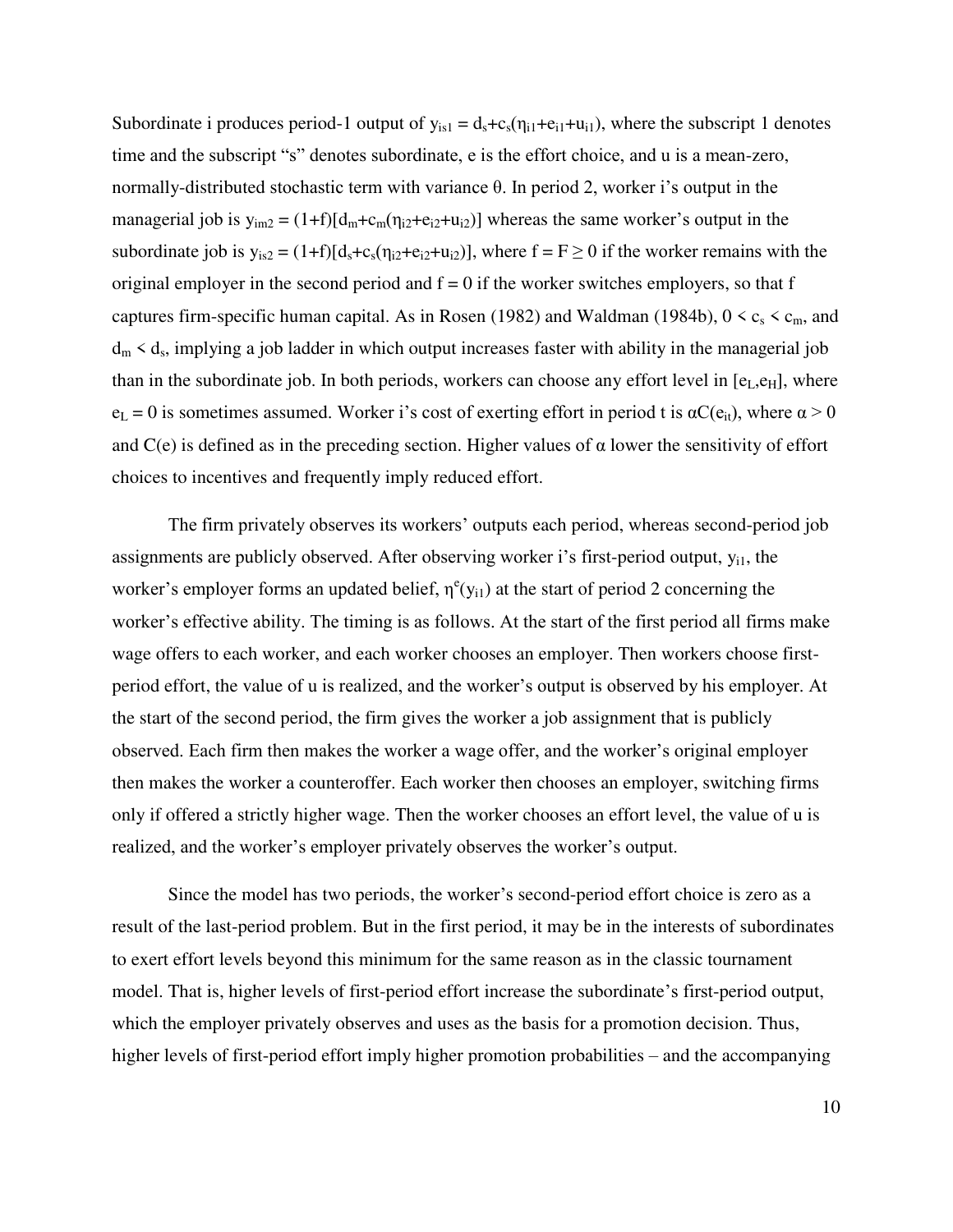Subordinate i produces period-1 output of  $y_{is1} = d_s + c_s(\eta_{i1} + e_{i1} + u_{i1})$ , where the subscript 1 denotes time and the subscript "s" denotes subordinate, e is the effort choice, and u is a mean-zero, normally-distributed stochastic term with variance θ. In period 2, worker i's output in the managerial job is  $y_{im2} = (1+f)[d_m+c_m(\eta_{i2}+e_{i2}+u_{i2})]$  whereas the same worker's output in the subordinate job is  $y_{is2} = (1+f)[d_s+c_s(\eta_{i2}+e_{i2}+\mu_{i2})]$ , where  $f = F \ge 0$  if the worker remains with the original employer in the second period and  $f = 0$  if the worker switches employers, so that f captures firm-specific human capital. As in Rosen (1982) and Waldman (1984b),  $0 < c_s < c_m$ , and  $d_m < d_s$ , implying a job ladder in which output increases faster with ability in the managerial job than in the subordinate job. In both periods, workers can choose any effort level in  $[e_L, e_H]$ , where  $e_L = 0$  is sometimes assumed. Worker i's cost of exerting effort in period t is  $\alpha C(e_{it})$ , where  $\alpha > 0$ and  $C(e)$  is defined as in the preceding section. Higher values of  $\alpha$  lower the sensitivity of effort choices to incentives and frequently imply reduced effort.

The firm privately observes its workers' outputs each period, whereas second-period job assignments are publicly observed. After observing worker i's first-period output,  $y_{i1}$ , the worker's employer forms an updated belief,  $\eta^e(y_{i1})$  at the start of period 2 concerning the worker's effective ability. The timing is as follows. At the start of the first period all firms make wage offers to each worker, and each worker chooses an employer. Then workers choose firstperiod effort, the value of u is realized, and the worker's output is observed by his employer. At the start of the second period, the firm gives the worker a job assignment that is publicly observed. Each firm then makes the worker a wage offer, and the worker's original employer then makes the worker a counteroffer. Each worker then chooses an employer, switching firms only if offered a strictly higher wage. Then the worker chooses an effort level, the value of u is realized, and the worker's employer privately observes the worker's output.

Since the model has two periods, the worker's second-period effort choice is zero as a result of the last-period problem. But in the first period, it may be in the interests of subordinates to exert effort levels beyond this minimum for the same reason as in the classic tournament model. That is, higher levels of first-period effort increase the subordinate's first-period output, which the employer privately observes and uses as the basis for a promotion decision. Thus, higher levels of first-period effort imply higher promotion probabilities – and the accompanying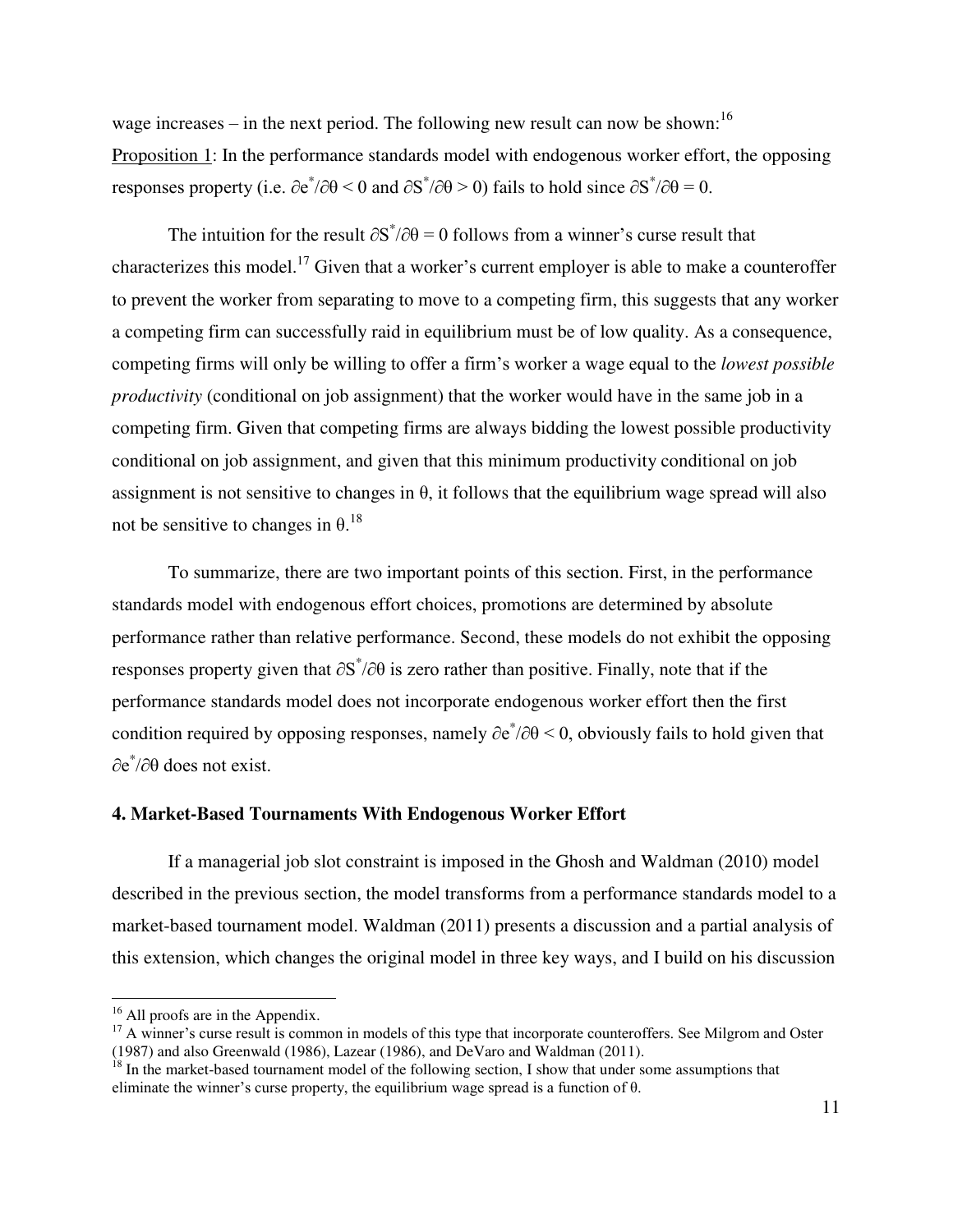wage increases – in the next period. The following new result can now be shown:  $16$ Proposition 1: In the performance standards model with endogenous worker effort, the opposing responses property (i.e.  $\partial e^*/\partial \theta \le 0$  and  $\partial S^*/\partial \theta \ge 0$ ) fails to hold since  $\partial S^*/\partial \theta = 0$ .

The intuition for the result  $\partial S^*/\partial \theta = 0$  follows from a winner's curse result that characterizes this model.<sup>17</sup> Given that a worker's current employer is able to make a counteroffer to prevent the worker from separating to move to a competing firm, this suggests that any worker a competing firm can successfully raid in equilibrium must be of low quality. As a consequence, competing firms will only be willing to offer a firm's worker a wage equal to the *lowest possible productivity* (conditional on job assignment) that the worker would have in the same job in a competing firm. Given that competing firms are always bidding the lowest possible productivity conditional on job assignment, and given that this minimum productivity conditional on job assignment is not sensitive to changes in  $\theta$ , it follows that the equilibrium wage spread will also not be sensitive to changes in  $\theta$ .<sup>18</sup>

 To summarize, there are two important points of this section. First, in the performance standards model with endogenous effort choices, promotions are determined by absolute performance rather than relative performance. Second, these models do not exhibit the opposing responses property given that  $\partial S^* / \partial \theta$  is zero rather than positive. Finally, note that if the performance standards model does not incorporate endogenous worker effort then the first condition required by opposing responses, namely  $\partial e^*/\partial \theta \leq 0$ , obviously fails to hold given that ∂e\* /∂θ does not exist.

# **4. Market-Based Tournaments With Endogenous Worker Effort**

 If a managerial job slot constraint is imposed in the Ghosh and Waldman (2010) model described in the previous section, the model transforms from a performance standards model to a market-based tournament model. Waldman (2011) presents a discussion and a partial analysis of this extension, which changes the original model in three key ways, and I build on his discussion

l

<sup>&</sup>lt;sup>16</sup> All proofs are in the Appendix.

<sup>&</sup>lt;sup>17</sup> A winner's curse result is common in models of this type that incorporate counteroffers. See Milgrom and Oster (1987) and also Greenwald (1986), Lazear (1986), and DeVaro and Waldman (2011).

 $18$  In the market-based tournament model of the following section, I show that under some assumptions that eliminate the winner's curse property, the equilibrium wage spread is a function of θ.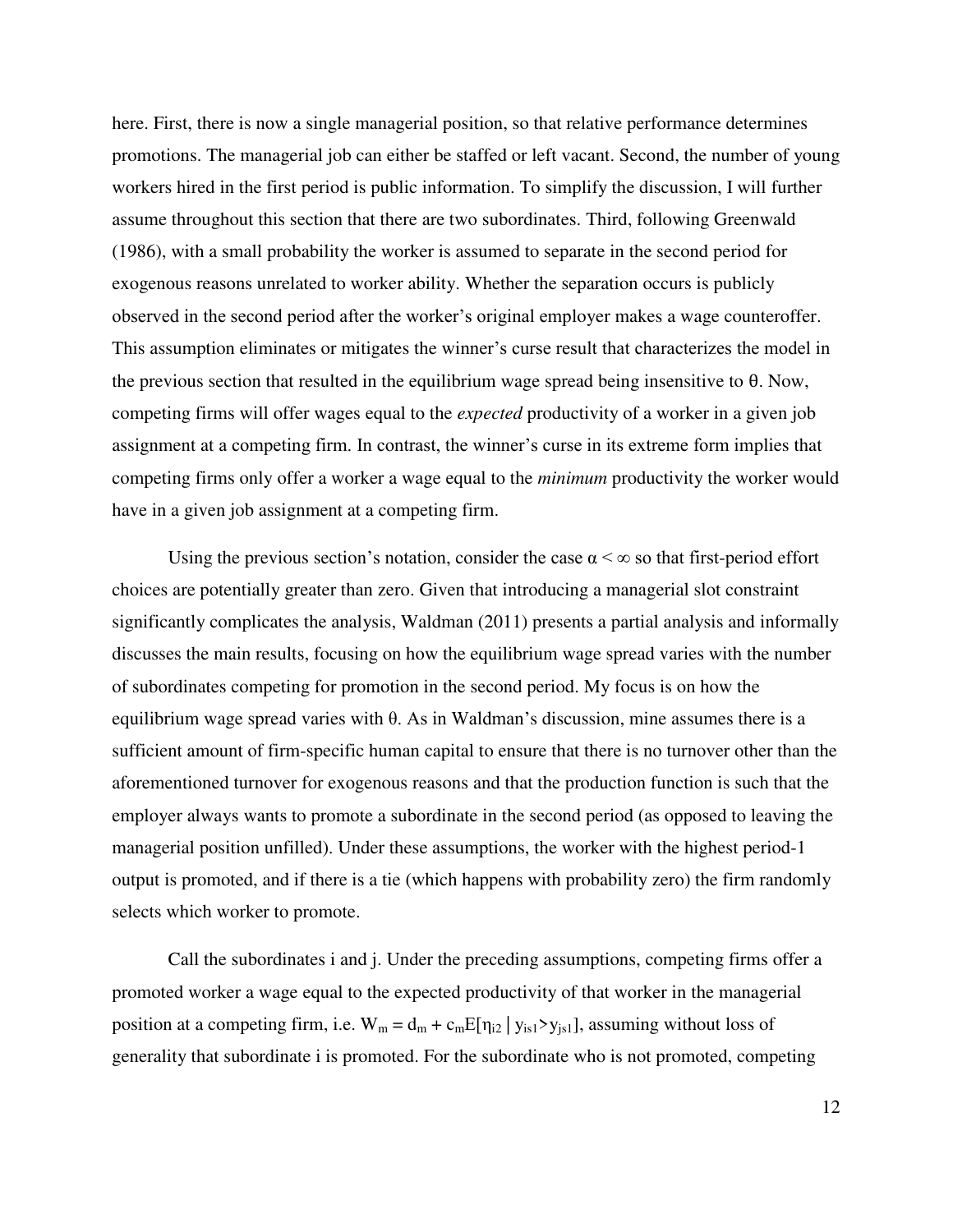here. First, there is now a single managerial position, so that relative performance determines promotions. The managerial job can either be staffed or left vacant. Second, the number of young workers hired in the first period is public information. To simplify the discussion, I will further assume throughout this section that there are two subordinates. Third, following Greenwald (1986), with a small probability the worker is assumed to separate in the second period for exogenous reasons unrelated to worker ability. Whether the separation occurs is publicly observed in the second period after the worker's original employer makes a wage counteroffer. This assumption eliminates or mitigates the winner's curse result that characterizes the model in the previous section that resulted in the equilibrium wage spread being insensitive to  $\theta$ . Now, competing firms will offer wages equal to the *expected* productivity of a worker in a given job assignment at a competing firm. In contrast, the winner's curse in its extreme form implies that competing firms only offer a worker a wage equal to the *minimum* productivity the worker would have in a given job assignment at a competing firm.

Using the previous section's notation, consider the case  $\alpha < \infty$  so that first-period effort choices are potentially greater than zero. Given that introducing a managerial slot constraint significantly complicates the analysis, Waldman (2011) presents a partial analysis and informally discusses the main results, focusing on how the equilibrium wage spread varies with the number of subordinates competing for promotion in the second period. My focus is on how the equilibrium wage spread varies with θ. As in Waldman's discussion, mine assumes there is a sufficient amount of firm-specific human capital to ensure that there is no turnover other than the aforementioned turnover for exogenous reasons and that the production function is such that the employer always wants to promote a subordinate in the second period (as opposed to leaving the managerial position unfilled). Under these assumptions, the worker with the highest period-1 output is promoted, and if there is a tie (which happens with probability zero) the firm randomly selects which worker to promote.

Call the subordinates i and j. Under the preceding assumptions, competing firms offer a promoted worker a wage equal to the expected productivity of that worker in the managerial position at a competing firm, i.e.  $W_m = d_m + c_m E[\eta_{i2} | y_{is1} > y_{is1}]$ , assuming without loss of generality that subordinate i is promoted. For the subordinate who is not promoted, competing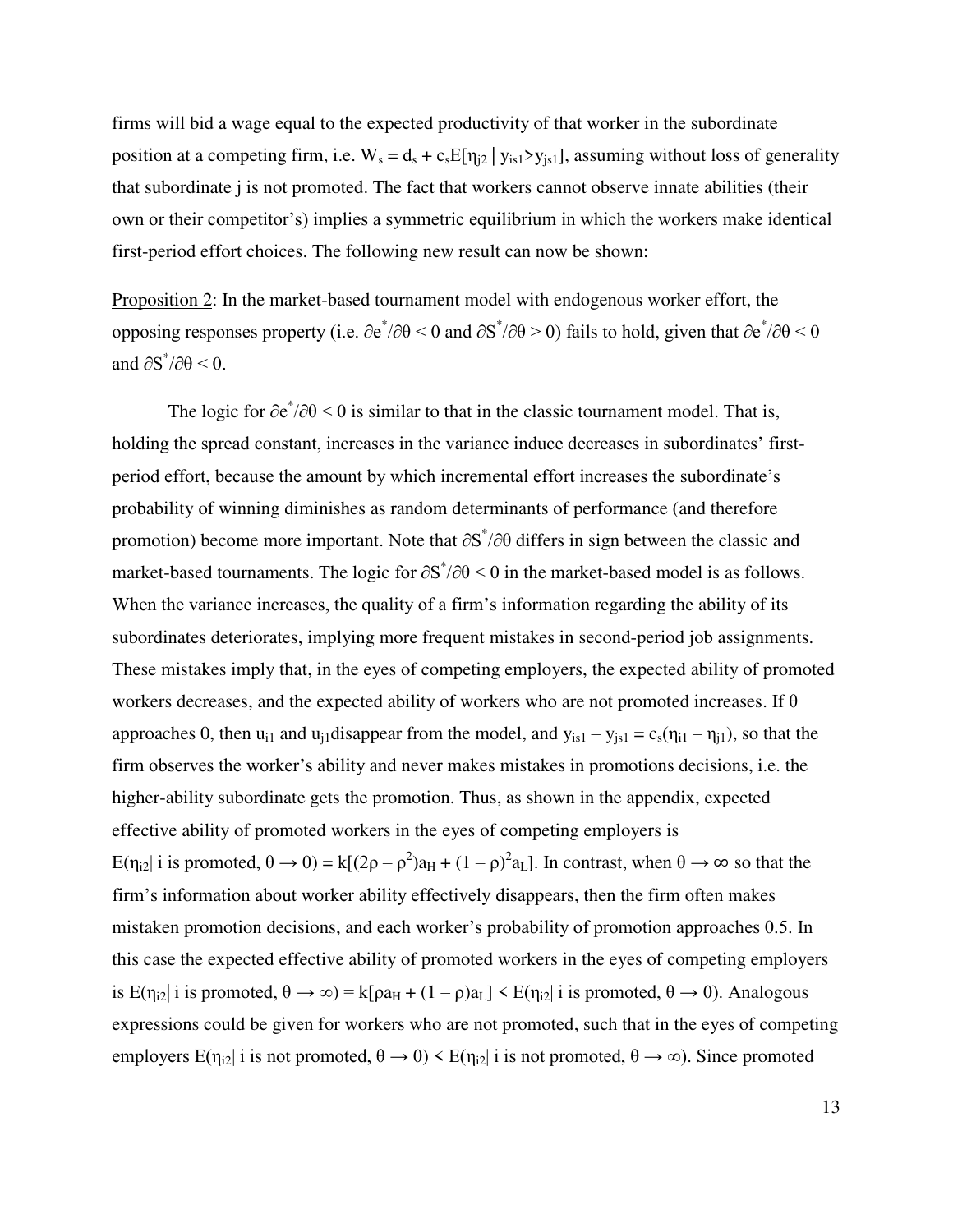firms will bid a wage equal to the expected productivity of that worker in the subordinate position at a competing firm, i.e.  $W_s = d_s + c_s E[\eta_{i2} | y_{is1} \rangle y_{is1}]$ , assuming without loss of generality that subordinate j is not promoted. The fact that workers cannot observe innate abilities (their own or their competitor's) implies a symmetric equilibrium in which the workers make identical first-period effort choices. The following new result can now be shown:

Proposition 2: In the market-based tournament model with endogenous worker effort, the opposing responses property (i.e.  $\partial e^*/\partial \theta \le 0$  and  $\partial S^*/\partial \theta \ge 0$ ) fails to hold, given that  $\partial e^*/\partial \theta \le 0$ and  $\partial S^* / \partial \theta$  < 0.

The logic for  $\partial e^*/\partial \theta$  < 0 is similar to that in the classic tournament model. That is, holding the spread constant, increases in the variance induce decreases in subordinates' firstperiod effort, because the amount by which incremental effort increases the subordinate's probability of winning diminishes as random determinants of performance (and therefore promotion) become more important. Note that  $\partial S^* / \partial \theta$  differs in sign between the classic and market-based tournaments. The logic for  $\partial S^*/\partial \theta \leq 0$  in the market-based model is as follows. When the variance increases, the quality of a firm's information regarding the ability of its subordinates deteriorates, implying more frequent mistakes in second-period job assignments. These mistakes imply that, in the eyes of competing employers, the expected ability of promoted workers decreases, and the expected ability of workers who are not promoted increases. If  $\theta$ approaches 0, then  $u_{i1}$  and  $u_{j1}$ disappear from the model, and  $y_{is1} - y_{js1} = c_s(\eta_{i1} - \eta_{j1})$ , so that the firm observes the worker's ability and never makes mistakes in promotions decisions, i.e. the higher-ability subordinate gets the promotion. Thus, as shown in the appendix, expected effective ability of promoted workers in the eyes of competing employers is  $E(\eta_{i2} | i \text{ is promoted}, \theta \to 0) = k[(2\rho - \rho^2)a_H + (1 - \rho)^2 a_L]$ . In contrast, when  $\theta \to \infty$  so that the firm's information about worker ability effectively disappears, then the firm often makes mistaken promotion decisions, and each worker's probability of promotion approaches 0.5. In this case the expected effective ability of promoted workers in the eyes of competing employers is  $E(\eta_{i2} | i \text{ is promoted}, \theta \to \infty) = k[\rho a_H + (1 - \rho)a_L] \leq E(\eta_{i2} | i \text{ is promoted}, \theta \to 0)$ . Analogous expressions could be given for workers who are not promoted, such that in the eyes of competing employers  $E(\eta_{i2} | i \text{ is not promoted}, \theta \to 0) \leq E(\eta_{i2} | i \text{ is not promoted}, \theta \to \infty)$ . Since promoted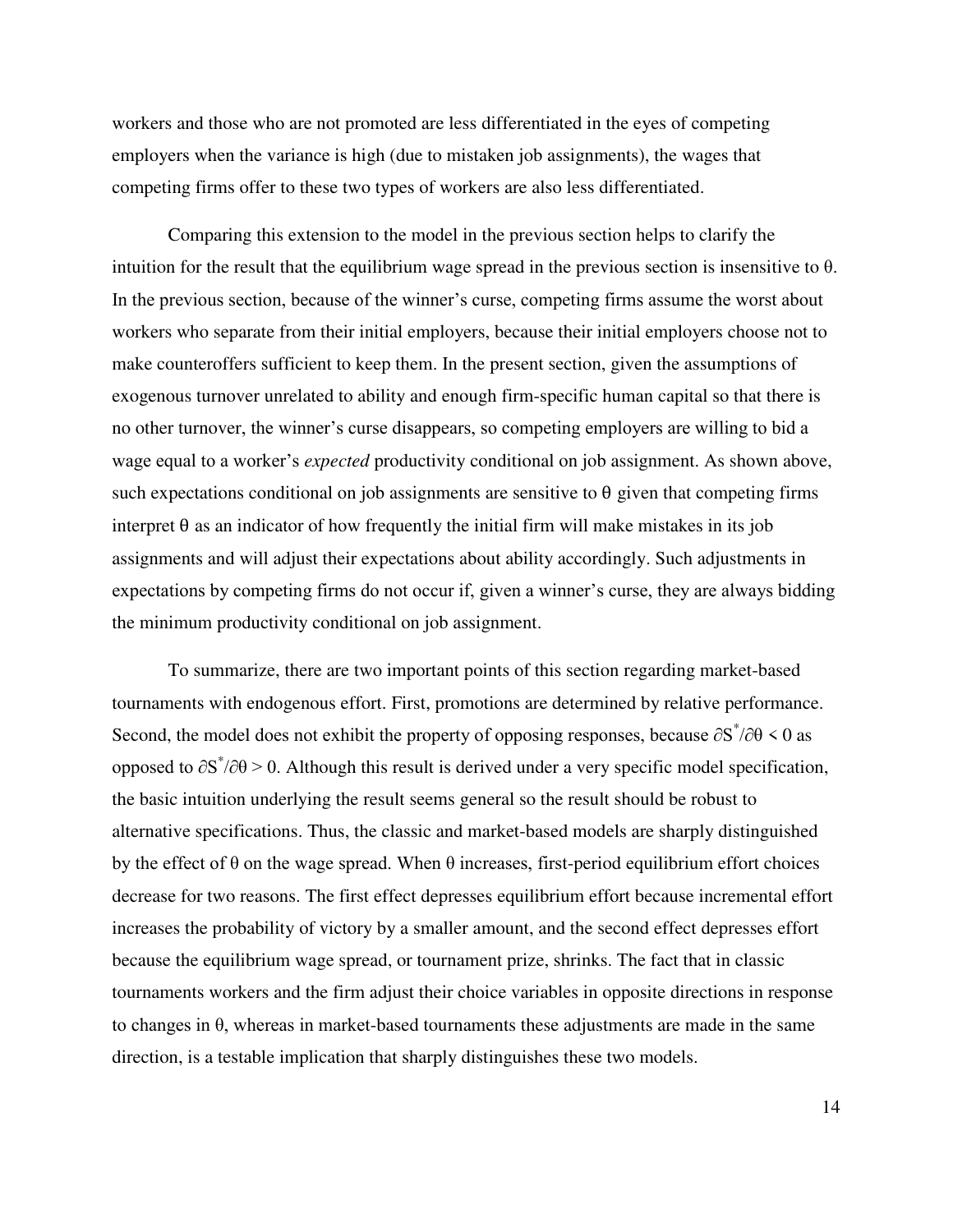workers and those who are not promoted are less differentiated in the eyes of competing employers when the variance is high (due to mistaken job assignments), the wages that competing firms offer to these two types of workers are also less differentiated.

Comparing this extension to the model in the previous section helps to clarify the intuition for the result that the equilibrium wage spread in the previous section is insensitive to θ. In the previous section, because of the winner's curse, competing firms assume the worst about workers who separate from their initial employers, because their initial employers choose not to make counteroffers sufficient to keep them. In the present section, given the assumptions of exogenous turnover unrelated to ability and enough firm-specific human capital so that there is no other turnover, the winner's curse disappears, so competing employers are willing to bid a wage equal to a worker's *expected* productivity conditional on job assignment. As shown above, such expectations conditional on job assignments are sensitive to  $\theta$  given that competing firms interpret  $\theta$  as an indicator of how frequently the initial firm will make mistakes in its job assignments and will adjust their expectations about ability accordingly. Such adjustments in expectations by competing firms do not occur if, given a winner's curse, they are always bidding the minimum productivity conditional on job assignment.

To summarize, there are two important points of this section regarding market-based tournaments with endogenous effort. First, promotions are determined by relative performance. Second, the model does not exhibit the property of opposing responses, because  $\partial S^*/\partial \theta \leq 0$  as opposed to  $\partial S^* / \partial \theta > 0$ . Although this result is derived under a very specific model specification, the basic intuition underlying the result seems general so the result should be robust to alternative specifications. Thus, the classic and market-based models are sharply distinguished by the effect of  $\theta$  on the wage spread. When  $\theta$  increases, first-period equilibrium effort choices decrease for two reasons. The first effect depresses equilibrium effort because incremental effort increases the probability of victory by a smaller amount, and the second effect depresses effort because the equilibrium wage spread, or tournament prize, shrinks. The fact that in classic tournaments workers and the firm adjust their choice variables in opposite directions in response to changes in  $\theta$ , whereas in market-based tournaments these adjustments are made in the same direction, is a testable implication that sharply distinguishes these two models.

14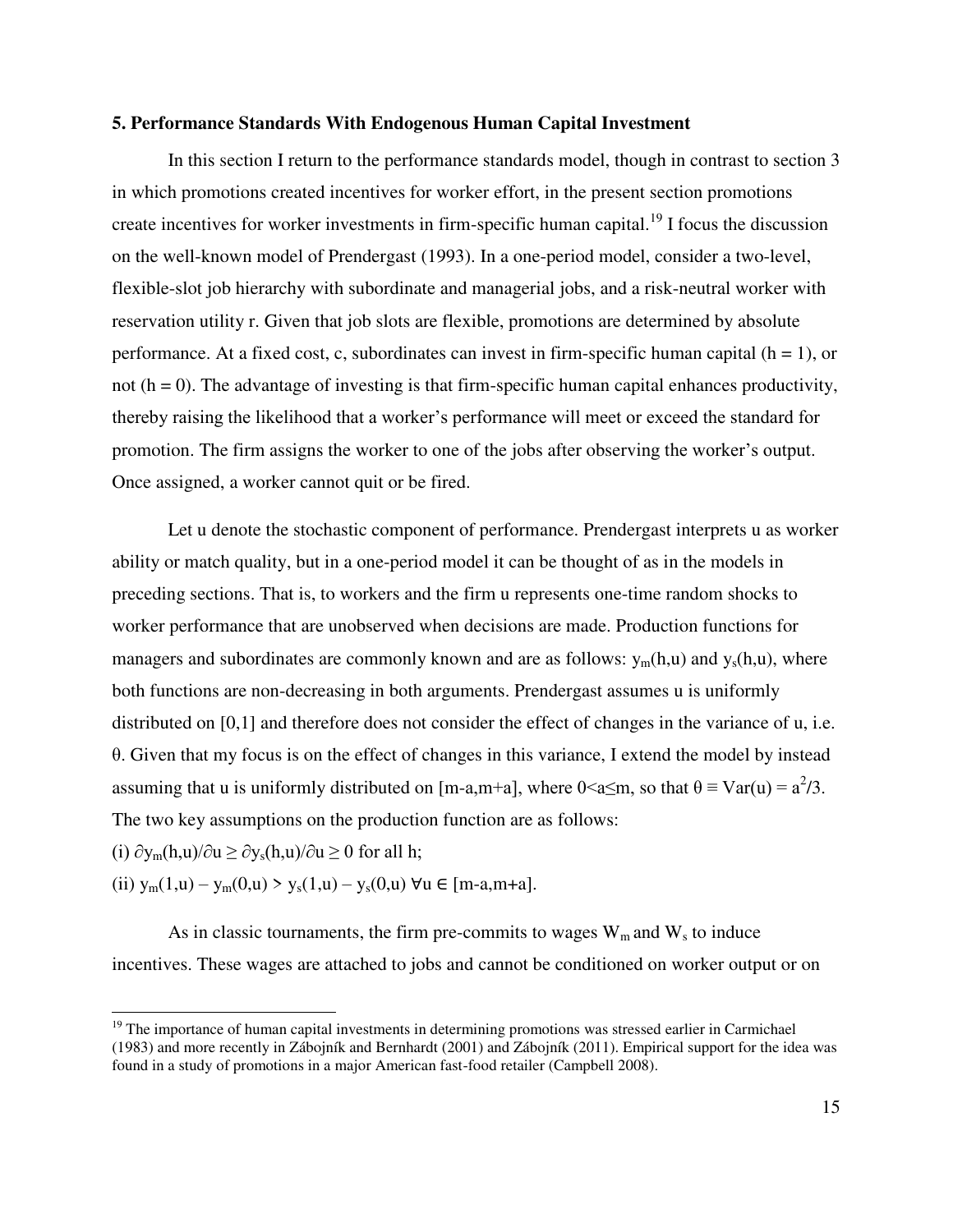# **5. Performance Standards With Endogenous Human Capital Investment**

 In this section I return to the performance standards model, though in contrast to section 3 in which promotions created incentives for worker effort, in the present section promotions create incentives for worker investments in firm-specific human capital.<sup>19</sup> I focus the discussion on the well-known model of Prendergast (1993). In a one-period model, consider a two-level, flexible-slot job hierarchy with subordinate and managerial jobs, and a risk-neutral worker with reservation utility r. Given that job slots are flexible, promotions are determined by absolute performance. At a fixed cost, c, subordinates can invest in firm-specific human capital  $(h = 1)$ , or not  $(h = 0)$ . The advantage of investing is that firm-specific human capital enhances productivity, thereby raising the likelihood that a worker's performance will meet or exceed the standard for promotion. The firm assigns the worker to one of the jobs after observing the worker's output. Once assigned, a worker cannot quit or be fired.

 Let u denote the stochastic component of performance. Prendergast interprets u as worker ability or match quality, but in a one-period model it can be thought of as in the models in preceding sections. That is, to workers and the firm u represents one-time random shocks to worker performance that are unobserved when decisions are made. Production functions for managers and subordinates are commonly known and are as follows:  $y_m(h, u)$  and  $y_s(h, u)$ , where both functions are non-decreasing in both arguments. Prendergast assumes u is uniformly distributed on [0,1] and therefore does not consider the effect of changes in the variance of u, i.e. θ. Given that my focus is on the effect of changes in this variance, I extend the model by instead assuming that u is uniformly distributed on [m-a,m+a], where  $0 \le a \le m$ , so that  $\theta \equiv \text{Var}(u) = a^2/3$ . The two key assumptions on the production function are as follows:

(i)  $\partial y_m(h,u)/\partial u \ge \partial y_s(h,u)/\partial u \ge 0$  for all h;

l

(ii)  $y_m(1,u) - y_m(0,u) > y_s(1,u) - y_s(0,u)$   $\forall u \in [m-a,m+a]$ .

As in classic tournaments, the firm pre-commits to wages  $W_m$  and  $W_s$  to induce incentives. These wages are attached to jobs and cannot be conditioned on worker output or on

<sup>&</sup>lt;sup>19</sup> The importance of human capital investments in determining promotions was stressed earlier in Carmichael (1983) and more recently in Zábojník and Bernhardt (2001) and Zábojník (2011). Empirical support for the idea was found in a study of promotions in a major American fast-food retailer (Campbell 2008).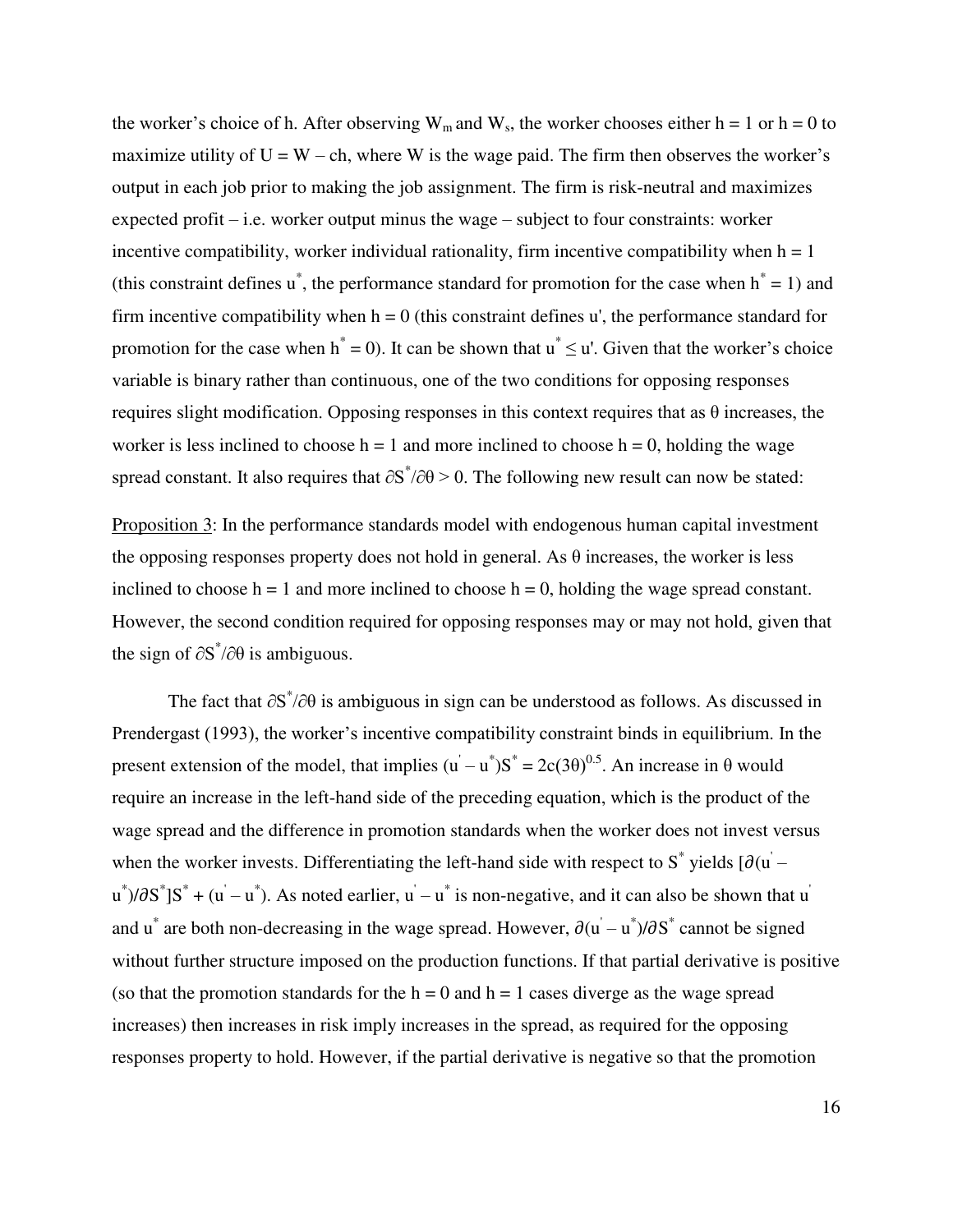the worker's choice of h. After observing  $W_m$  and  $W_s$ , the worker chooses either h = 1 or h = 0 to maximize utility of  $U = W - ch$ , where W is the wage paid. The firm then observes the worker's output in each job prior to making the job assignment. The firm is risk-neutral and maximizes expected profit – i.e. worker output minus the wage – subject to four constraints: worker incentive compatibility, worker individual rationality, firm incentive compatibility when  $h = 1$ (this constraint defines  $\mathbf{u}^*$ , the performance standard for promotion for the case when  $\mathbf{h}^* = 1$ ) and firm incentive compatibility when  $h = 0$  (this constraint defines u', the performance standard for promotion for the case when  $h^* = 0$ ). It can be shown that  $u^* \le u'$ . Given that the worker's choice variable is binary rather than continuous, one of the two conditions for opposing responses requires slight modification. Opposing responses in this context requires that as θ increases, the worker is less inclined to choose  $h = 1$  and more inclined to choose  $h = 0$ , holding the wage spread constant. It also requires that  $\partial S^* / \partial \theta > 0$ . The following new result can now be stated:

Proposition 3: In the performance standards model with endogenous human capital investment the opposing responses property does not hold in general. As  $\theta$  increases, the worker is less inclined to choose  $h = 1$  and more inclined to choose  $h = 0$ , holding the wage spread constant. However, the second condition required for opposing responses may or may not hold, given that the sign of  $\partial S^* / \partial \theta$  is ambiguous.

The fact that  $\partial S^*/\partial \theta$  is ambiguous in sign can be understood as follows. As discussed in Prendergast (1993), the worker's incentive compatibility constraint binds in equilibrium. In the present extension of the model, that implies  $(u - u^*)S^* = 2c(3\theta)^{0.5}$ . An increase in  $\theta$  would require an increase in the left-hand side of the preceding equation, which is the product of the wage spread and the difference in promotion standards when the worker does not invest versus when the worker invests. Differentiating the left-hand side with respect to  $S^*$  yields  $[\partial(u)$  –  $u^*$ )/ $\partial S^*$ ] $S^* + (u^{\prime} - u^*)$ . As noted earlier,  $u^{\prime} - u^*$  is non-negative, and it can also be shown that  $u^{\prime}$ and u<sup>\*</sup> are both non-decreasing in the wage spread. However,  $\partial(u - u^*)/\partial S^*$  cannot be signed without further structure imposed on the production functions. If that partial derivative is positive (so that the promotion standards for the  $h = 0$  and  $h = 1$  cases diverge as the wage spread increases) then increases in risk imply increases in the spread, as required for the opposing responses property to hold. However, if the partial derivative is negative so that the promotion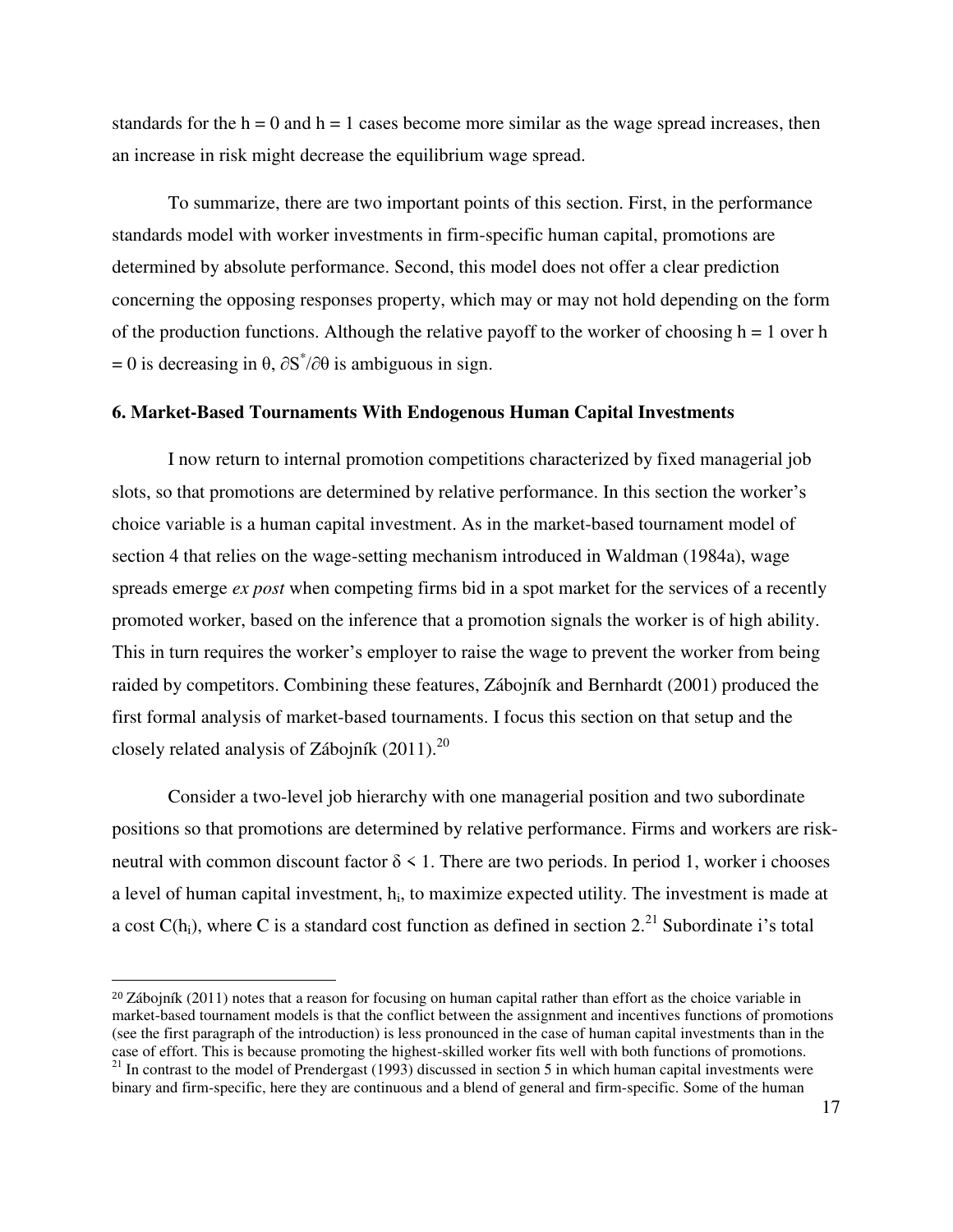standards for the  $h = 0$  and  $h = 1$  cases become more similar as the wage spread increases, then an increase in risk might decrease the equilibrium wage spread.

To summarize, there are two important points of this section. First, in the performance standards model with worker investments in firm-specific human capital, promotions are determined by absolute performance. Second, this model does not offer a clear prediction concerning the opposing responses property, which may or may not hold depending on the form of the production functions. Although the relative payoff to the worker of choosing  $h = 1$  over h  $= 0$  is decreasing in θ,  $\partial S^*/\partial θ$  is ambiguous in sign.

# **6. Market-Based Tournaments With Endogenous Human Capital Investments**

I now return to internal promotion competitions characterized by fixed managerial job slots, so that promotions are determined by relative performance. In this section the worker's choice variable is a human capital investment. As in the market-based tournament model of section 4 that relies on the wage-setting mechanism introduced in Waldman (1984a), wage spreads emerge *ex post* when competing firms bid in a spot market for the services of a recently promoted worker, based on the inference that a promotion signals the worker is of high ability. This in turn requires the worker's employer to raise the wage to prevent the worker from being raided by competitors. Combining these features, Zábojník and Bernhardt (2001) produced the first formal analysis of market-based tournaments. I focus this section on that setup and the closely related analysis of Zábojník  $(2011).^{20}$ 

Consider a two-level job hierarchy with one managerial position and two subordinate positions so that promotions are determined by relative performance. Firms and workers are riskneutral with common discount factor  $\delta \leq 1$ . There are two periods. In period 1, worker i chooses a level of human capital investment,  $h_i$ , to maximize expected utility. The investment is made at a cost  $C(h_i)$ , where C is a standard cost function as defined in section 2.<sup>21</sup> Subordinate i's total

l

<sup>&</sup>lt;sup>20</sup> Zábojník (2011) notes that a reason for focusing on human capital rather than effort as the choice variable in market-based tournament models is that the conflict between the assignment and incentives functions of promotions (see the first paragraph of the introduction) is less pronounced in the case of human capital investments than in the case of effort. This is because promoting the highest-skilled worker fits well with both functions of promotions.  $21$  In contrast to the model of Prendergast (1993) discussed in section 5 in which human capital investments were binary and firm-specific, here they are continuous and a blend of general and firm-specific. Some of the human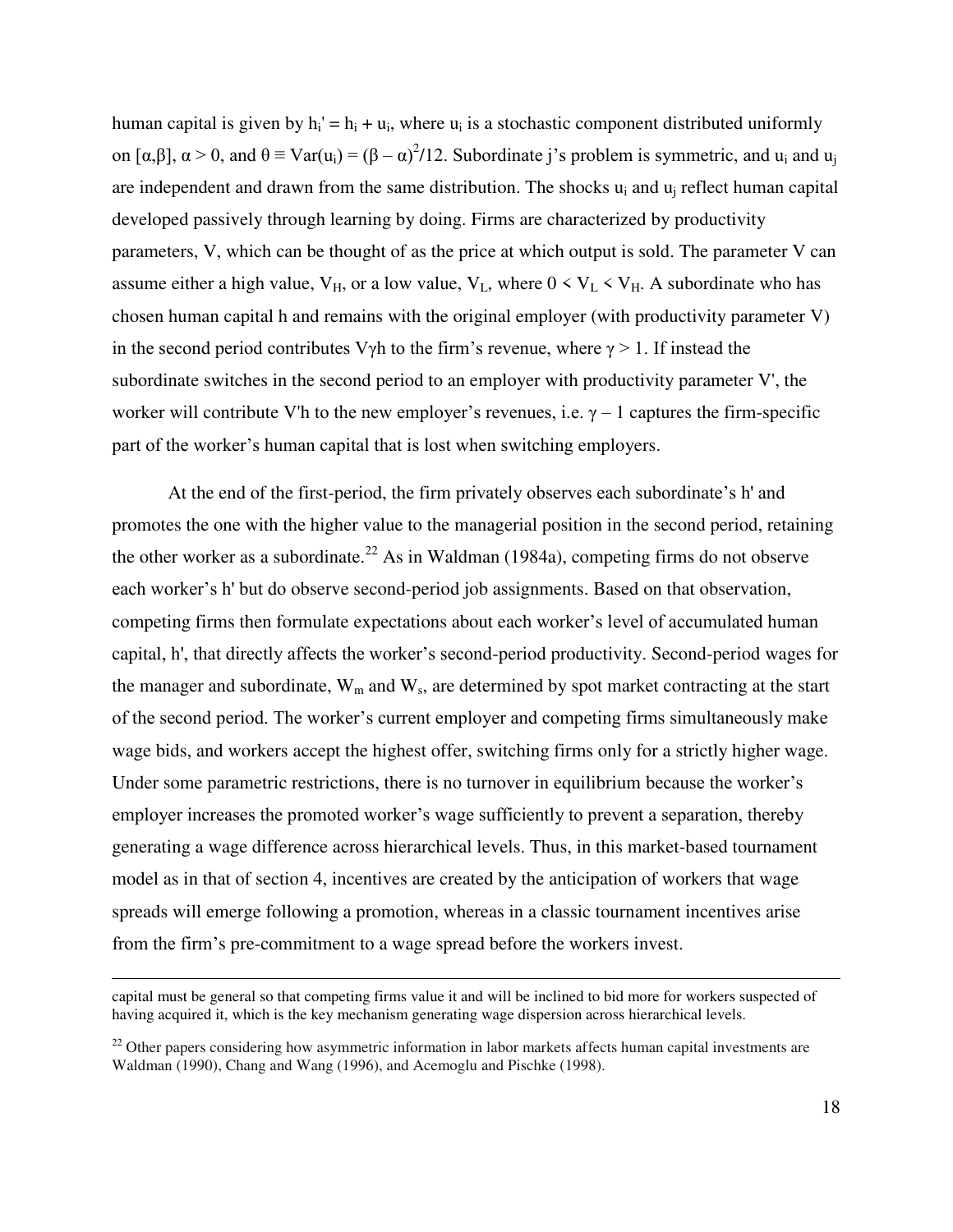human capital is given by  $h_i' = h_i + u_i$ , where  $u_i$  is a stochastic component distributed uniformly on [ $\alpha, \beta$ ],  $\alpha > 0$ , and  $\theta \equiv Var(u_i) = (\beta - \alpha)^2/12$ . Subordinate j's problem is symmetric, and  $u_i$  and  $u_j$ are independent and drawn from the same distribution. The shocks  $u_i$  and  $u_j$  reflect human capital developed passively through learning by doing. Firms are characterized by productivity parameters, V, which can be thought of as the price at which output is sold. The parameter V can assume either a high value,  $V_H$ , or a low value,  $V_L$ , where  $0 \lt V_L \lt V_H$ . A subordinate who has chosen human capital h and remains with the original employer (with productivity parameter V) in the second period contributes Vγh to the firm's revenue, where  $\gamma > 1$ . If instead the subordinate switches in the second period to an employer with productivity parameter V', the worker will contribute V'h to the new employer's revenues, i.e.  $\gamma - 1$  captures the firm-specific part of the worker's human capital that is lost when switching employers.

At the end of the first-period, the firm privately observes each subordinate's h' and promotes the one with the higher value to the managerial position in the second period, retaining the other worker as a subordinate.<sup>22</sup> As in Waldman (1984a), competing firms do not observe each worker's h' but do observe second-period job assignments. Based on that observation, competing firms then formulate expectations about each worker's level of accumulated human capital, h', that directly affects the worker's second-period productivity. Second-period wages for the manager and subordinate,  $W_m$  and  $W_s$ , are determined by spot market contracting at the start of the second period. The worker's current employer and competing firms simultaneously make wage bids, and workers accept the highest offer, switching firms only for a strictly higher wage. Under some parametric restrictions, there is no turnover in equilibrium because the worker's employer increases the promoted worker's wage sufficiently to prevent a separation, thereby generating a wage difference across hierarchical levels. Thus, in this market-based tournament model as in that of section 4, incentives are created by the anticipation of workers that wage spreads will emerge following a promotion, whereas in a classic tournament incentives arise from the firm's pre-commitment to a wage spread before the workers invest.

 $\overline{a}$ 

capital must be general so that competing firms value it and will be inclined to bid more for workers suspected of having acquired it, which is the key mechanism generating wage dispersion across hierarchical levels.

<sup>&</sup>lt;sup>22</sup> Other papers considering how asymmetric information in labor markets affects human capital investments are Waldman (1990), Chang and Wang (1996), and Acemoglu and Pischke (1998).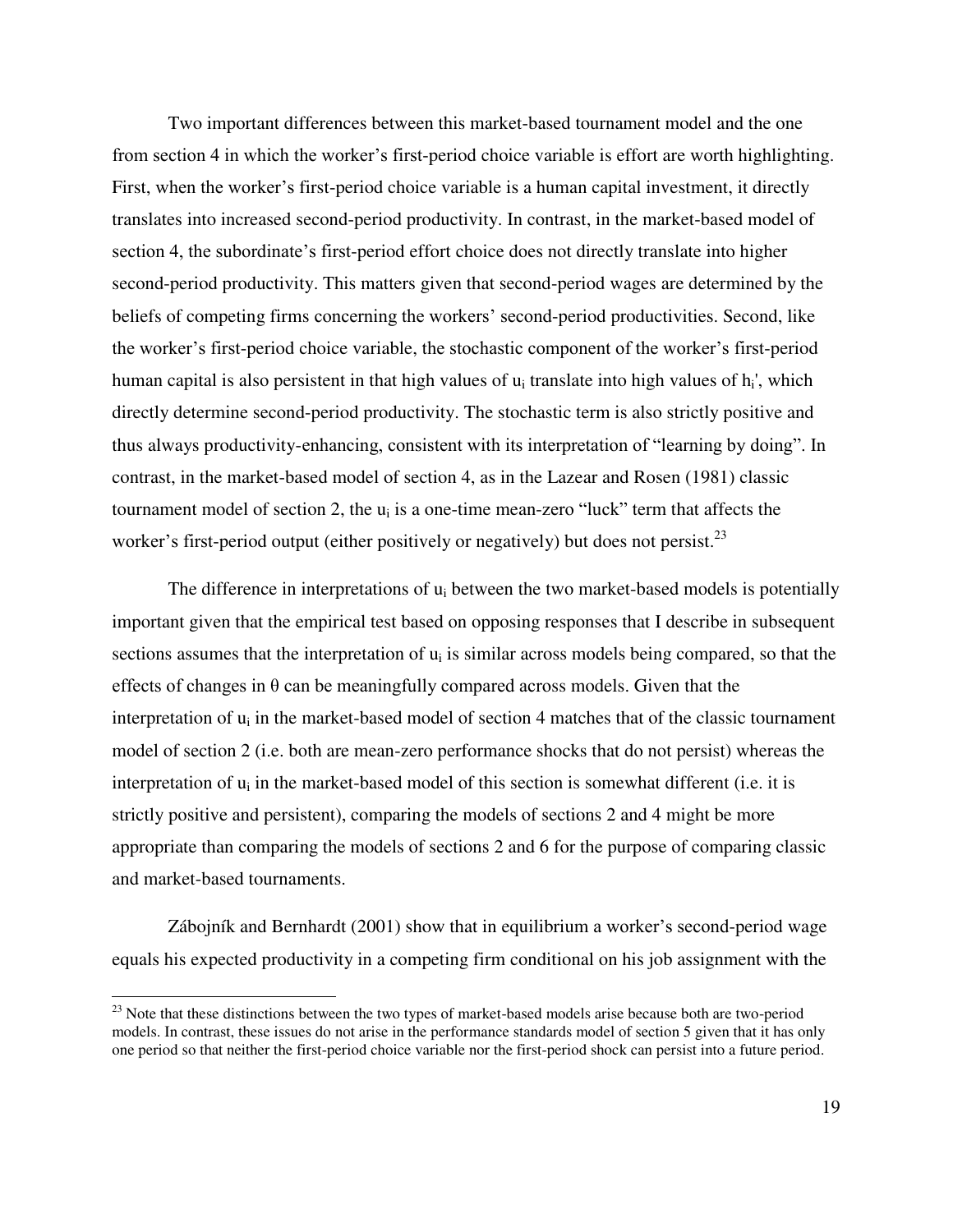Two important differences between this market-based tournament model and the one from section 4 in which the worker's first-period choice variable is effort are worth highlighting. First, when the worker's first-period choice variable is a human capital investment, it directly translates into increased second-period productivity. In contrast, in the market-based model of section 4, the subordinate's first-period effort choice does not directly translate into higher second-period productivity. This matters given that second-period wages are determined by the beliefs of competing firms concerning the workers' second-period productivities. Second, like the worker's first-period choice variable, the stochastic component of the worker's first-period human capital is also persistent in that high values of  $u_i$  translate into high values of  $h_i$ ', which directly determine second-period productivity. The stochastic term is also strictly positive and thus always productivity-enhancing, consistent with its interpretation of "learning by doing". In contrast, in the market-based model of section 4, as in the Lazear and Rosen (1981) classic tournament model of section 2, the  $u_i$  is a one-time mean-zero "luck" term that affects the worker's first-period output (either positively or negatively) but does not persist. $^{23}$ 

The difference in interpretations of  $u_i$  between the two market-based models is potentially important given that the empirical test based on opposing responses that I describe in subsequent sections assumes that the interpretation of  $u_i$  is similar across models being compared, so that the effects of changes in  $\theta$  can be meaningfully compared across models. Given that the interpretation of  $u_i$  in the market-based model of section 4 matches that of the classic tournament model of section 2 (i.e. both are mean-zero performance shocks that do not persist) whereas the interpretation of  $u_i$  in the market-based model of this section is somewhat different (i.e. it is strictly positive and persistent), comparing the models of sections 2 and 4 might be more appropriate than comparing the models of sections 2 and 6 for the purpose of comparing classic and market-based tournaments.

Zábojník and Bernhardt (2001) show that in equilibrium a worker's second-period wage equals his expected productivity in a competing firm conditional on his job assignment with the

l

<sup>&</sup>lt;sup>23</sup> Note that these distinctions between the two types of market-based models arise because both are two-period models. In contrast, these issues do not arise in the performance standards model of section 5 given that it has only one period so that neither the first-period choice variable nor the first-period shock can persist into a future period.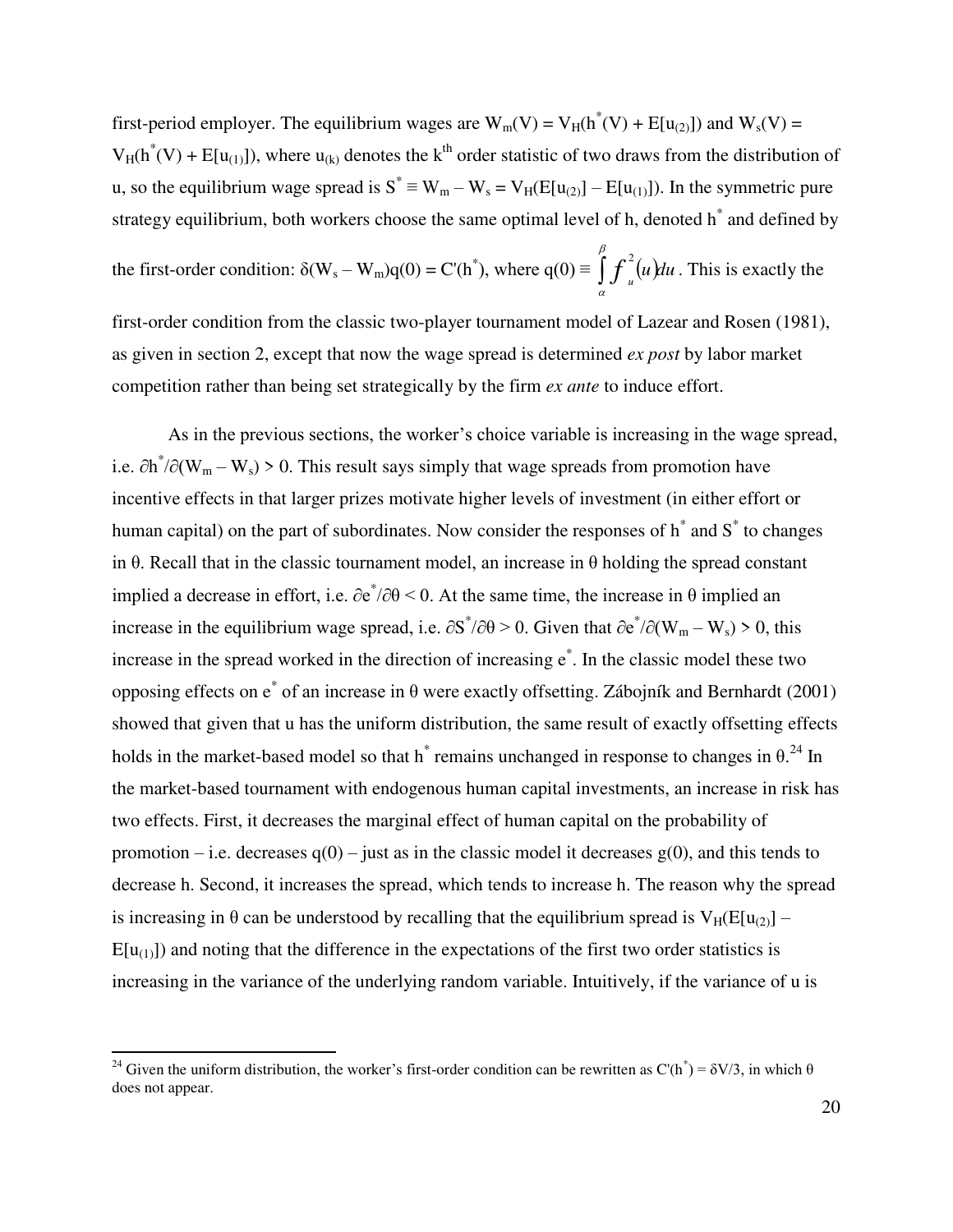first-period employer. The equilibrium wages are  $W_m(V) = V_H(h^*(V) + E[u_{(2)}])$  and  $W_s(V) =$  $V_H(h^*(V) + E[u_{(1)}])$ , where  $u_{(k)}$  denotes the k<sup>th</sup> order statistic of two draws from the distribution of u, so the equilibrium wage spread is  $S^* \equiv W_m - W_s = V_H(E[u_{(2)}] - E[u_{(1)}])$ . In the symmetric pure strategy equilibrium, both workers choose the same optimal level of h, denoted h<sup>\*</sup> and defined by

the first-order condition:  $\delta(W_s - W_m)q(0) = C'(h^*)$ , where  $q(0) = \int_a^b f_u^2(u)du$ α  $2^2(u)du$ . This is exactly the

first-order condition from the classic two-player tournament model of Lazear and Rosen (1981), as given in section 2, except that now the wage spread is determined *ex post* by labor market competition rather than being set strategically by the firm *ex ante* to induce effort.

As in the previous sections, the worker's choice variable is increasing in the wage spread, i.e.  $\partial h^*/\partial (W_m - W_s) > 0$ . This result says simply that wage spreads from promotion have incentive effects in that larger prizes motivate higher levels of investment (in either effort or human capital) on the part of subordinates. Now consider the responses of  $h^*$  and  $S^*$  to changes in θ. Recall that in the classic tournament model, an increase in θ holding the spread constant implied a decrease in effort, i.e.  $\partial e^*/\partial \theta$  < 0. At the same time, the increase in  $\theta$  implied an increase in the equilibrium wage spread, i.e.  $\partial S^* / \partial \theta > 0$ . Given that  $\partial e^* / \partial (W_m - W_s) > 0$ , this increase in the spread worked in the direction of increasing e\* . In the classic model these two opposing effects on e\* of an increase in θ were exactly offsetting. Zábojník and Bernhardt (2001) showed that given that u has the uniform distribution, the same result of exactly offsetting effects holds in the market-based model so that h<sup>\*</sup> remains unchanged in response to changes in  $\theta$ .<sup>24</sup> In the market-based tournament with endogenous human capital investments, an increase in risk has two effects. First, it decreases the marginal effect of human capital on the probability of promotion – i.e. decreases  $q(0)$  – just as in the classic model it decreases  $g(0)$ , and this tends to decrease h. Second, it increases the spread, which tends to increase h. The reason why the spread is increasing in  $\theta$  can be understood by recalling that the equilibrium spread is  $V_H(E[u_{(2)}] E[u_{(1)}]$ ) and noting that the difference in the expectations of the first two order statistics is increasing in the variance of the underlying random variable. Intuitively, if the variance of u is

l

<sup>&</sup>lt;sup>24</sup> Given the uniform distribution, the worker's first-order condition can be rewritten as C'(h<sup>\*</sup>) =  $\delta V/3$ , in which  $\theta$ does not appear.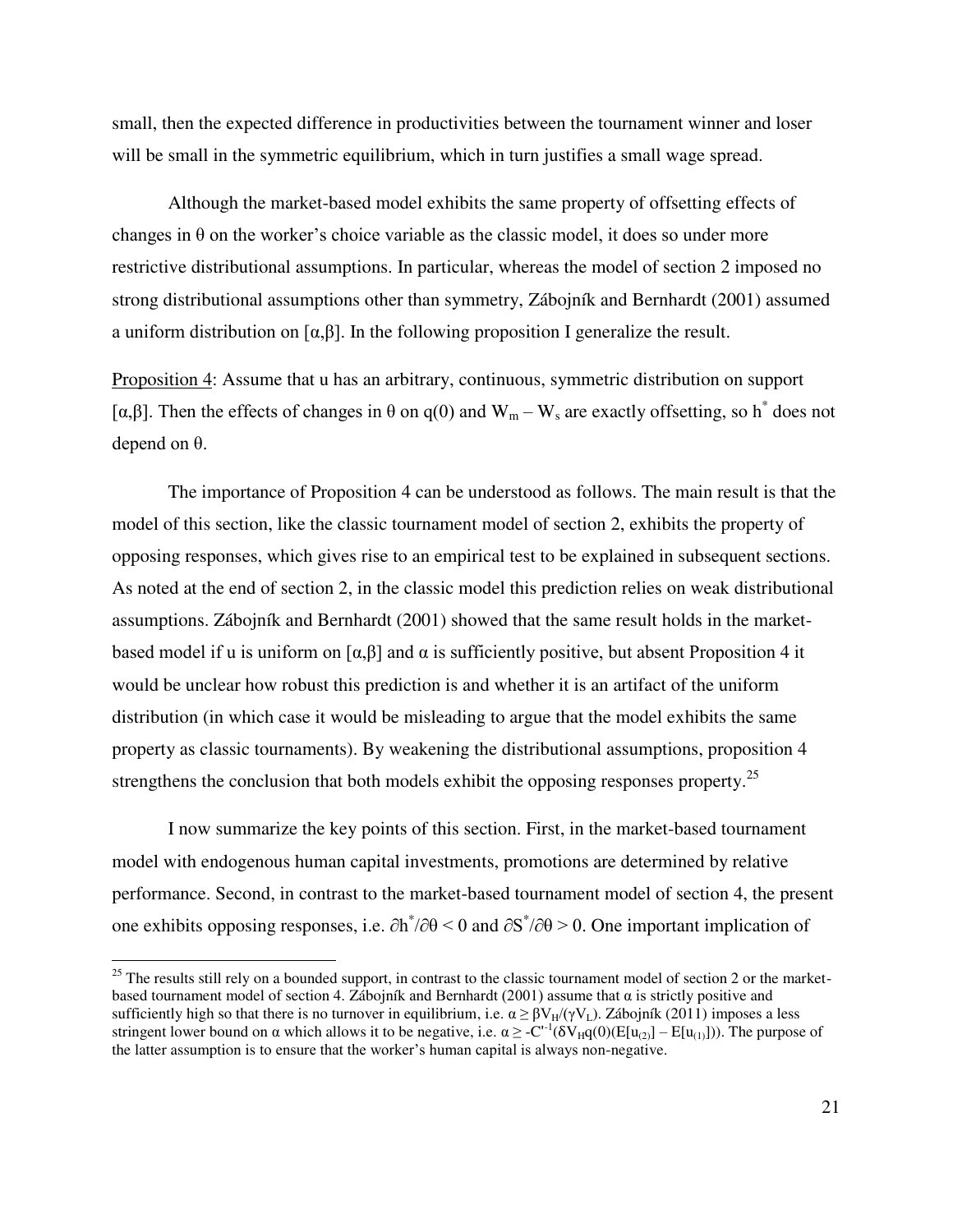small, then the expected difference in productivities between the tournament winner and loser will be small in the symmetric equilibrium, which in turn justifies a small wage spread.

Although the market-based model exhibits the same property of offsetting effects of changes in  $\theta$  on the worker's choice variable as the classic model, it does so under more restrictive distributional assumptions. In particular, whereas the model of section 2 imposed no strong distributional assumptions other than symmetry, Zábojník and Bernhardt (2001) assumed a uniform distribution on  $\lceil \alpha, \beta \rceil$ . In the following proposition I generalize the result.

Proposition 4: Assume that u has an arbitrary, continuous, symmetric distribution on support [ $\alpha, \beta$ ]. Then the effects of changes in  $\theta$  on q(0) and  $W_m - W_s$  are exactly offsetting, so h<sup>\*</sup> does not depend on θ.

The importance of Proposition 4 can be understood as follows. The main result is that the model of this section, like the classic tournament model of section 2, exhibits the property of opposing responses, which gives rise to an empirical test to be explained in subsequent sections. As noted at the end of section 2, in the classic model this prediction relies on weak distributional assumptions. Zábojník and Bernhardt (2001) showed that the same result holds in the marketbased model if u is uniform on  $\lceil \alpha, \beta \rceil$  and  $\alpha$  is sufficiently positive, but absent Proposition 4 it would be unclear how robust this prediction is and whether it is an artifact of the uniform distribution (in which case it would be misleading to argue that the model exhibits the same property as classic tournaments). By weakening the distributional assumptions, proposition 4 strengthens the conclusion that both models exhibit the opposing responses property.<sup>25</sup>

I now summarize the key points of this section. First, in the market-based tournament model with endogenous human capital investments, promotions are determined by relative performance. Second, in contrast to the market-based tournament model of section 4, the present one exhibits opposing responses, i.e.  $\partial h^*/\partial \theta \leq 0$  and  $\partial S^*/\partial \theta \geq 0$ . One important implication of

 $\overline{a}$ 

 $25$  The results still rely on a bounded support, in contrast to the classic tournament model of section 2 or the marketbased tournament model of section 4. Zábojník and Bernhardt (2001) assume that  $\alpha$  is strictly positive and sufficiently high so that there is no turnover in equilibrium, i.e.  $\alpha \geq \beta V_H/(\gamma V_L)$ . Zábojník (2011) imposes a less stringent lower bound on  $\alpha$  which allows it to be negative, i.e.  $\alpha \ge -C^{-1}(\delta V_H q(0)(E[u_{(2)}] - E[u_{(1)}]))$ . The purpose of the latter assumption is to ensure that the worker's human capital is always non-negative.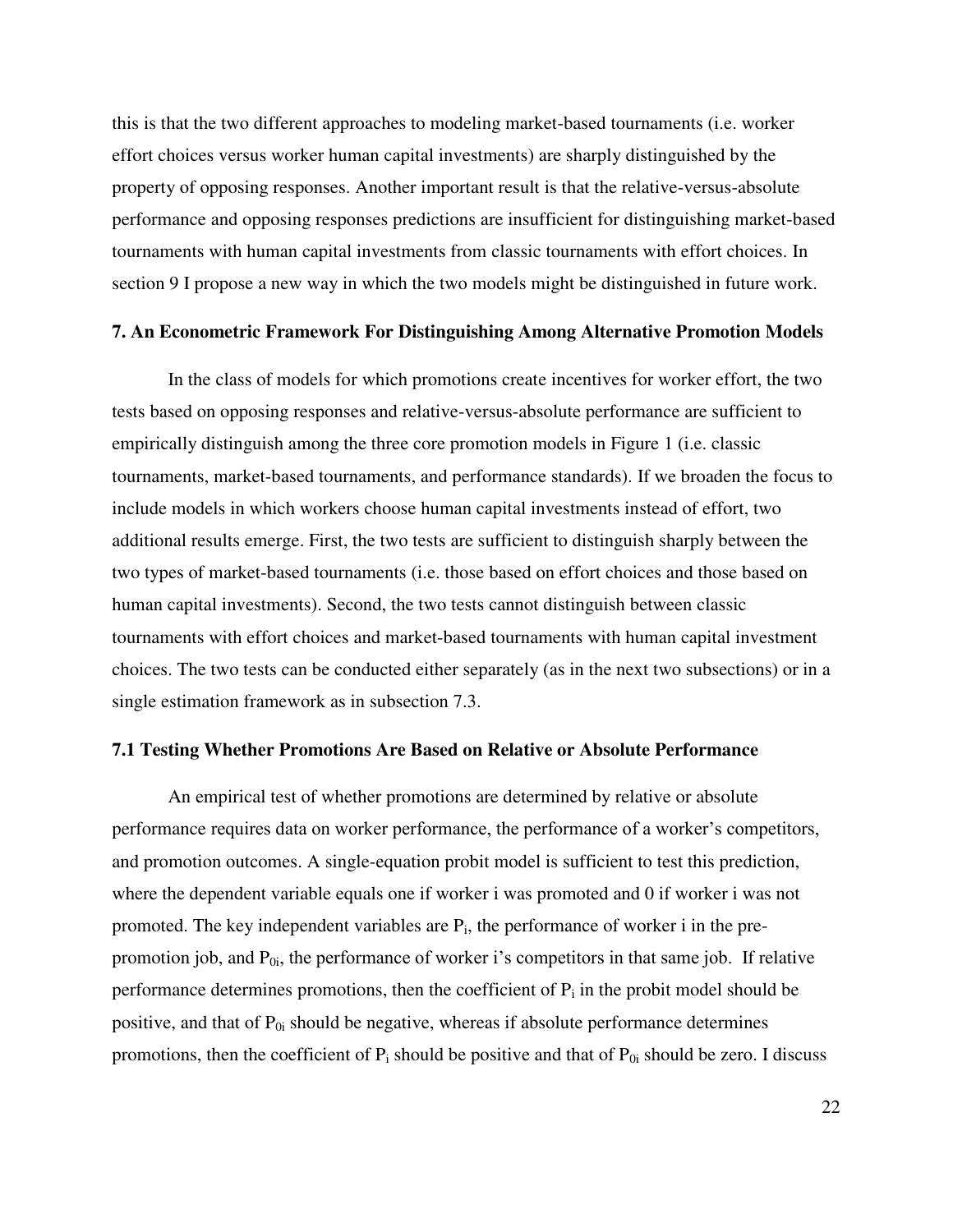this is that the two different approaches to modeling market-based tournaments (i.e. worker effort choices versus worker human capital investments) are sharply distinguished by the property of opposing responses. Another important result is that the relative-versus-absolute performance and opposing responses predictions are insufficient for distinguishing market-based tournaments with human capital investments from classic tournaments with effort choices. In section 9 I propose a new way in which the two models might be distinguished in future work.

# **7. An Econometric Framework For Distinguishing Among Alternative Promotion Models**

In the class of models for which promotions create incentives for worker effort, the two tests based on opposing responses and relative-versus-absolute performance are sufficient to empirically distinguish among the three core promotion models in Figure 1 (i.e. classic tournaments, market-based tournaments, and performance standards). If we broaden the focus to include models in which workers choose human capital investments instead of effort, two additional results emerge. First, the two tests are sufficient to distinguish sharply between the two types of market-based tournaments (i.e. those based on effort choices and those based on human capital investments). Second, the two tests cannot distinguish between classic tournaments with effort choices and market-based tournaments with human capital investment choices. The two tests can be conducted either separately (as in the next two subsections) or in a single estimation framework as in subsection 7.3.

# **7.1 Testing Whether Promotions Are Based on Relative or Absolute Performance**

An empirical test of whether promotions are determined by relative or absolute performance requires data on worker performance, the performance of a worker's competitors, and promotion outcomes. A single-equation probit model is sufficient to test this prediction, where the dependent variable equals one if worker i was promoted and 0 if worker i was not promoted. The key independent variables are  $P_i$ , the performance of worker i in the prepromotion job, and  $P_{0i}$ , the performance of worker i's competitors in that same job. If relative performance determines promotions, then the coefficient of  $P_i$  in the probit model should be positive, and that of  $P_{0i}$  should be negative, whereas if absolute performance determines promotions, then the coefficient of  $P_i$  should be positive and that of  $P_{0i}$  should be zero. I discuss

22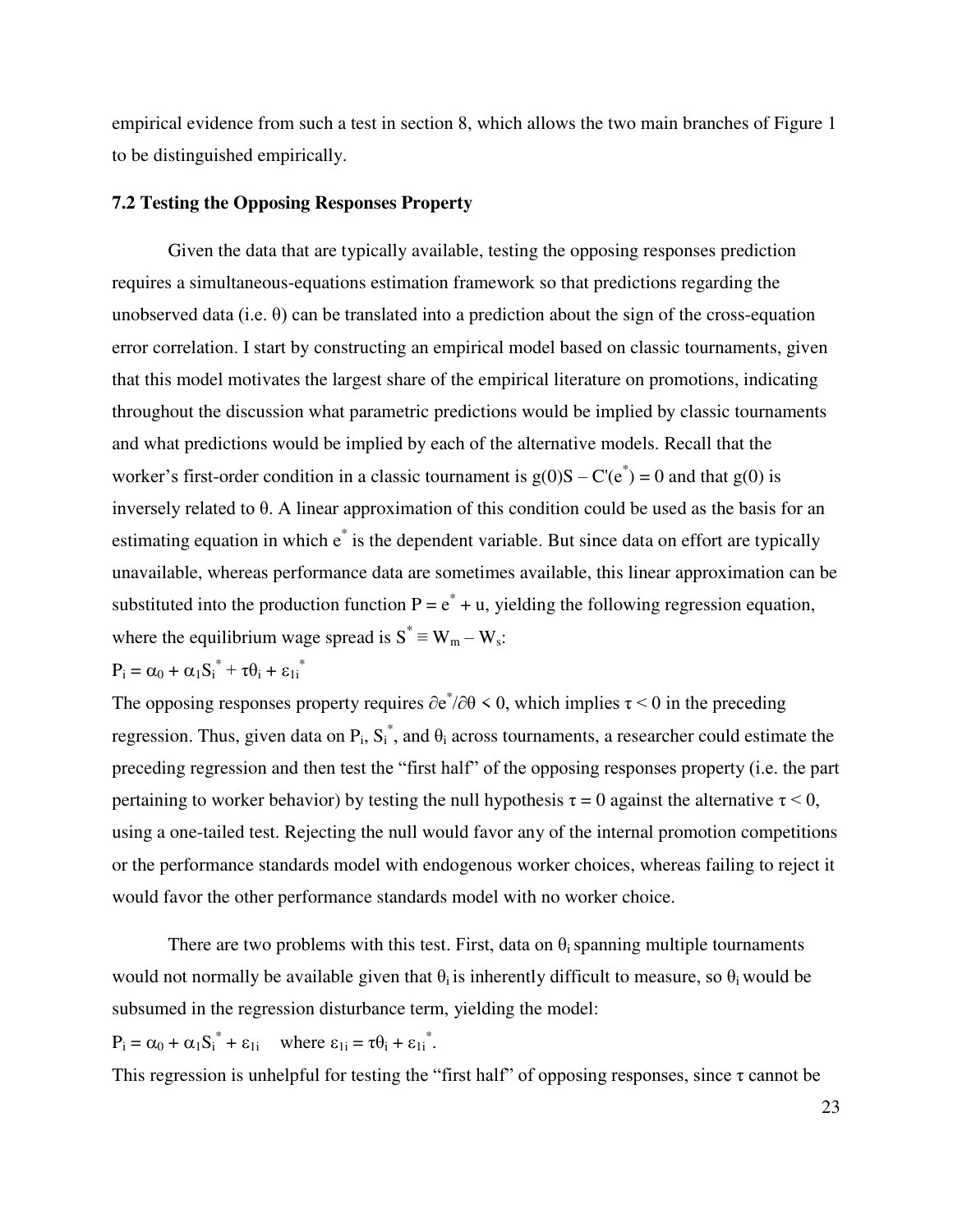empirical evidence from such a test in section 8, which allows the two main branches of Figure 1 to be distinguished empirically.

# **7.2 Testing the Opposing Responses Property**

Given the data that are typically available, testing the opposing responses prediction requires a simultaneous-equations estimation framework so that predictions regarding the unobserved data (i.e.  $\theta$ ) can be translated into a prediction about the sign of the cross-equation error correlation. I start by constructing an empirical model based on classic tournaments, given that this model motivates the largest share of the empirical literature on promotions, indicating throughout the discussion what parametric predictions would be implied by classic tournaments and what predictions would be implied by each of the alternative models. Recall that the worker's first-order condition in a classic tournament is  $g(0)S - C'(e^*) = 0$  and that  $g(0)$  is inversely related to θ. A linear approximation of this condition could be used as the basis for an estimating equation in which  $e^*$  is the dependent variable. But since data on effort are typically unavailable, whereas performance data are sometimes available, this linear approximation can be substituted into the production function  $P = e^* + u$ , yielding the following regression equation, where the equilibrium wage spread is  $S^* \equiv W_m - W_s$ :

$$
P_i = \alpha_0 + \alpha_1 S_i^* + \tau \theta_i + \epsilon_{1i}^*
$$

The opposing responses property requires  $\partial e^*/\partial \theta \leq 0$ , which implies  $\tau \leq 0$  in the preceding regression. Thus, given data on  $P_i$ ,  $S_i^*$ , and  $\theta_i$  across tournaments, a researcher could estimate the preceding regression and then test the "first half" of the opposing responses property (i.e. the part pertaining to worker behavior) by testing the null hypothesis  $\tau = 0$  against the alternative  $\tau \le 0$ , using a one-tailed test. Rejecting the null would favor any of the internal promotion competitions or the performance standards model with endogenous worker choices, whereas failing to reject it would favor the other performance standards model with no worker choice.

There are two problems with this test. First, data on  $\theta_i$  spanning multiple tournaments would not normally be available given that  $\theta_i$  is inherently difficult to measure, so  $\theta_i$  would be subsumed in the regression disturbance term, yielding the model:

 $P_i = \alpha_0 + \alpha_1 S_i^* + \varepsilon_{1i}$  where  $\varepsilon_{1i} = \tau \theta_i + \varepsilon_{1i}^*$ .

This regression is unhelpful for testing the "first half" of opposing responses, since  $\tau$  cannot be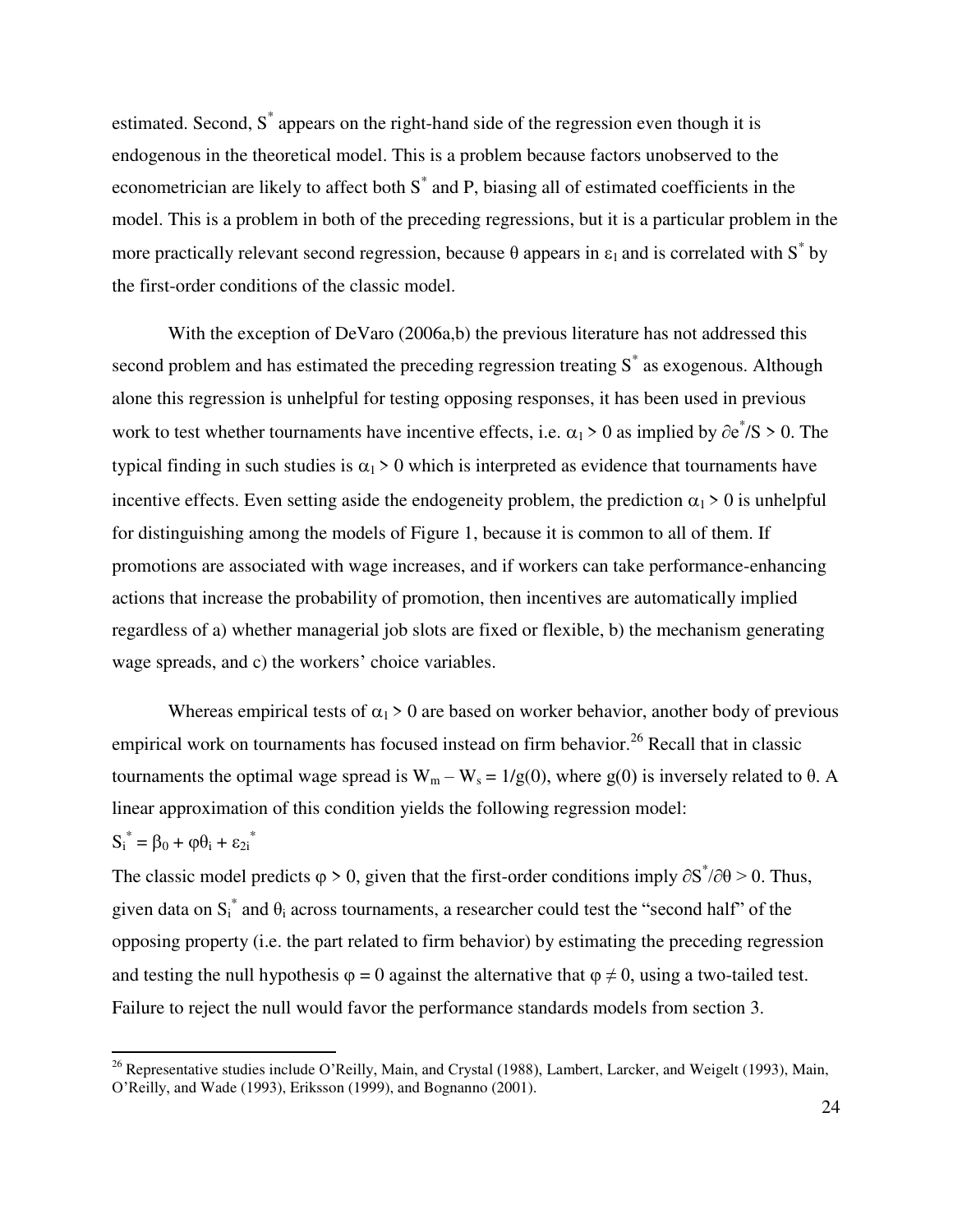estimated. Second, S<sup>\*</sup> appears on the right-hand side of the regression even though it is endogenous in the theoretical model. This is a problem because factors unobserved to the econometrician are likely to affect both S<sup>\*</sup> and P, biasing all of estimated coefficients in the model. This is a problem in both of the preceding regressions, but it is a particular problem in the more practically relevant second regression, because  $\theta$  appears in  $\varepsilon_1$  and is correlated with S<sup>\*</sup> by the first-order conditions of the classic model.

With the exception of DeVaro (2006a,b) the previous literature has not addressed this second problem and has estimated the preceding regression treating  $S^*$  as exogenous. Although alone this regression is unhelpful for testing opposing responses, it has been used in previous work to test whether tournaments have incentive effects, i.e.  $\alpha_1 > 0$  as implied by  $\partial e^* / S > 0$ . The typical finding in such studies is  $\alpha_1 > 0$  which is interpreted as evidence that tournaments have incentive effects. Even setting aside the endogeneity problem, the prediction  $\alpha_1 > 0$  is unhelpful for distinguishing among the models of Figure 1, because it is common to all of them. If promotions are associated with wage increases, and if workers can take performance-enhancing actions that increase the probability of promotion, then incentives are automatically implied regardless of a) whether managerial job slots are fixed or flexible, b) the mechanism generating wage spreads, and c) the workers' choice variables.

Whereas empirical tests of  $\alpha_1 > 0$  are based on worker behavior, another body of previous empirical work on tournaments has focused instead on firm behavior.<sup>26</sup> Recall that in classic tournaments the optimal wage spread is  $W_m - W_s = 1/g(0)$ , where g(0) is inversely related to θ. A linear approximation of this condition yields the following regression model:

$$
S_i^* = \beta_0 + \varphi \theta_i + \varepsilon_{2i}^*
$$

l

The classic model predicts  $\varphi > 0$ , given that the first-order conditions imply  $\partial S^* / \partial \theta > 0$ . Thus, given data on  $S_i^*$  and  $\theta_i$  across tournaments, a researcher could test the "second half" of the opposing property (i.e. the part related to firm behavior) by estimating the preceding regression and testing the null hypothesis  $\varphi = 0$  against the alternative that  $\varphi \neq 0$ , using a two-tailed test. Failure to reject the null would favor the performance standards models from section 3.

<sup>&</sup>lt;sup>26</sup> Representative studies include O'Reilly, Main, and Crystal (1988), Lambert, Larcker, and Weigelt (1993), Main, O'Reilly, and Wade (1993), Eriksson (1999), and Bognanno (2001).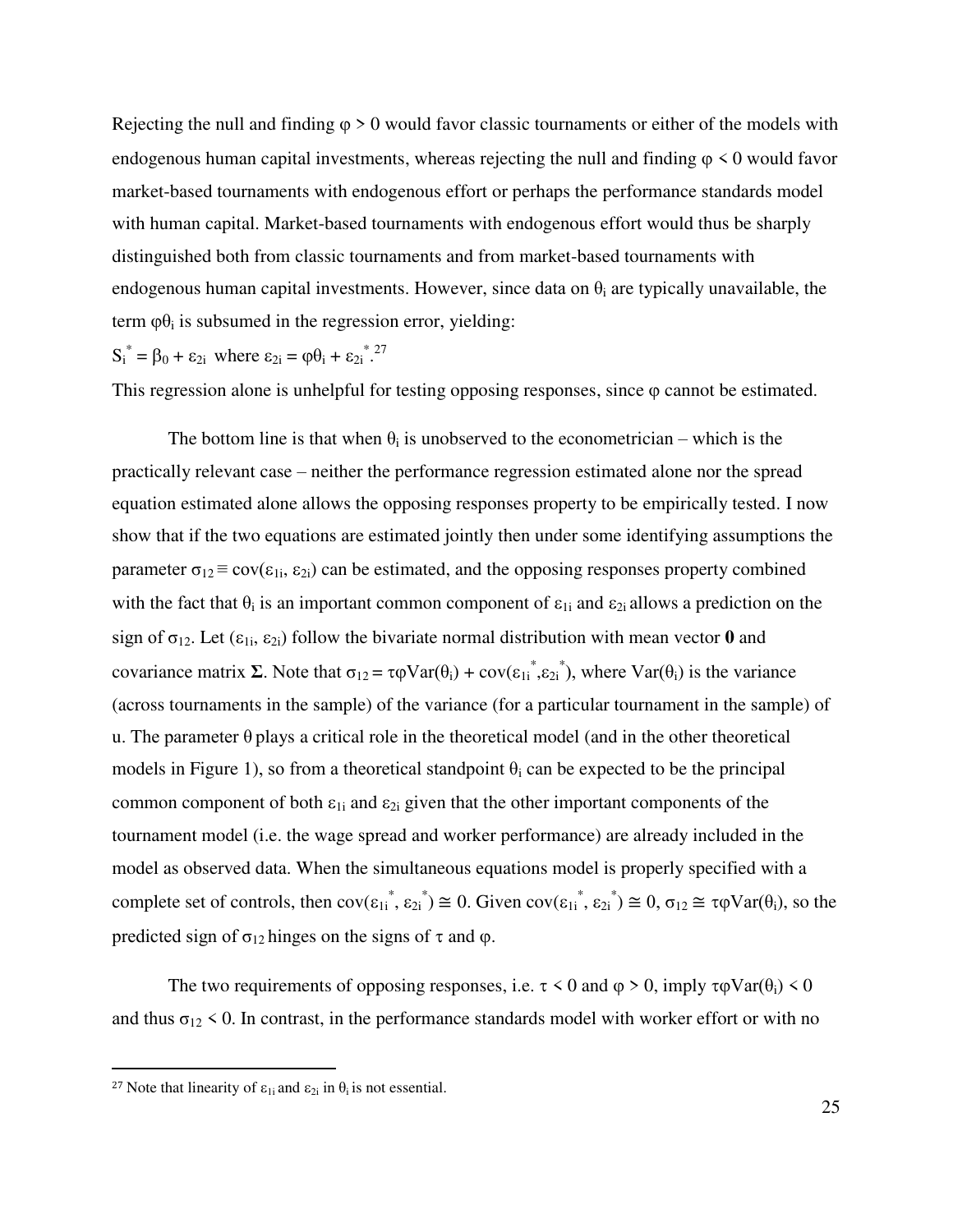Rejecting the null and finding  $\varphi > 0$  would favor classic tournaments or either of the models with endogenous human capital investments, whereas rejecting the null and finding  $\varphi \leq 0$  would favor market-based tournaments with endogenous effort or perhaps the performance standards model with human capital. Market-based tournaments with endogenous effort would thus be sharply distinguished both from classic tournaments and from market-based tournaments with endogenous human capital investments. However, since data on  $\theta_i$  are typically unavailable, the term  $\varphi \theta_i$  is subsumed in the regression error, yielding:

 $S_i^* = \beta_0 + \varepsilon_{2i}$  where  $\varepsilon_{2i} = \phi \theta_i + \varepsilon_{2i}^{27}$ .

This regression alone is unhelpful for testing opposing responses, since  $\varphi$  cannot be estimated.

The bottom line is that when  $\theta_i$  is unobserved to the econometrician – which is the practically relevant case – neither the performance regression estimated alone nor the spread equation estimated alone allows the opposing responses property to be empirically tested. I now show that if the two equations are estimated jointly then under some identifying assumptions the parameter  $\sigma_{12} \equiv \text{cov}(\epsilon_{1i}, \epsilon_{2i})$  can be estimated, and the opposing responses property combined with the fact that  $\theta_i$  is an important common component of  $\epsilon_{1i}$  and  $\epsilon_{2i}$  allows a prediction on the sign of  $\sigma_{12}$ . Let  $(\epsilon_{1i}, \epsilon_{2i})$  follow the bivariate normal distribution with mean vector **0** and covariance matrix  $\Sigma$ . Note that  $\sigma_{12} = \tau \varphi \text{Var}(\theta_i) + \text{cov}(\epsilon_{1i}^*, \epsilon_{2i}^*)$ , where  $\text{Var}(\theta_i)$  is the variance (across tournaments in the sample) of the variance (for a particular tournament in the sample) of u. The parameter  $\theta$  plays a critical role in the theoretical model (and in the other theoretical models in Figure 1), so from a theoretical standpoint  $\theta_i$  can be expected to be the principal common component of both  $\varepsilon_{1i}$  and  $\varepsilon_{2i}$  given that the other important components of the tournament model (i.e. the wage spread and worker performance) are already included in the model as observed data. When the simultaneous equations model is properly specified with a complete set of controls, then  $cov(\epsilon_{1i}^*, \epsilon_{2i}^*) \cong 0$ . Given  $cov(\epsilon_{1i}^*, \epsilon_{2i}^*) \cong 0$ ,  $\sigma_{12} \cong \tau \varphi Var(\theta_i)$ , so the predicted sign of  $\sigma_{12}$  hinges on the signs of  $\tau$  and  $\varphi$ .

The two requirements of opposing responses, i.e.  $\tau \leq 0$  and  $\varphi \geq 0$ , imply  $\tau \varphi \text{Var}(\theta_i) \leq 0$ and thus  $\sigma_{12}$  < 0. In contrast, in the performance standards model with worker effort or with no

 $\overline{a}$ 

<sup>&</sup>lt;sup>27</sup> Note that linearity of  $\varepsilon_{1i}$  and  $\varepsilon_{2i}$  in  $\theta_i$  is not essential.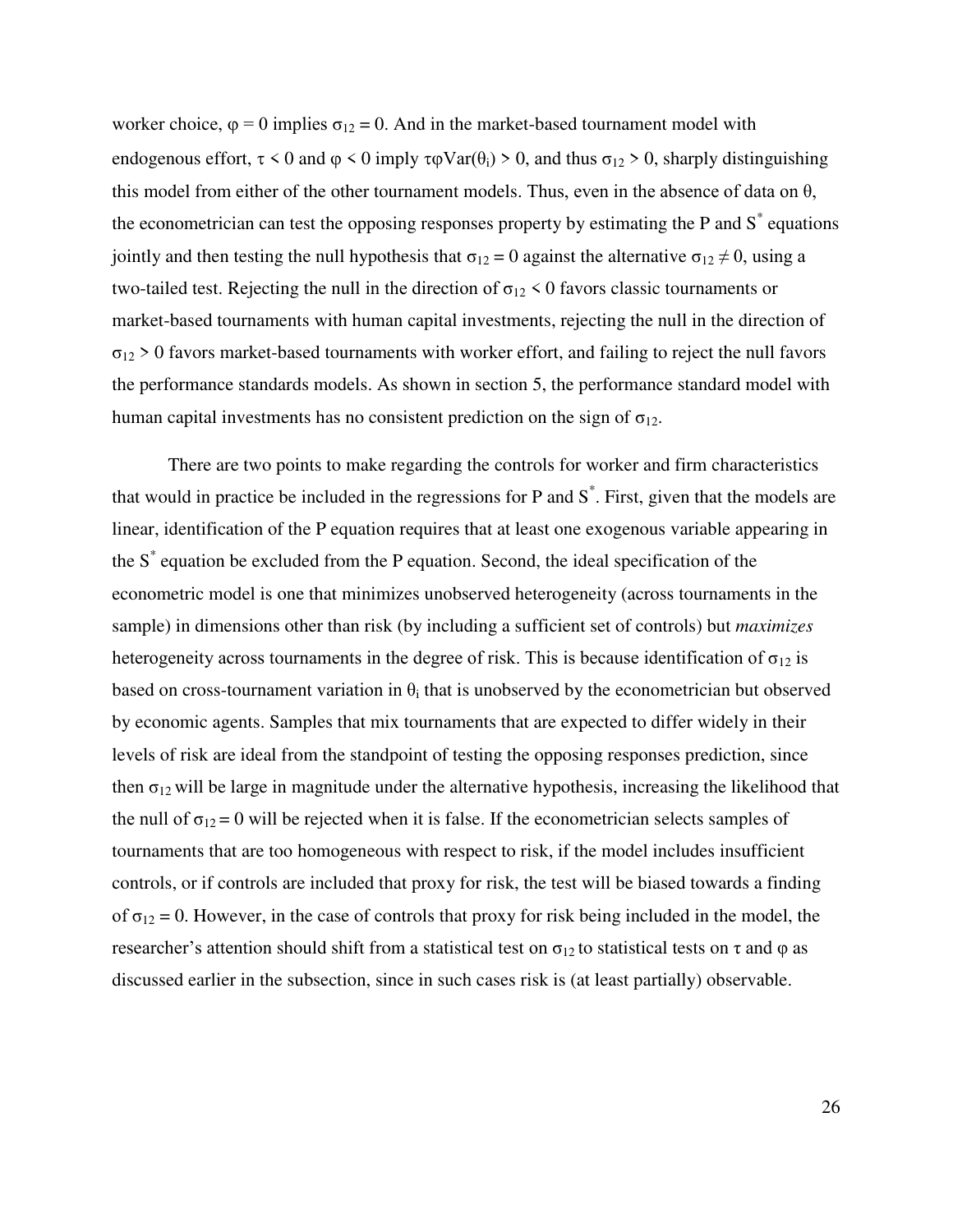worker choice,  $\varphi = 0$  implies  $\sigma_{12} = 0$ . And in the market-based tournament model with endogenous effort,  $\tau < 0$  and  $\varphi < 0$  imply  $\tau \varphi \text{Var}(\theta_i) > 0$ , and thus  $\sigma_{12} > 0$ , sharply distinguishing this model from either of the other tournament models. Thus, even in the absence of data on  $\theta$ , the econometrician can test the opposing responses property by estimating the P and  $S^*$  equations jointly and then testing the null hypothesis that  $\sigma_{12} = 0$  against the alternative  $\sigma_{12} \neq 0$ , using a two-tailed test. Rejecting the null in the direction of  $\sigma_{12}$  < 0 favors classic tournaments or market-based tournaments with human capital investments, rejecting the null in the direction of  $\sigma_{12}$  > 0 favors market-based tournaments with worker effort, and failing to reject the null favors the performance standards models. As shown in section 5, the performance standard model with human capital investments has no consistent prediction on the sign of  $\sigma_{12}$ .

There are two points to make regarding the controls for worker and firm characteristics that would in practice be included in the regressions for P and  $S^*$ . First, given that the models are linear, identification of the P equation requires that at least one exogenous variable appearing in the S\* equation be excluded from the P equation. Second, the ideal specification of the econometric model is one that minimizes unobserved heterogeneity (across tournaments in the sample) in dimensions other than risk (by including a sufficient set of controls) but *maximizes* heterogeneity across tournaments in the degree of risk. This is because identification of  $\sigma_{12}$  is based on cross-tournament variation in  $\theta_i$  that is unobserved by the econometrician but observed by economic agents. Samples that mix tournaments that are expected to differ widely in their levels of risk are ideal from the standpoint of testing the opposing responses prediction, since then  $\sigma_{12}$  will be large in magnitude under the alternative hypothesis, increasing the likelihood that the null of  $\sigma_{12} = 0$  will be rejected when it is false. If the econometrician selects samples of tournaments that are too homogeneous with respect to risk, if the model includes insufficient controls, or if controls are included that proxy for risk, the test will be biased towards a finding of  $\sigma_{12} = 0$ . However, in the case of controls that proxy for risk being included in the model, the researcher's attention should shift from a statistical test on  $\sigma_{12}$  to statistical tests on τ and φ as discussed earlier in the subsection, since in such cases risk is (at least partially) observable.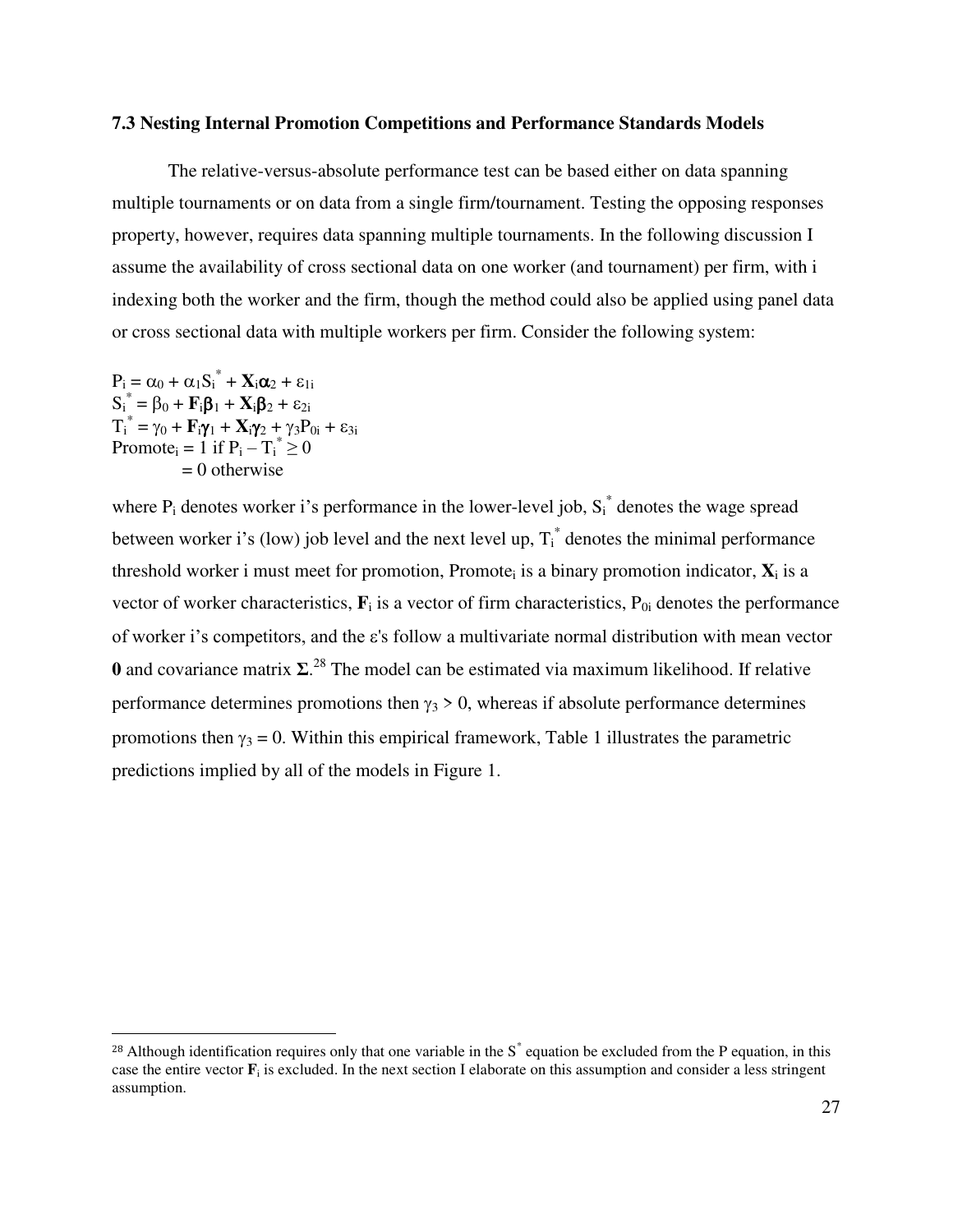# **7.3 Nesting Internal Promotion Competitions and Performance Standards Models**

The relative-versus-absolute performance test can be based either on data spanning multiple tournaments or on data from a single firm/tournament. Testing the opposing responses property, however, requires data spanning multiple tournaments. In the following discussion I assume the availability of cross sectional data on one worker (and tournament) per firm, with i indexing both the worker and the firm, though the method could also be applied using panel data or cross sectional data with multiple workers per firm. Consider the following system:

 $P_i = \alpha_0 + \alpha_1 S_i^* + X_i \alpha_2 + \varepsilon_{1i}$  $S_i^* = \beta_0 + F_i \beta_1 + X_i \beta_2 + \varepsilon_{2i}$  $T_i^* = \gamma_0 + \mathbf{F}_i \gamma_1 + \mathbf{X}_i \gamma_2 + \gamma_3 P_{0i} + \varepsilon_{3i}$ Promote<sub>i</sub> = 1 if  $P_i - T_i^* \ge 0$  $= 0$  otherwise

l

where  $P_i$  denotes worker i's performance in the lower-level job,  $S_i^*$  denotes the wage spread between worker i's (low) job level and the next level up,  $T_i^*$  denotes the minimal performance threshold worker i must meet for promotion, Promote<sub>i</sub> is a binary promotion indicator,  $\mathbf{X}_i$  is a vector of worker characteristics,  $\mathbf{F}_i$  is a vector of firm characteristics,  $P_{0i}$  denotes the performance of worker i's competitors, and the  $\varepsilon$ 's follow a multivariate normal distribution with mean vector **0** and covariance matrix  $\Sigma$ <sup>28</sup>. The model can be estimated via maximum likelihood. If relative performance determines promotions then  $\gamma_3 > 0$ , whereas if absolute performance determines promotions then  $\gamma_3 = 0$ . Within this empirical framework, Table 1 illustrates the parametric predictions implied by all of the models in Figure 1.

<sup>&</sup>lt;sup>28</sup> Although identification requires only that one variable in the  $S^*$  equation be excluded from the P equation, in this case the entire vector  $\mathbf{F}_i$  is excluded. In the next section I elaborate on this assumption and consider a less stringent assumption.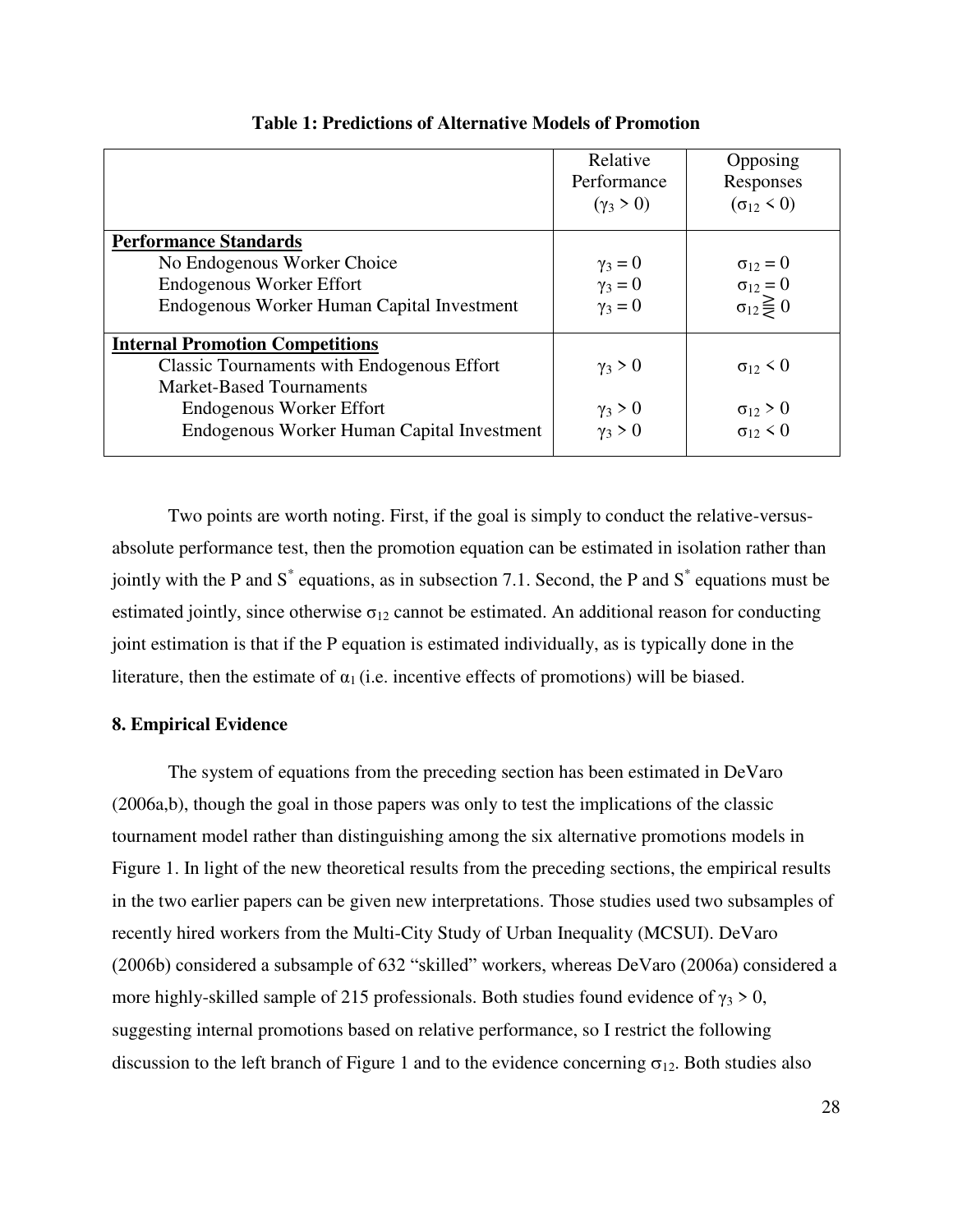|                                                   | Relative<br>Performance<br>$(\gamma_3 > 0)$ | Opposing<br>Responses<br>$(\sigma_{12} < 0)$ |
|---------------------------------------------------|---------------------------------------------|----------------------------------------------|
| <b>Performance Standards</b>                      |                                             |                                              |
| No Endogenous Worker Choice                       | $\gamma_3=0$                                | $\sigma_{12} = 0$                            |
| <b>Endogenous Worker Effort</b>                   | $\gamma_3=0$                                | $\sigma_{12} = 0$                            |
| Endogenous Worker Human Capital Investment        | $\gamma_3=0$                                | $\sigma_{12} \geq 0$                         |
| <b>Internal Promotion Competitions</b>            |                                             |                                              |
| <b>Classic Tournaments with Endogenous Effort</b> | $\gamma_3 > 0$                              | $\sigma_{12}$ < 0                            |
| <b>Market-Based Tournaments</b>                   |                                             |                                              |
| <b>Endogenous Worker Effort</b>                   | $\gamma_3 > 0$                              | $\sigma_{12} > 0$                            |
| Endogenous Worker Human Capital Investment        | $\gamma_3 > 0$                              | $\sigma_{12}$ < 0                            |

**Table 1: Predictions of Alternative Models of Promotion** 

Two points are worth noting. First, if the goal is simply to conduct the relative-versusabsolute performance test, then the promotion equation can be estimated in isolation rather than jointly with the P and S<sup>\*</sup> equations, as in subsection 7.1. Second, the P and S<sup>\*</sup> equations must be estimated jointly, since otherwise  $\sigma_{12}$  cannot be estimated. An additional reason for conducting joint estimation is that if the P equation is estimated individually, as is typically done in the literature, then the estimate of  $\alpha_1$  (i.e. incentive effects of promotions) will be biased.

# **8. Empirical Evidence**

The system of equations from the preceding section has been estimated in DeVaro (2006a,b), though the goal in those papers was only to test the implications of the classic tournament model rather than distinguishing among the six alternative promotions models in Figure 1. In light of the new theoretical results from the preceding sections, the empirical results in the two earlier papers can be given new interpretations. Those studies used two subsamples of recently hired workers from the Multi-City Study of Urban Inequality (MCSUI). DeVaro (2006b) considered a subsample of 632 "skilled" workers, whereas DeVaro (2006a) considered a more highly-skilled sample of 215 professionals. Both studies found evidence of  $\gamma_3 > 0$ , suggesting internal promotions based on relative performance, so I restrict the following discussion to the left branch of Figure 1 and to the evidence concerning  $\sigma_{12}$ . Both studies also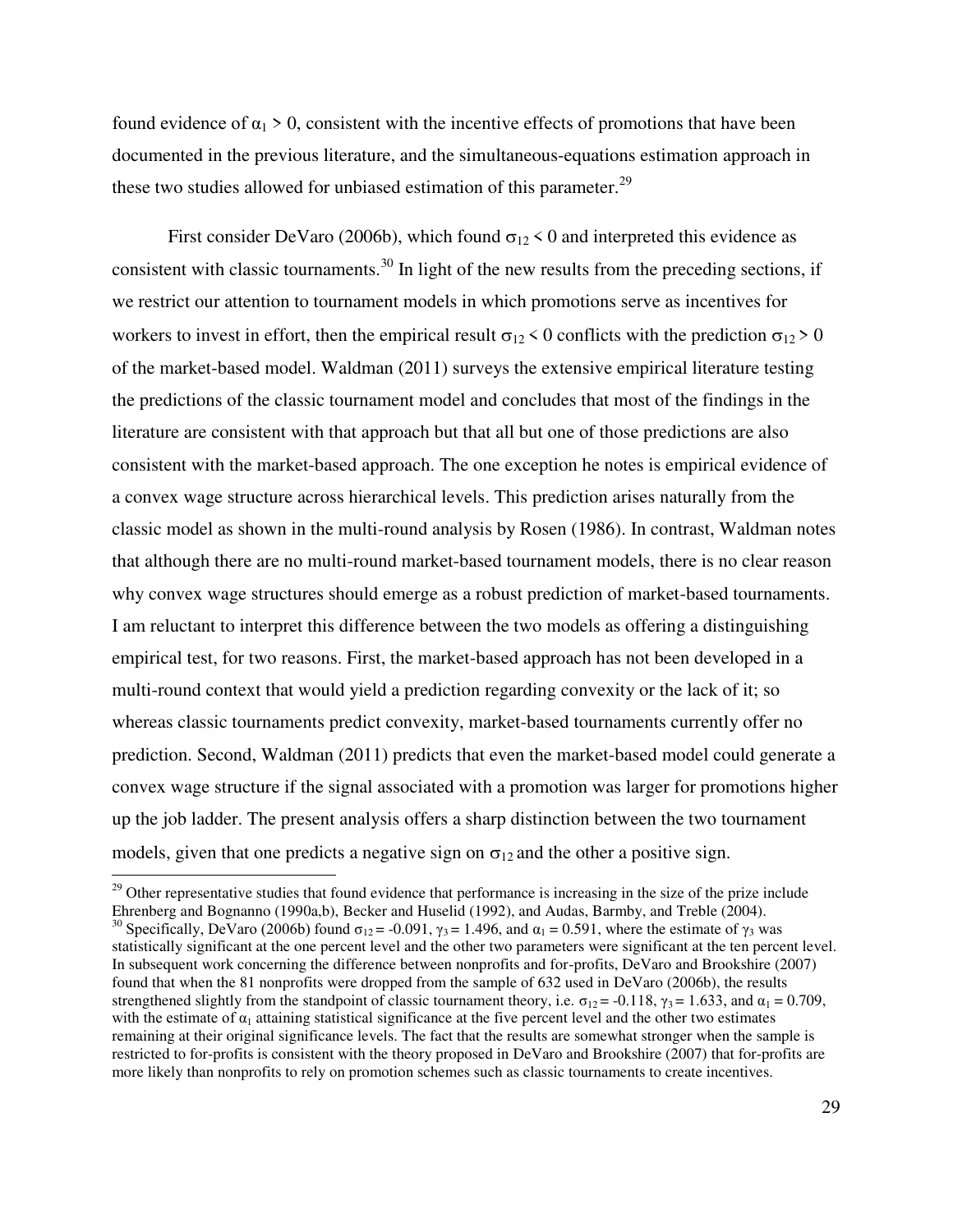found evidence of  $\alpha_1 > 0$ , consistent with the incentive effects of promotions that have been documented in the previous literature, and the simultaneous-equations estimation approach in these two studies allowed for unbiased estimation of this parameter.<sup>29</sup>

First consider DeVaro (2006b), which found  $\sigma_{12}$  < 0 and interpreted this evidence as consistent with classic tournaments.<sup>30</sup> In light of the new results from the preceding sections, if we restrict our attention to tournament models in which promotions serve as incentives for workers to invest in effort, then the empirical result  $\sigma_{12}$  < 0 conflicts with the prediction  $\sigma_{12}$  > 0 of the market-based model. Waldman (2011) surveys the extensive empirical literature testing the predictions of the classic tournament model and concludes that most of the findings in the literature are consistent with that approach but that all but one of those predictions are also consistent with the market-based approach. The one exception he notes is empirical evidence of a convex wage structure across hierarchical levels. This prediction arises naturally from the classic model as shown in the multi-round analysis by Rosen (1986). In contrast, Waldman notes that although there are no multi-round market-based tournament models, there is no clear reason why convex wage structures should emerge as a robust prediction of market-based tournaments. I am reluctant to interpret this difference between the two models as offering a distinguishing empirical test, for two reasons. First, the market-based approach has not been developed in a multi-round context that would yield a prediction regarding convexity or the lack of it; so whereas classic tournaments predict convexity, market-based tournaments currently offer no prediction. Second, Waldman (2011) predicts that even the market-based model could generate a convex wage structure if the signal associated with a promotion was larger for promotions higher up the job ladder. The present analysis offers a sharp distinction between the two tournament models, given that one predicts a negative sign on  $\sigma_{12}$  and the other a positive sign.  $\overline{a}$ 

<sup>&</sup>lt;sup>29</sup> Other representative studies that found evidence that performance is increasing in the size of the prize include Ehrenberg and Bognanno (1990a,b), Becker and Huselid (1992), and Audas, Barmby, and Treble (2004). <sup>30</sup> Specifically, DeVaro (2006b) found  $\sigma_{12} = -0.091$ ,  $\gamma_3 = 1.496$ , and  $\alpha_1 = 0.591$ , where the estimate of  $\gamma_3$  was statistically significant at the one percent level and the other two parameters were significant at the ten percent level. In subsequent work concerning the difference between nonprofits and for-profits, DeVaro and Brookshire (2007) found that when the 81 nonprofits were dropped from the sample of 632 used in DeVaro (2006b), the results strengthened slightly from the standpoint of classic tournament theory, i.e.  $\sigma_{12} = -0.118$ ,  $\gamma_3 = 1.633$ , and  $\alpha_1 = 0.709$ , with the estimate of  $\alpha_1$  attaining statistical significance at the five percent level and the other two estimates remaining at their original significance levels. The fact that the results are somewhat stronger when the sample is restricted to for-profits is consistent with the theory proposed in DeVaro and Brookshire (2007) that for-profits are more likely than nonprofits to rely on promotion schemes such as classic tournaments to create incentives.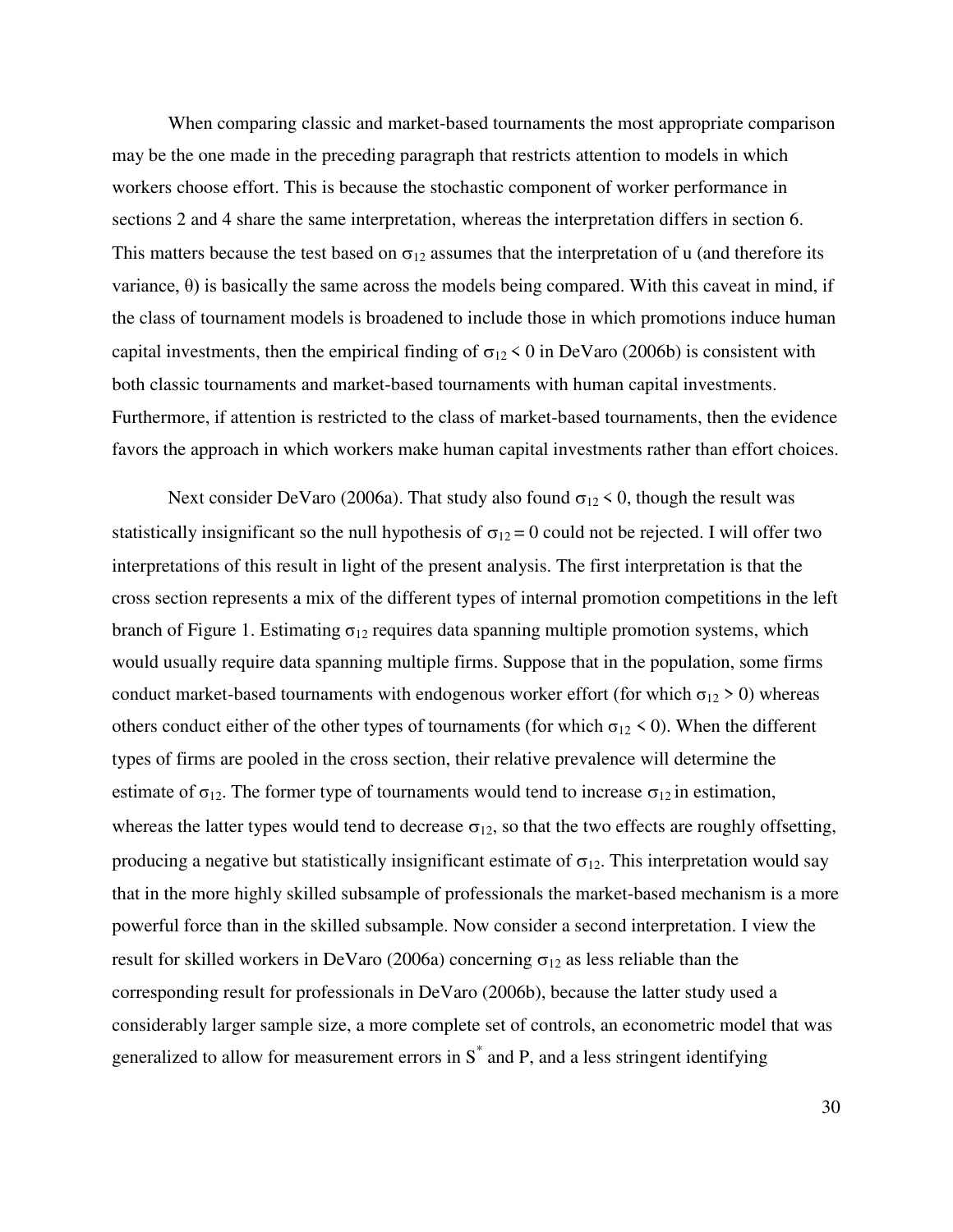When comparing classic and market-based tournaments the most appropriate comparison may be the one made in the preceding paragraph that restricts attention to models in which workers choose effort. This is because the stochastic component of worker performance in sections 2 and 4 share the same interpretation, whereas the interpretation differs in section 6. This matters because the test based on  $\sigma_{12}$  assumes that the interpretation of u (and therefore its variance, θ) is basically the same across the models being compared. With this caveat in mind, if the class of tournament models is broadened to include those in which promotions induce human capital investments, then the empirical finding of  $\sigma_{12}$  < 0 in DeVaro (2006b) is consistent with both classic tournaments and market-based tournaments with human capital investments. Furthermore, if attention is restricted to the class of market-based tournaments, then the evidence favors the approach in which workers make human capital investments rather than effort choices.

Next consider DeVaro (2006a). That study also found  $\sigma_{12}$  < 0, though the result was statistically insignificant so the null hypothesis of  $\sigma_{12} = 0$  could not be rejected. I will offer two interpretations of this result in light of the present analysis. The first interpretation is that the cross section represents a mix of the different types of internal promotion competitions in the left branch of Figure 1. Estimating  $\sigma_{12}$  requires data spanning multiple promotion systems, which would usually require data spanning multiple firms. Suppose that in the population, some firms conduct market-based tournaments with endogenous worker effort (for which  $\sigma_{12} > 0$ ) whereas others conduct either of the other types of tournaments (for which  $\sigma_{12}$  < 0). When the different types of firms are pooled in the cross section, their relative prevalence will determine the estimate of  $\sigma_{12}$ . The former type of tournaments would tend to increase  $\sigma_{12}$  in estimation, whereas the latter types would tend to decrease  $\sigma_{12}$ , so that the two effects are roughly offsetting, producing a negative but statistically insignificant estimate of  $\sigma_{12}$ . This interpretation would say that in the more highly skilled subsample of professionals the market-based mechanism is a more powerful force than in the skilled subsample. Now consider a second interpretation. I view the result for skilled workers in DeVaro (2006a) concerning  $\sigma_{12}$  as less reliable than the corresponding result for professionals in DeVaro (2006b), because the latter study used a considerably larger sample size, a more complete set of controls, an econometric model that was generalized to allow for measurement errors in  $S^*$  and P, and a less stringent identifying

30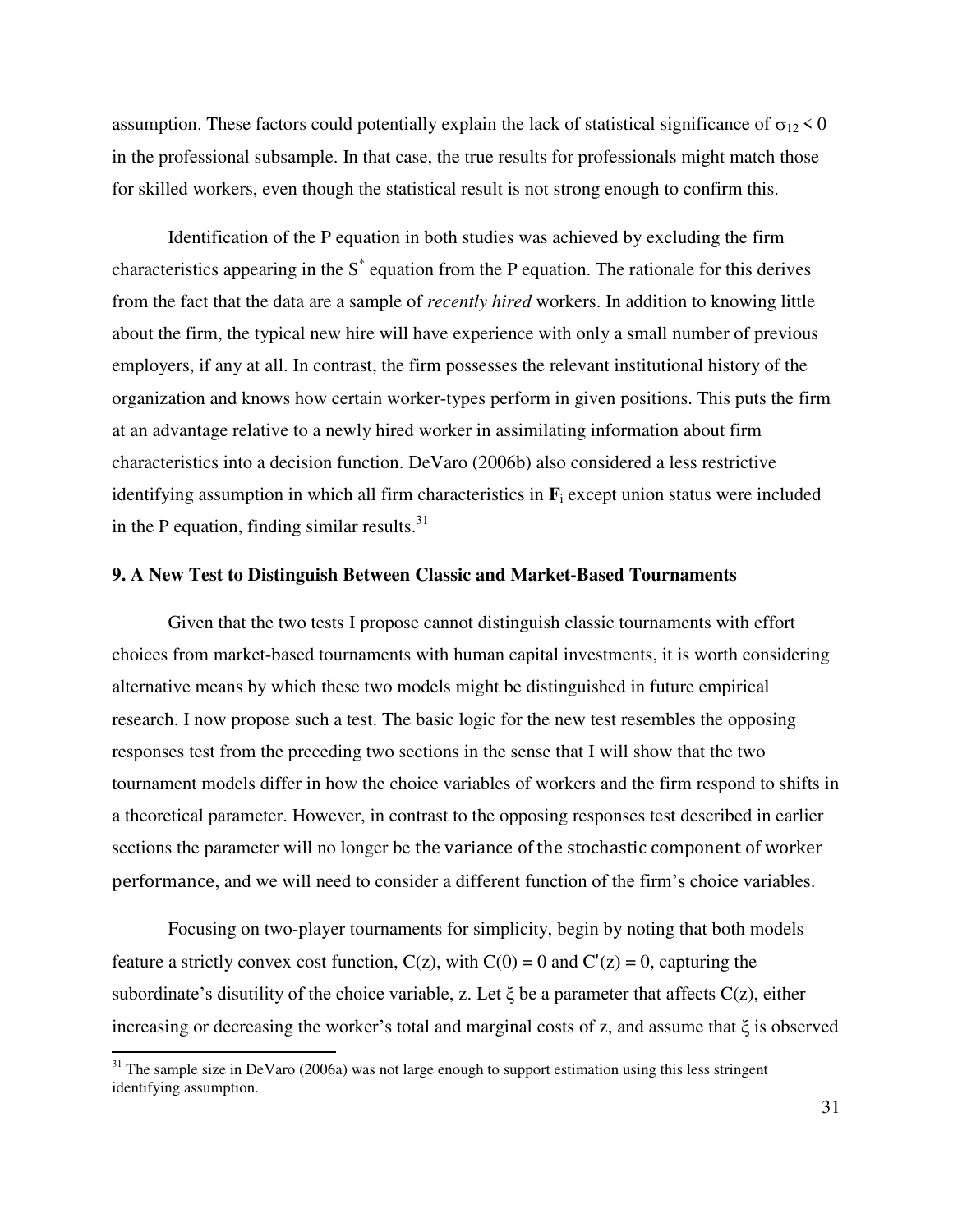assumption. These factors could potentially explain the lack of statistical significance of  $\sigma_{12}$  < 0 in the professional subsample. In that case, the true results for professionals might match those for skilled workers, even though the statistical result is not strong enough to confirm this.

Identification of the P equation in both studies was achieved by excluding the firm characteristics appearing in the  $S^*$  equation from the P equation. The rationale for this derives from the fact that the data are a sample of *recently hired* workers. In addition to knowing little about the firm, the typical new hire will have experience with only a small number of previous employers, if any at all. In contrast, the firm possesses the relevant institutional history of the organization and knows how certain worker-types perform in given positions. This puts the firm at an advantage relative to a newly hired worker in assimilating information about firm characteristics into a decision function. DeVaro (2006b) also considered a less restrictive identifying assumption in which all firm characteristics in **F**<sup>i</sup> except union status were included in the P equation, finding similar results. $31$ 

# **9. A New Test to Distinguish Between Classic and Market-Based Tournaments**

 Given that the two tests I propose cannot distinguish classic tournaments with effort choices from market-based tournaments with human capital investments, it is worth considering alternative means by which these two models might be distinguished in future empirical research. I now propose such a test. The basic logic for the new test resembles the opposing responses test from the preceding two sections in the sense that I will show that the two tournament models differ in how the choice variables of workers and the firm respond to shifts in a theoretical parameter. However, in contrast to the opposing responses test described in earlier sections the parameter will no longer be the variance of the stochastic component of worker performance, and we will need to consider a different function of the firm's choice variables.

Focusing on two-player tournaments for simplicity, begin by noting that both models feature a strictly convex cost function,  $C(z)$ , with  $C(0) = 0$  and  $C'(z) = 0$ , capturing the subordinate's disutility of the choice variable, z. Let  $\xi$  be a parameter that affects  $C(z)$ , either increasing or decreasing the worker's total and marginal costs of z, and assume that ξ is observed

l

 $31$  The sample size in DeVaro (2006a) was not large enough to support estimation using this less stringent identifying assumption.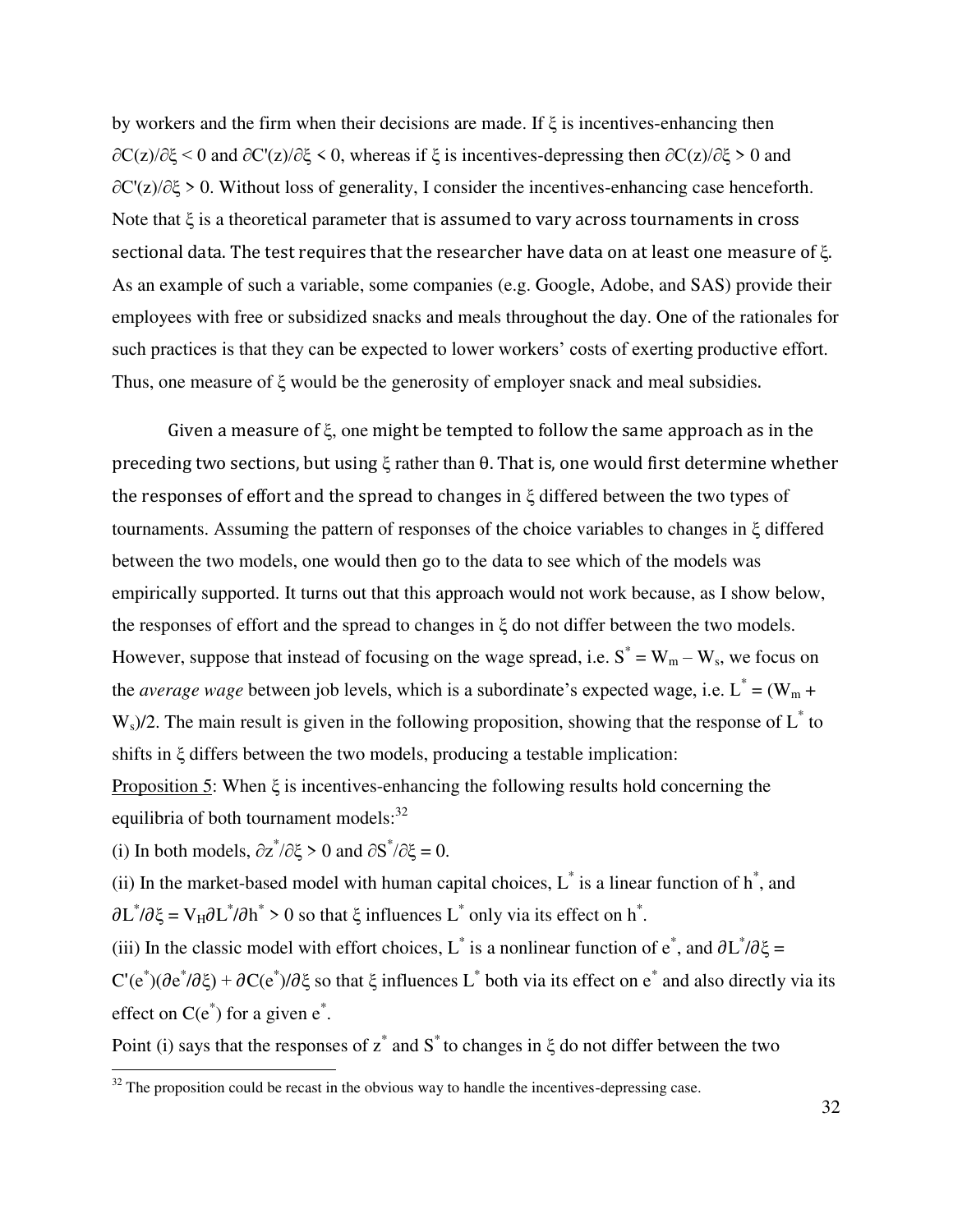by workers and the firm when their decisions are made. If  $\xi$  is incentives-enhancing then  $\partial C(z)/\partial \xi$  < 0 and  $\partial C'(z)/\partial \xi$  < 0, whereas if  $\xi$  is incentives-depressing then  $\partial C(z)/\partial \xi > 0$  and ∂C'(z)/∂ξ > 0. Without loss of generality, I consider the incentives-enhancing case henceforth. Note that  $\xi$  is a theoretical parameter that is assumed to vary across tournaments in cross sectional data. The test requires that the researcher have data on at least one measure of ξ. As an example of such a variable, some companies (e.g. Google, Adobe, and SAS) provide their employees with free or subsidized snacks and meals throughout the day. One of the rationales for such practices is that they can be expected to lower workers' costs of exerting productive effort. Thus, one measure of ξ would be the generosity of employer snack and meal subsidies.

 Given a measure of ξ, one might be tempted to follow the same approach as in the preceding two sections, but using ξ rather than θ. That is, one would first determine whether the responses of effort and the spread to changes in ξ differed between the two types of tournaments. Assuming the pattern of responses of the choice variables to changes in ξ differed between the two models, one would then go to the data to see which of the models was empirically supported. It turns out that this approach would not work because, as I show below, the responses of effort and the spread to changes in ξ do not differ between the two models. However, suppose that instead of focusing on the wage spread, i.e.  $S^* = W_m - W_s$ , we focus on the *average wage* between job levels, which is a subordinate's expected wage, i.e.  $L^* = (W_m +$  $W_s$ )/2. The main result is given in the following proposition, showing that the response of  $L^*$  to shifts in ξ differs between the two models, producing a testable implication: Proposition 5: When ξ is incentives-enhancing the following results hold concerning the

equilibria of both tournament models: $32$ 

l

(i) In both models,  $\partial z^* / \partial \xi > 0$  and  $\partial S^* / \partial \xi = 0$ .

(ii) In the market-based model with human capital choices,  $L^*$  is a linear function of  $h^*$ , and  $\partial L^* / \partial \xi = V_H \partial L^* / \partial h^* > 0$  so that  $\xi$  influences  $L^*$  only via its effect on  $h^*$ .

(iii) In the classic model with effort choices, L<sup>\*</sup> is a nonlinear function of e<sup>\*</sup>, and  $\partial L^* / \partial \xi =$ 

C'(e<sup>\*</sup>)( $\partial e^*/\partial \xi$ ) +  $\partial C(e^*)/\partial \xi$  so that  $\xi$  influences L<sup>\*</sup> both via its effect on e<sup>\*</sup> and also directly via its effect on  $C(e^*)$  for a given  $e^*$ .

Point (i) says that the responses of  $z^*$  and  $S^*$  to changes in  $\xi$  do not differ between the two

 $32$  The proposition could be recast in the obvious way to handle the incentives-depressing case.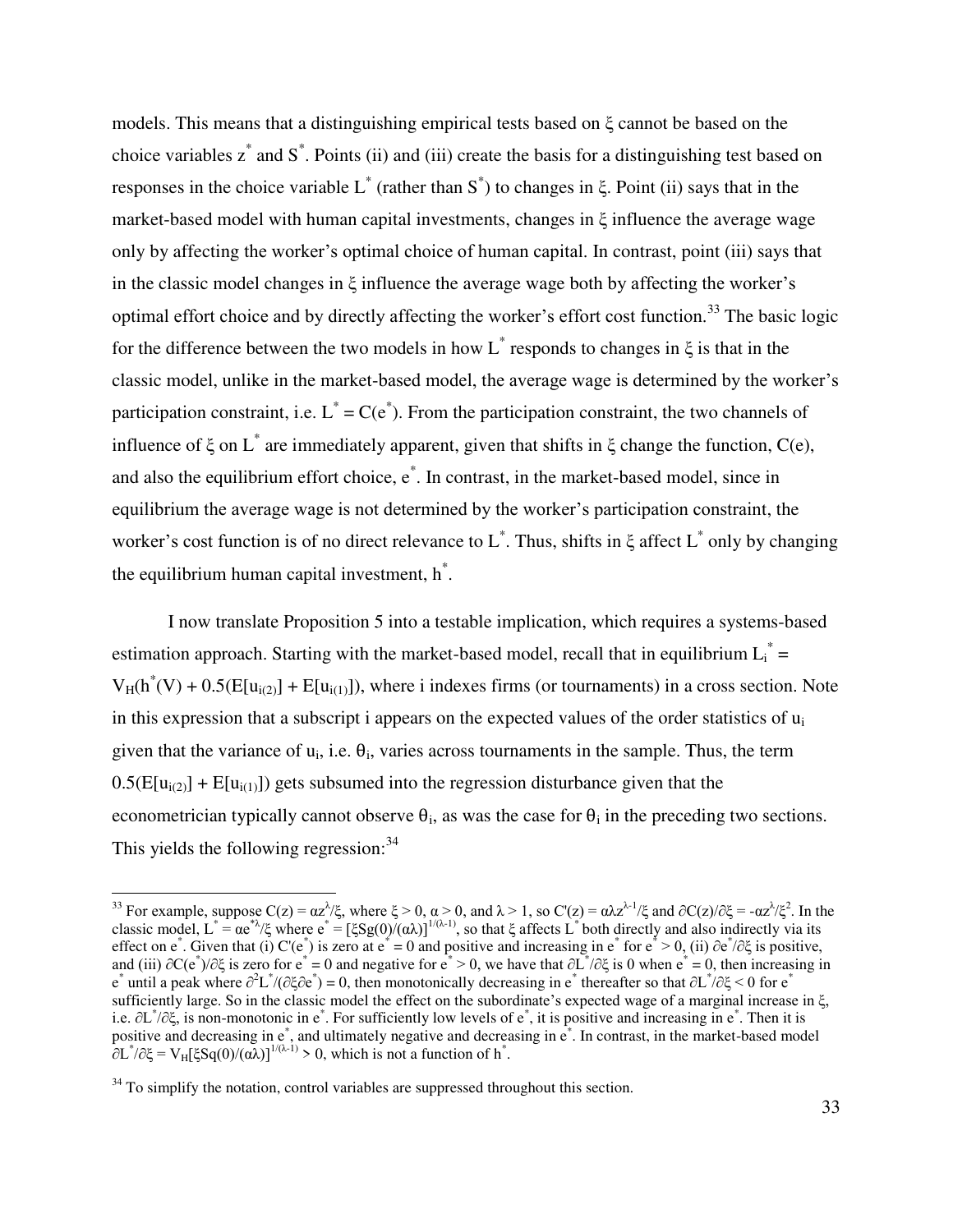models. This means that a distinguishing empirical tests based on ξ cannot be based on the choice variables  $z^*$  and  $S^*$ . Points (ii) and (iii) create the basis for a distinguishing test based on responses in the choice variable  $L^*$  (rather than  $S^*$ ) to changes in  $\xi$ . Point (ii) says that in the market-based model with human capital investments, changes in ξ influence the average wage only by affecting the worker's optimal choice of human capital. In contrast, point (iii) says that in the classic model changes in ξ influence the average wage both by affecting the worker's optimal effort choice and by directly affecting the worker's effort cost function.<sup>33</sup> The basic logic for the difference between the two models in how  $L^*$  responds to changes in  $\xi$  is that in the classic model, unlike in the market-based model, the average wage is determined by the worker's participation constraint, i.e.  $L^* = C(e^*)$ . From the participation constraint, the two channels of influence of  $\xi$  on  $L^*$  are immediately apparent, given that shifts in  $\xi$  change the function, C(e), and also the equilibrium effort choice, e<sup>\*</sup>. In contrast, in the market-based model, since in equilibrium the average wage is not determined by the worker's participation constraint, the worker's cost function is of no direct relevance to  $L^*$ . Thus, shifts in  $\xi$  affect  $L^*$  only by changing the equilibrium human capital investment,  $h^*$ .

 I now translate Proposition 5 into a testable implication, which requires a systems-based estimation approach. Starting with the market-based model, recall that in equilibrium  $L_i^* =$  $V_H(h^*(V) + 0.5(E[u_{i(2)}] + E[u_{i(1)}])$ , where i indexes firms (or tournaments) in a cross section. Note in this expression that a subscript i appears on the expected values of the order statistics of  $u_i$ given that the variance of  $u_i$ , i.e.  $\theta_i$ , varies across tournaments in the sample. Thus, the term  $0.5(E[u_{i(2)}] + E[u_{i(1)}])$  gets subsumed into the regression disturbance given that the econometrician typically cannot observe  $\theta_i$ , as was the case for  $\theta_i$  in the preceding two sections. This yields the following regression: $34$ 

l

<sup>&</sup>lt;sup>33</sup> For example, suppose C(z) =  $\alpha z^{\lambda}/\xi$ , where  $\xi > 0$ ,  $\alpha > 0$ , and  $\lambda > 1$ , so C'(z) =  $\alpha \alpha z^{\lambda/2}$  and  $\partial C(z)/\partial \xi = -\alpha z^{\lambda}/\xi^2$ . In the classic model,  $L^* = \alpha e^{i\lambda}/\xi$  where  $e^* = [\xi Sg(0)/(\alpha\lambda)]^{1/(\lambda-1)}$ , so that  $\xi$  affects  $L^*$  both directly and also indirectly via its effect on e<sup>\*</sup>. Given that (i) C'(e<sup>\*</sup>) is zero at e<sup>\*</sup> = 0 and positive and increasing in e<sup>\*</sup> for e<sup>\*</sup> > 0, (ii) ∂e<sup>\*</sup>/∂ξ is positive, and (iii)  $\partial C(e^*)/\partial \xi$  is zero for  $e^* = 0$  and negative for  $e^* > 0$ , we have that  $\partial L^*/\partial \xi$  is 0 when  $e^* = 0$ , then increasing in  $e^*$  until a peak where  $\partial^2 L^* / (\partial \xi \partial e^*) = 0$ , then monotonically decreasing in e<sup>\*</sup> thereafter so that  $\partial L^* / \partial \xi < 0$  for  $e^*$ sufficiently large. So in the classic model the effect on the subordinate's expected wage of a marginal increase in ξ, i.e. ∂L\* /∂ξ, is non-monotonic in e\* . For sufficiently low levels of e\* , it is positive and increasing in e\* . Then it is positive and decreasing in e<sup>\*</sup>, and ultimately negative and decreasing in e<sup>\*</sup>. In contrast, in the market-based model  $\partial L^*/\partial \xi = V_H[\xi Sq(0)/(\alpha \lambda)]^{1/(\lambda-1)} > 0$ , which is not a function of h<sup>\*</sup>.

 $34$  To simplify the notation, control variables are suppressed throughout this section.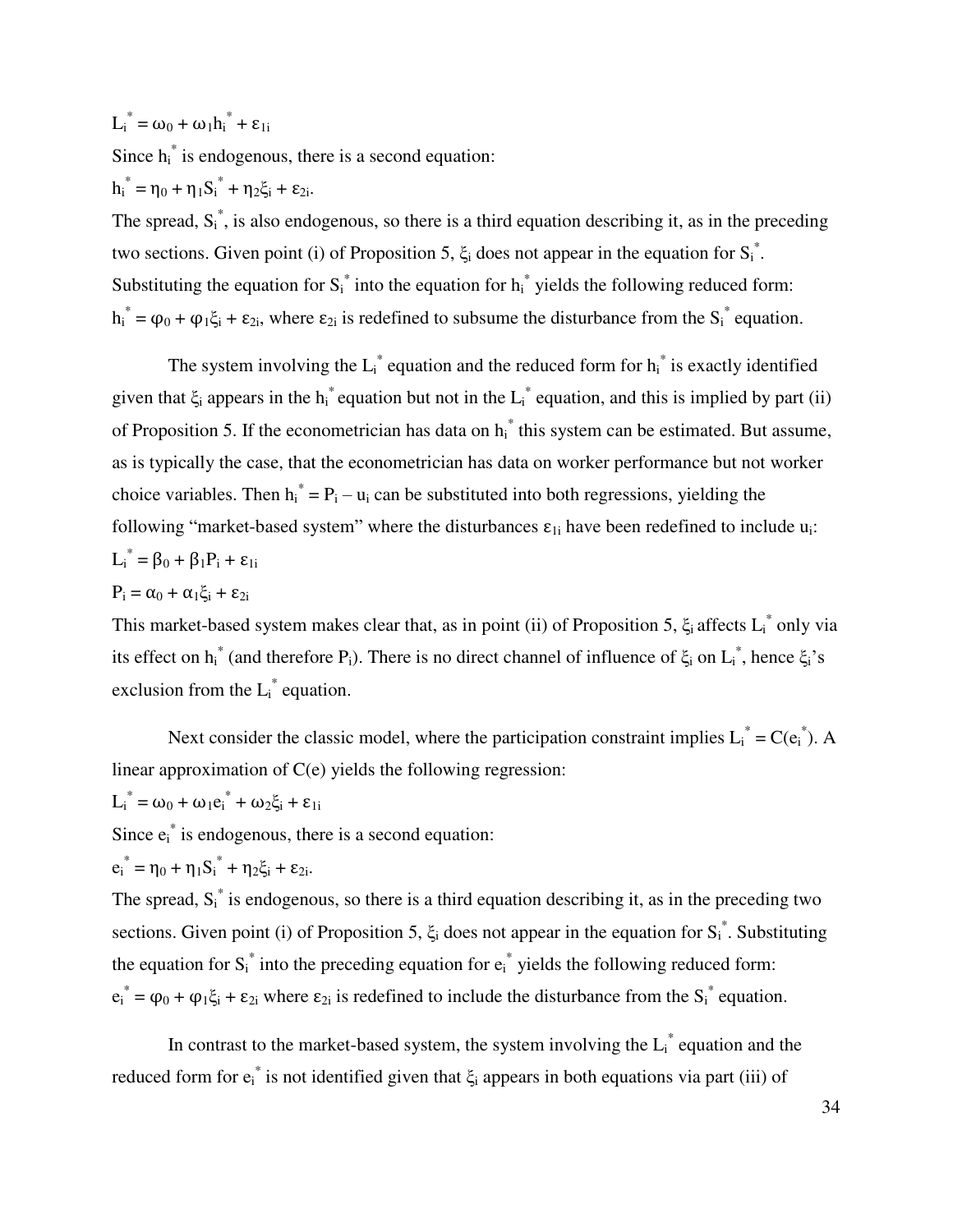$L_i^* = \omega_0 + \omega_1 h_i^* + \varepsilon_{1i}$ 

Since  $h_i^*$  is endogenous, there is a second equation:  $h_i^* = \eta_0 + \eta_1 S_i^* + \eta_2 \xi_i + \varepsilon_{2i}.$ 

The spread,  $S_i^*$ , is also endogenous, so there is a third equation describing it, as in the preceding two sections. Given point (i) of Proposition 5,  $\xi$  does not appear in the equation for  $S_i^*$ . Substituting the equation for  $S_i^*$  into the equation for  $h_i^*$  yields the following reduced form:  $h_i^* = \varphi_0 + \varphi_1 \xi_i + \varepsilon_{2i}$ , where  $\varepsilon_{2i}$  is redefined to subsume the disturbance from the  $S_i^*$  equation.

The system involving the  $L_i^*$  equation and the reduced form for  $h_i^*$  is exactly identified given that  $\xi_i$  appears in the  $h_i^*$  equation but not in the  $L_i^*$  equation, and this is implied by part (ii) of Proposition 5. If the econometrician has data on  $h_i^*$  this system can be estimated. But assume, as is typically the case, that the econometrician has data on worker performance but not worker choice variables. Then  $h_i^* = P_i - u_i$  can be substituted into both regressions, yielding the following "market-based system" where the disturbances  $\varepsilon_{1i}$  have been redefined to include  $u_i$ :  $L_i^* = \beta_0 + \beta_1 P_i + \varepsilon_{1i}$ 

$$
P_i = \alpha_0 + \alpha_1 \xi_i + \epsilon_{2i}
$$

This market-based system makes clear that, as in point (ii) of Proposition 5,  $\xi_i$  affects  $L_i^*$  only via its effect on  $h_i^*$  (and therefore P<sub>i</sub>). There is no direct channel of influence of  $\xi_i$  on  $L_i^*$ , hence  $\xi_i$ 's exclusion from the  $L_i^*$  equation.

Next consider the classic model, where the participation constraint implies  $L_i^* = C(e_i^*)$ . A linear approximation of C(e) yields the following regression:

$$
L_i^* = \omega_0 + \omega_1 e_i^* + \omega_2 \xi_i + \epsilon_{1i}
$$

Since  $e_i^*$  is endogenous, there is a second equation:

$$
e_i^* = \eta_0 + \eta_1 S_i^* + \eta_2 \xi_i + \epsilon_{2i}.
$$

The spread,  $S_i^*$  is endogenous, so there is a third equation describing it, as in the preceding two sections. Given point (i) of Proposition 5,  $\xi$  does not appear in the equation for  $S_i^*$ . Substituting the equation for  $S_i^*$  into the preceding equation for  $e_i^*$  yields the following reduced form:  $e_i^* = \varphi_0 + \varphi_1 \xi_i + \varepsilon_{2i}$  where  $\varepsilon_{2i}$  is redefined to include the disturbance from the  $S_i^*$  equation.

In contrast to the market-based system, the system involving the  $L_i^*$  equation and the reduced form for  $e_i^*$  is not identified given that  $\xi_i$  appears in both equations via part (iii) of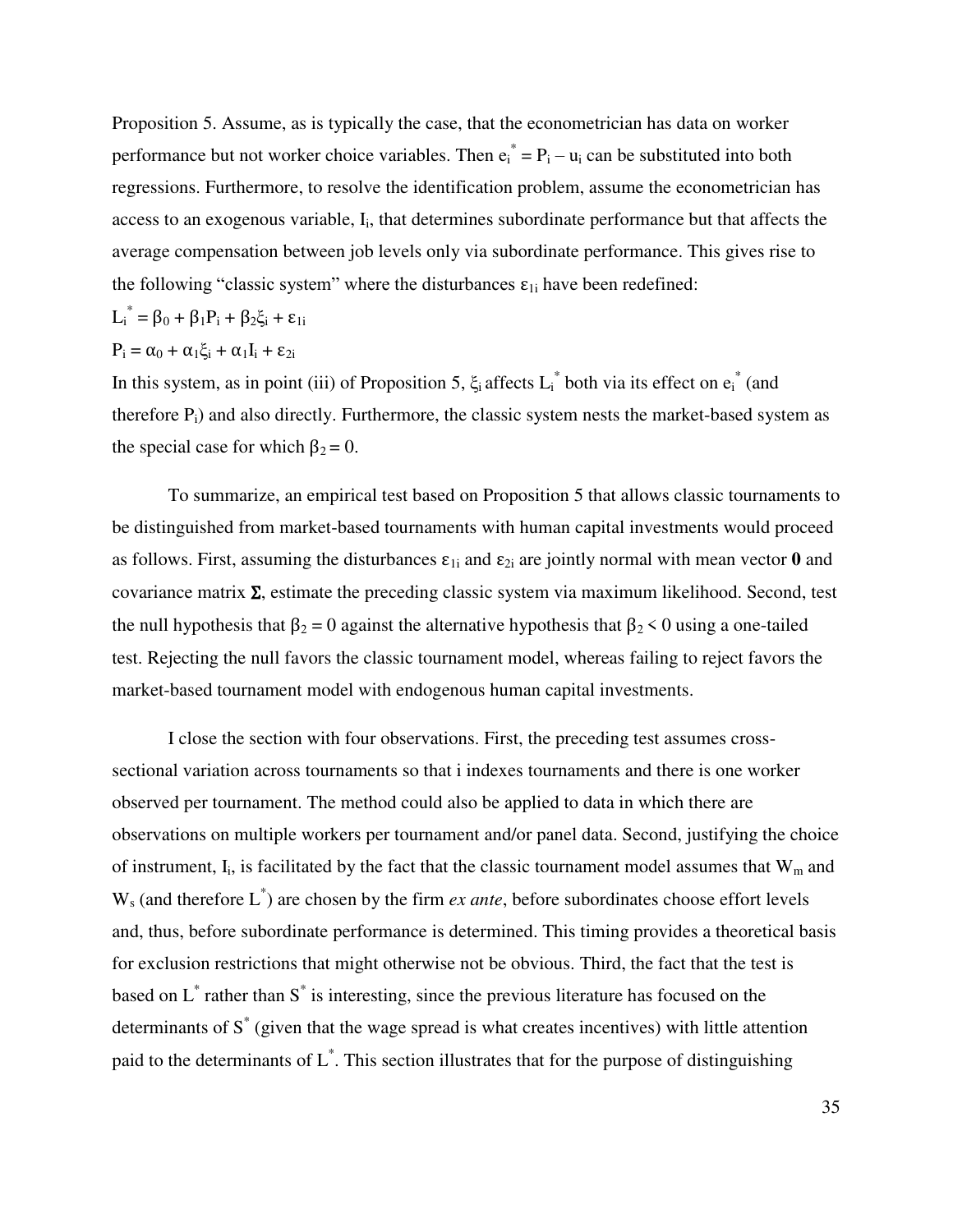Proposition 5. Assume, as is typically the case, that the econometrician has data on worker performance but not worker choice variables. Then  $e_i^* = P_i - u_i$  can be substituted into both regressions. Furthermore, to resolve the identification problem, assume the econometrician has access to an exogenous variable, I<sub>i</sub>, that determines subordinate performance but that affects the average compensation between job levels only via subordinate performance. This gives rise to the following "classic system" where the disturbances  $\varepsilon_{1i}$  have been redefined:

$$
L_i^* = \beta_0 + \beta_1 P_i + \beta_2 \xi_i + \epsilon_{1i}
$$

$$
P_i = \alpha_0 + \alpha_1 \xi_i + \alpha_1 I_i + \epsilon_{2i}
$$

In this system, as in point (iii) of Proposition 5,  $\xi_i$  affects  $L_i^*$  both via its effect on  $e_i^*$  (and therefore  $P_i$ ) and also directly. Furthermore, the classic system nests the market-based system as the special case for which  $\beta_2 = 0$ .

To summarize, an empirical test based on Proposition 5 that allows classic tournaments to be distinguished from market-based tournaments with human capital investments would proceed as follows. First, assuming the disturbances  $\varepsilon_{1i}$  and  $\varepsilon_{2i}$  are jointly normal with mean vector **0** and covariance matrix  $\Sigma$ , estimate the preceding classic system via maximum likelihood. Second, test the null hypothesis that  $\beta_2 = 0$  against the alternative hypothesis that  $\beta_2 < 0$  using a one-tailed test. Rejecting the null favors the classic tournament model, whereas failing to reject favors the market-based tournament model with endogenous human capital investments.

I close the section with four observations. First, the preceding test assumes crosssectional variation across tournaments so that i indexes tournaments and there is one worker observed per tournament. The method could also be applied to data in which there are observations on multiple workers per tournament and/or panel data. Second, justifying the choice of instrument,  $I_i$ , is facilitated by the fact that the classic tournament model assumes that  $W_m$  and  $W_s$  (and therefore  $L^*$ ) are chosen by the firm *ex ante*, before subordinates choose effort levels and, thus, before subordinate performance is determined. This timing provides a theoretical basis for exclusion restrictions that might otherwise not be obvious. Third, the fact that the test is based on  $L^*$  rather than  $S^*$  is interesting, since the previous literature has focused on the determinants of S<sup>\*</sup> (given that the wage spread is what creates incentives) with little attention paid to the determinants of L\* . This section illustrates that for the purpose of distinguishing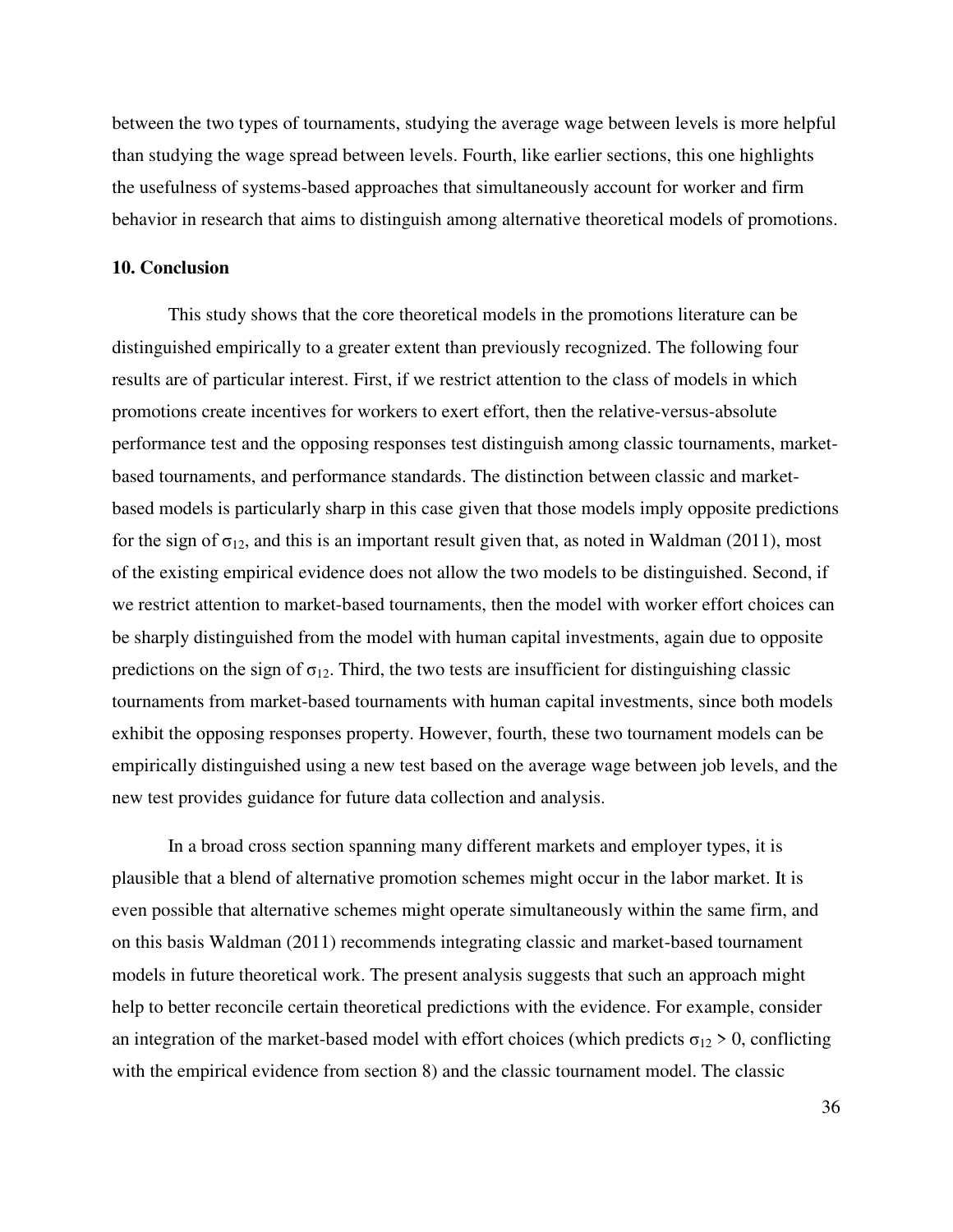between the two types of tournaments, studying the average wage between levels is more helpful than studying the wage spread between levels. Fourth, like earlier sections, this one highlights the usefulness of systems-based approaches that simultaneously account for worker and firm behavior in research that aims to distinguish among alternative theoretical models of promotions.

# **10. Conclusion**

This study shows that the core theoretical models in the promotions literature can be distinguished empirically to a greater extent than previously recognized. The following four results are of particular interest. First, if we restrict attention to the class of models in which promotions create incentives for workers to exert effort, then the relative-versus-absolute performance test and the opposing responses test distinguish among classic tournaments, marketbased tournaments, and performance standards. The distinction between classic and marketbased models is particularly sharp in this case given that those models imply opposite predictions for the sign of  $\sigma_{12}$ , and this is an important result given that, as noted in Waldman (2011), most of the existing empirical evidence does not allow the two models to be distinguished. Second, if we restrict attention to market-based tournaments, then the model with worker effort choices can be sharply distinguished from the model with human capital investments, again due to opposite predictions on the sign of  $\sigma_{12}$ . Third, the two tests are insufficient for distinguishing classic tournaments from market-based tournaments with human capital investments, since both models exhibit the opposing responses property. However, fourth, these two tournament models can be empirically distinguished using a new test based on the average wage between job levels, and the new test provides guidance for future data collection and analysis.

In a broad cross section spanning many different markets and employer types, it is plausible that a blend of alternative promotion schemes might occur in the labor market. It is even possible that alternative schemes might operate simultaneously within the same firm, and on this basis Waldman (2011) recommends integrating classic and market-based tournament models in future theoretical work. The present analysis suggests that such an approach might help to better reconcile certain theoretical predictions with the evidence. For example, consider an integration of the market-based model with effort choices (which predicts  $\sigma_{12} > 0$ , conflicting with the empirical evidence from section 8) and the classic tournament model. The classic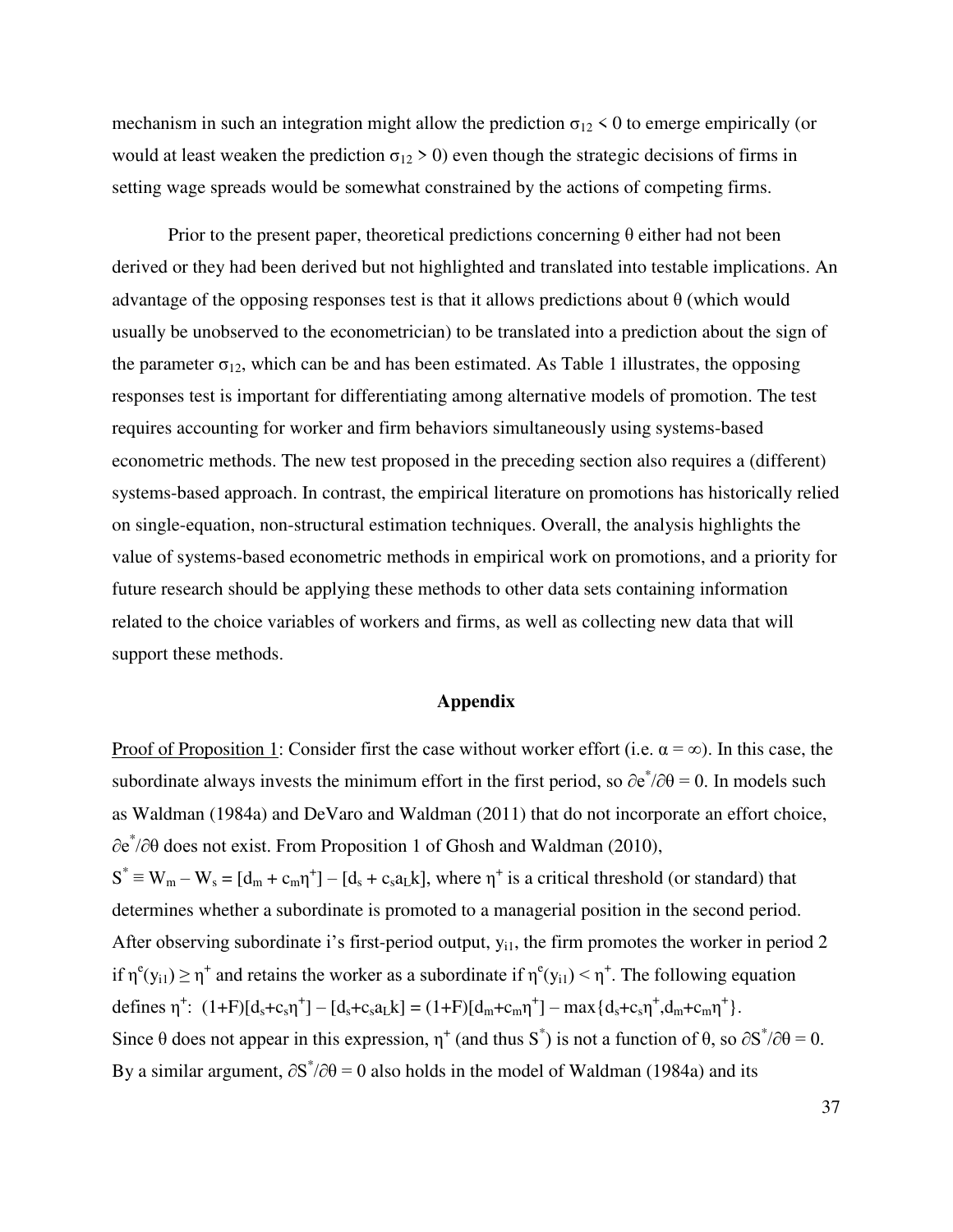mechanism in such an integration might allow the prediction  $\sigma_{12}$  < 0 to emerge empirically (or would at least weaken the prediction  $\sigma_{12} > 0$ ) even though the strategic decisions of firms in setting wage spreads would be somewhat constrained by the actions of competing firms.

Prior to the present paper, theoretical predictions concerning  $\theta$  either had not been derived or they had been derived but not highlighted and translated into testable implications. An advantage of the opposing responses test is that it allows predictions about  $\theta$  (which would usually be unobserved to the econometrician) to be translated into a prediction about the sign of the parameter  $\sigma_{12}$ , which can be and has been estimated. As Table 1 illustrates, the opposing responses test is important for differentiating among alternative models of promotion. The test requires accounting for worker and firm behaviors simultaneously using systems-based econometric methods. The new test proposed in the preceding section also requires a (different) systems-based approach. In contrast, the empirical literature on promotions has historically relied on single-equation, non-structural estimation techniques. Overall, the analysis highlights the value of systems-based econometric methods in empirical work on promotions, and a priority for future research should be applying these methods to other data sets containing information related to the choice variables of workers and firms, as well as collecting new data that will support these methods.

# **Appendix**

Proof of Proposition 1: Consider first the case without worker effort (i.e.  $\alpha = \infty$ ). In this case, the subordinate always invests the minimum effort in the first period, so  $\partial e^*/\partial \theta = 0$ . In models such as Waldman (1984a) and DeVaro and Waldman (2011) that do not incorporate an effort choice, ∂e\* /∂θ does not exist. From Proposition 1 of Ghosh and Waldman (2010),  $S^* \equiv W_m - W_s = [d_m + c_m \eta^+] - [d_s + c_s a_L k]$ , where  $\eta^+$  is a critical threshold (or standard) that determines whether a subordinate is promoted to a managerial position in the second period. After observing subordinate i's first-period output,  $y_{i1}$ , the firm promotes the worker in period 2 if  $\eta^e(y_{i1}) \ge \eta^+$  and retains the worker as a subordinate if  $\eta^e(y_{i1}) < \eta^+$ . The following equation defines  $\eta^{\dagger}$ :  $(1+F)[d_s+c_s\eta^{\dagger}] - [d_s+c_s a_L k] = (1+F)[d_m+c_m\eta^{\dagger}] - \max\{d_s+c_s\eta^{\dagger},d_m+c_m\eta^{\dagger}\}.$ Since  $\theta$  does not appear in this expression,  $\eta^+$  (and thus S<sup>\*</sup>) is not a function of  $\theta$ , so  $\partial S^* / \partial \theta = 0$ . By a similar argument,  $\partial S^* / \partial \theta = 0$  also holds in the model of Waldman (1984a) and its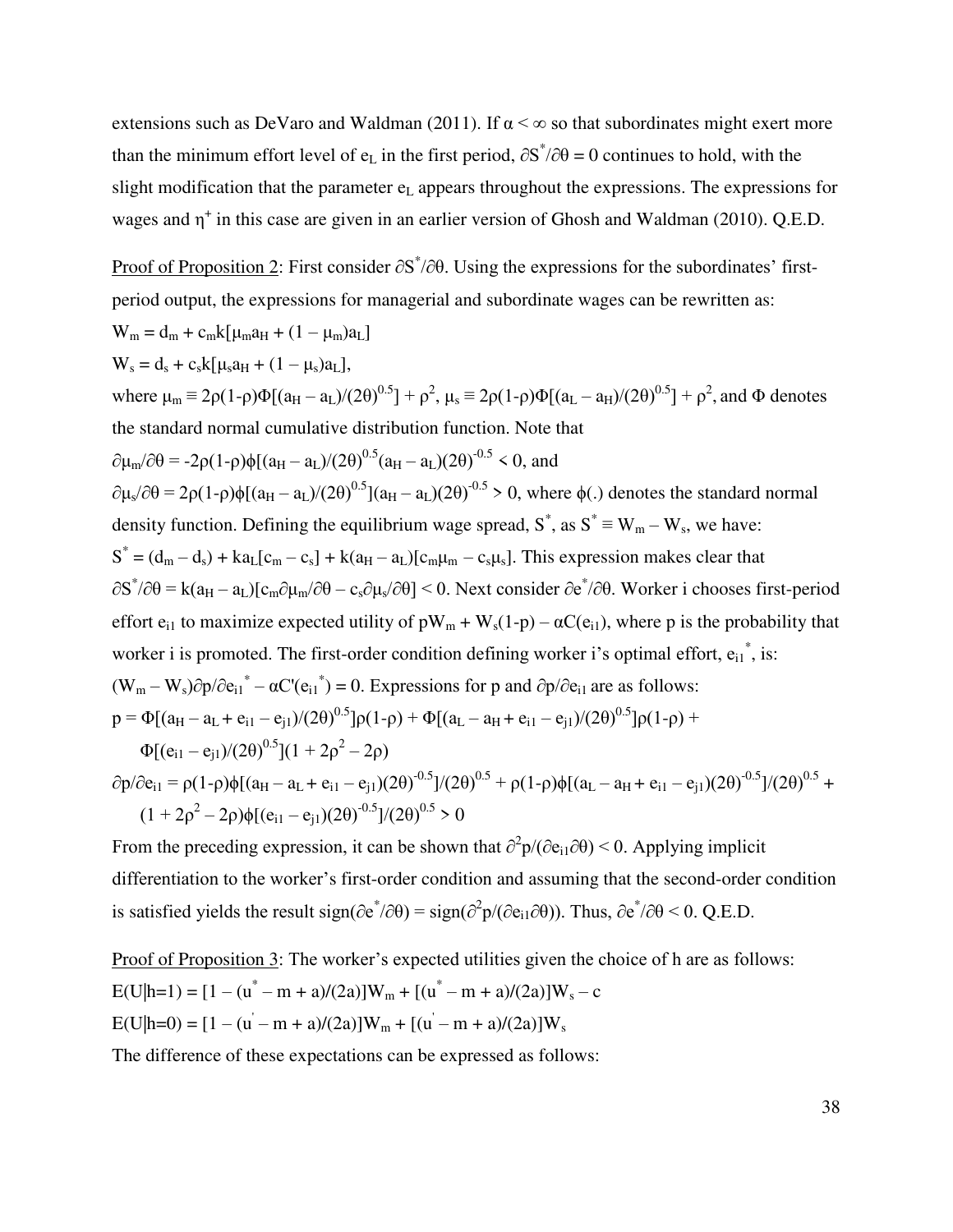extensions such as DeVaro and Waldman (2011). If  $\alpha < \infty$  so that subordinates might exert more than the minimum effort level of  $e_L$  in the first period,  $\partial S^* / \partial \theta = 0$  continues to hold, with the slight modification that the parameter  $e<sub>L</sub>$  appears throughout the expressions. The expressions for wages and  $\eta^+$  in this case are given in an earlier version of Ghosh and Waldman (2010). Q.E.D.

Proof of Proposition 2: First consider  $\partial S^*/\partial \theta$ . Using the expressions for the subordinates' firstperiod output, the expressions for managerial and subordinate wages can be rewritten as:  $W_m = d_m + c_m k[\mu_m a_H + (1 - \mu_m) a_L]$  $W_s = d_s + c_s k[\mu_s a_H + (1 - \mu_s) a_L],$ where  $\mu_m \equiv 2\rho (1-\rho)\Phi[(a_H - a_L)/(2\theta)^{0.5}] + \rho^2$ ,  $\mu_s \equiv 2\rho (1-\rho)\Phi[(a_L - a_H)/(2\theta)^{0.5}] + \rho^2$ , and  $\Phi$  denotes the standard normal cumulative distribution function. Note that  $\partial \mu_{\rm m}/\partial \theta = -2\rho (1-\rho)\phi [(a_{\rm H} - a_{\rm L})/(2\theta)^{0.5}(a_{\rm H} - a_{\rm L})(2\theta)^{-0.5} \le 0,$  and  $\partial \mu_s/\partial \theta = 2\rho (1-\rho)\phi [(a_H - a_L)/(2\theta)^{0.5}] (a_H - a_L)(2\theta)^{-0.5} > 0$ , where  $\phi(.)$  denotes the standard normal density function. Defining the equilibrium wage spread,  $S^*$ , as  $S^* \equiv W_m - W_s$ , we have:  $S^* = (d_m - d_s) + ka_L[c_m - c_s] + k(a_H - a_L)[c_m\mu_m - c_s\mu_s]$ . This expression makes clear that  $\partial S^* / \partial \theta = k(a_H - a_L)[c_m \partial \mu_m / \partial \theta - c_s \partial \mu_s / \partial \theta] \le 0$ . Next consider  $\partial e^* / \partial \theta$ . Worker i chooses first-period effort  $e_{i1}$  to maximize expected utility of  $pW_m + W_s(1-p) - \alpha C(e_{i1})$ , where p is the probability that worker i is promoted. The first-order condition defining worker i's optimal effort,  $e_{i1}^*$ , is:  $(W_m - W_s)\partial p/\partial e_{i1}^* - \alpha C'(e_{i1}^*) = 0$ . Expressions for p and  $\partial p/\partial e_{i1}$  are as follows:  $p = \Phi[(a_H - a_L + e_{i1} - e_{i1})/(2\theta)^{0.5}]\rho(1-\rho) + \Phi[(a_L - a_H + e_{i1} - e_{i1})/(2\theta)^{0.5}]\rho(1-\rho)$  $\Phi[(e_{i1}-e_{j1})/(2\theta)^{0.5}](1+2\rho^2-2\rho)$  $\partial p/\partial e_{i1} = \rho(1-\rho)\phi[(a_H - a_L + e_{i1} - e_{j1})(2\theta)^{0.5}]/(2\theta)^{0.5} + \rho(1-\rho)\phi[(a_L - a_H + e_{i1} - e_{j1})(2\theta)^{0.5} +$ 

 $(1 + 2\rho^2 - 2\rho)\phi[(e_{i1} - e_{j1})(2\theta)^{-0.5}]/(2\theta)^{0.5} > 0$ 

From the preceding expression, it can be shown that  $\partial^2 p/(\partial e_{i1}\partial\theta) < 0$ . Applying implicit differentiation to the worker's first-order condition and assuming that the second-order condition is satisfied yields the result sign( $\partial e^*/\partial \theta$ ) = sign( $\partial^2 p/(\partial e_{i1}\partial \theta)$ ). Thus,  $\partial e^*/\partial \theta$  < 0. Q.E.D.

Proof of Proposition 3: The worker's expected utilities given the choice of h are as follows:  $E(U|h=1) = [1 - (u^* - m + a)/(2a)]W_m + [(u^* - m + a)/(2a)]W_s - c$  $E(U|h=0) = [1 - (u - m + a)/(2a)]W_m + [(u - m + a)/(2a)]W_s$ 

The difference of these expectations can be expressed as follows: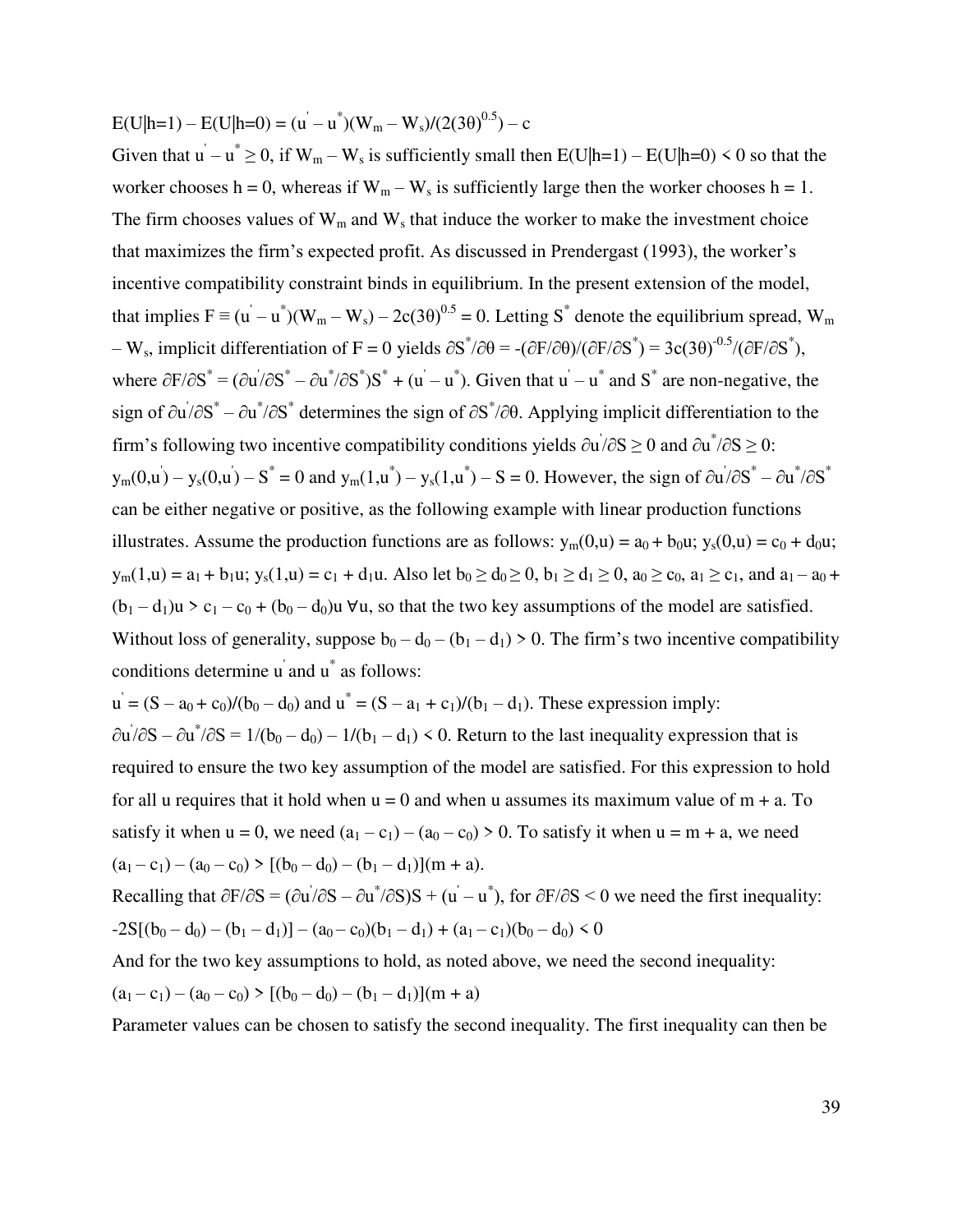$E(U|h=1) - E(U|h=0) = (u - u^*)(W_m - W_s)/(2(3\theta)^{0.5}) - c$ 

Given that  $u - u^* \ge 0$ , if  $W_m - W_s$  is sufficiently small then  $E(U|h=1) - E(U|h=0) \le 0$  so that the worker chooses h = 0, whereas if  $W_m - W_s$  is sufficiently large then the worker chooses h = 1. The firm chooses values of  $W_m$  and  $W_s$  that induce the worker to make the investment choice that maximizes the firm's expected profit. As discussed in Prendergast (1993), the worker's incentive compatibility constraint binds in equilibrium. In the present extension of the model, that implies  $F \equiv (u - u^*)(W_m - W_s) - 2c(3\theta)^{0.5} = 0$ . Letting S<sup>\*</sup> denote the equilibrium spread, W<sub>m</sub>  $-W_s$ , implicit differentiation of F = 0 yields  $\partial S^*/\partial \theta = -(\partial F/\partial \theta)/(\partial F/\partial S^*) = 3c(3\theta)^{-0.5}/(\partial F/\partial S^*)$ , where  $\partial F/\partial S^* = (\partial u/\partial S^* - \partial u^*/\partial S^*)S^* + (u - u^*)$ . Given that  $u - u^*$  and  $S^*$  are non-negative, the sign of  $\partial u' / \partial S^* - \partial u^* / \partial S^*$  determines the sign of  $\partial S^* / \partial \theta$ . Applying implicit differentiation to the firm's following two incentive compatibility conditions yields  $\partial u' / \partial S \ge 0$  and  $\partial u^* / \partial S \ge 0$ :  $y_m(0, u) - y_s(0, u) - S^* = 0$  and  $y_m(1, u^*) - y_s(1, u^*) - S = 0$ . However, the sign of  $\partial u / \partial S^* - \partial u^* / \partial S^*$ can be either negative or positive, as the following example with linear production functions illustrates. Assume the production functions are as follows:  $y_m(0, u) = a_0 + b_0 u$ ;  $y_s(0, u) = c_0 + d_0 u$ ;  $y_m(1,u) = a_1 + b_1u$ ;  $y_s(1,u) = c_1 + d_1u$ . Also let  $b_0 \ge d_0 \ge 0$ ,  $b_1 \ge d_1 \ge 0$ ,  $a_0 \ge c_0$ ,  $a_1 \ge c_1$ , and  $a_1 - a_0 +$  $(b_1 - d_1)u > c_1 - c_0 + (b_0 - d_0)u$   $\forall u$ , so that the two key assumptions of the model are satisfied. Without loss of generality, suppose  $b_0 - d_0 - (b_1 - d_1) > 0$ . The firm's two incentive compatibility conditions determine u and u<sup>\*</sup> as follows:

 $u' = (S - a_0 + c_0)/(b_0 - d_0)$  and  $u^* = (S - a_1 + c_1)/(b_1 - d_1)$ . These expression imply:  $\partial u' / \partial S - \partial u^* / \partial S = 1/(b_0 - d_0) - 1/(b_1 - d_1) \leq 0$ . Return to the last inequality expression that is required to ensure the two key assumption of the model are satisfied. For this expression to hold for all u requires that it hold when  $u = 0$  and when u assumes its maximum value of  $m + a$ . To satisfy it when  $u = 0$ , we need  $(a_1 - c_1) - (a_0 - c_0) > 0$ . To satisfy it when  $u = m + a$ , we need  $(a_1 - c_1) - (a_0 - c_0)$  >  $[(b_0 - d_0) - (b_1 - d_1)](m + a)$ . Recalling that  $\partial F/\partial S = (\partial u/\partial S - \partial u^*/\partial S)S + (u - u^*)$ , for  $\partial F/\partial S < 0$  we need the first inequality:

$$
\textbf{-2S}[(b_0-d_0)-(b_1-d_1)]-(a_0-c_0)(b_1-d_1)+(a_1-c_1)(b_0-d_0)\leq 0
$$

And for the two key assumptions to hold, as noted above, we need the second inequality:  $(a_1 - c_1) - (a_0 - c_0)$  >  $[(b_0 - d_0) - (b_1 - d_1)](m + a)$ 

Parameter values can be chosen to satisfy the second inequality. The first inequality can then be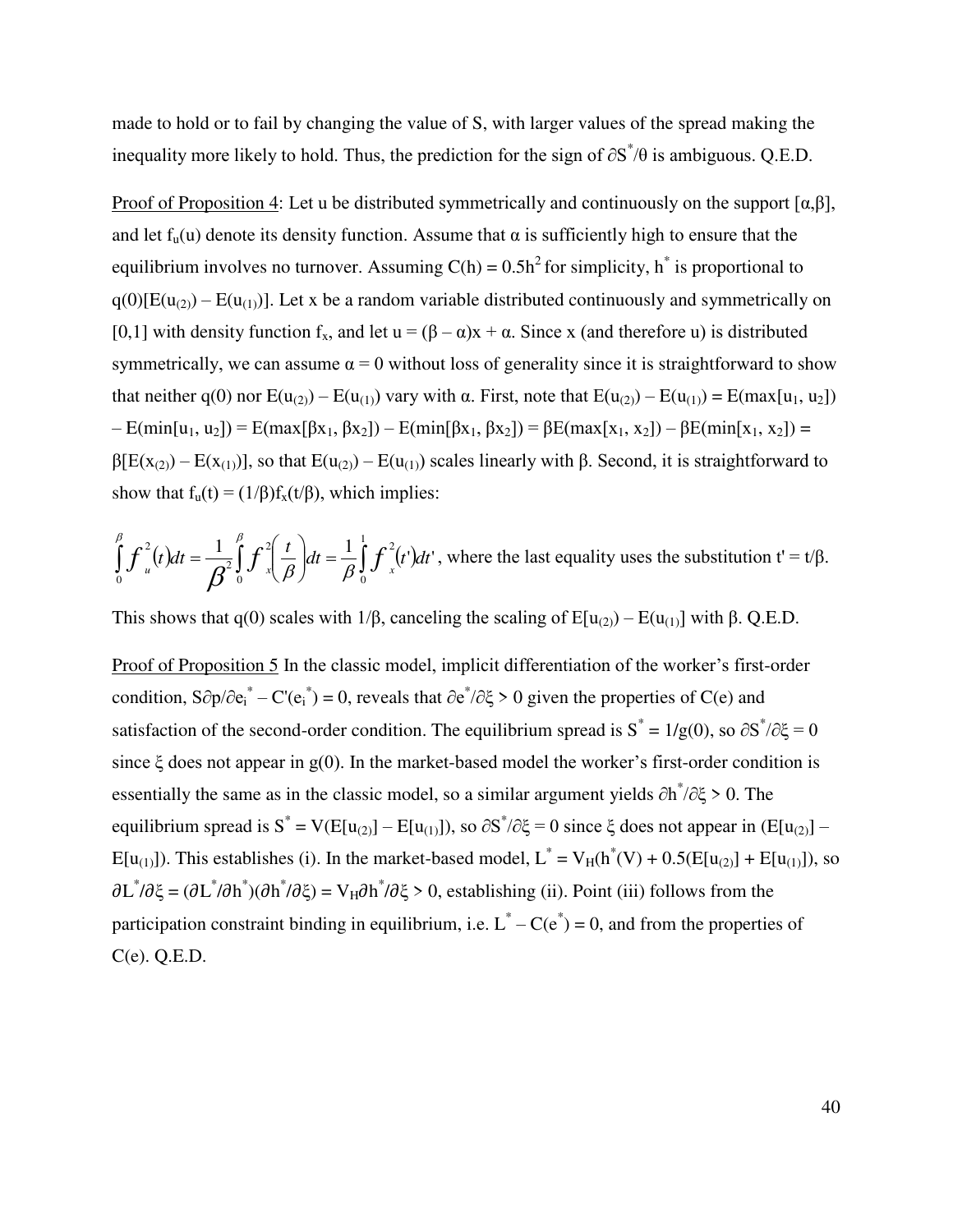made to hold or to fail by changing the value of S, with larger values of the spread making the inequality more likely to hold. Thus, the prediction for the sign of  $\partial S^* / \theta$  is ambiguous. Q.E.D.

Proof of Proposition 4: Let u be distributed symmetrically and continuously on the support  $[\alpha, \beta]$ , and let  $f<sub>u</sub>(u)$  denote its density function. Assume that  $\alpha$  is sufficiently high to ensure that the equilibrium involves no turnover. Assuming  $C(h) = 0.5h^2$  for simplicity, h<sup>\*</sup> is proportional to  $q(0)[E(u_{(2)}) - E(u_{(1)})]$ . Let x be a random variable distributed continuously and symmetrically on [0,1] with density function  $f_x$ , and let  $u = (\beta - \alpha)x + \alpha$ . Since x (and therefore u) is distributed symmetrically, we can assume  $\alpha = 0$  without loss of generality since it is straightforward to show that neither q(0) nor  $E(u_{(2)}) - E(u_{(1)})$  vary with α. First, note that  $E(u_{(2)}) - E(u_{(1)}) = E(\max[u_1, u_2])$  $– E(min[u_1, u_2]) = E(max[βx_1, βx_2]) – E(min[βx_1, βx_2]) = βE(max[x_1, x_2]) – βE(min[x_1, x_2]) = βE(max[x_1, x_2])$  $β[E(x<sub>(2)</sub>) - E(x<sub>(1)</sub>)]$ , so that  $E(u<sub>(2)</sub>) - E(u<sub>(1)</sub>)$  scales linearly with β. Second, it is straightforward to show that  $f_u(t) = (1/\beta) f_x(t/\beta)$ , which implies:

$$
\int_{0}^{\beta} f_{u}^{2}(t)dt = \frac{1}{\beta^{2}} \int_{0}^{\beta} f_{x}^{2} \left(\frac{t}{\beta}\right)dt = \frac{1}{\beta} \int_{0}^{1} f_{x}^{2}(t')dt'
$$
, where the last equality uses the substitution  $t' = t/\beta$ .

This shows that q(0) scales with  $1/\beta$ , canceling the scaling of E[u<sub>(2)</sub>) – E(u<sub>(1)</sub>] with  $\beta$ . Q.E.D.

Proof of Proposition 5 In the classic model, implicit differentiation of the worker's first-order condition, S∂p/∂e<sub>i</sub><sup>\*</sup> – C'(e<sub>i</sub><sup>\*</sup>) = 0, reveals that ∂e<sup>\*</sup>/∂ξ > 0 given the properties of C(e) and satisfaction of the second-order condition. The equilibrium spread is  $S^* = 1/g(0)$ , so  $\partial S^* / \partial \xi = 0$ since  $\xi$  does not appear in g(0). In the market-based model the worker's first-order condition is essentially the same as in the classic model, so a similar argument yields  $\partial h^*/\partial \xi > 0$ . The equilibrium spread is  $S^* = V(E[u_{(2)}] - E[u_{(1)}])$ , so  $\partial S^* / \partial \xi = 0$  since  $\xi$  does not appear in  $(E[u_{(2)}] - E[u_{(1)}])$  $E[u_{(1)}]$ ). This establishes (i). In the market-based model,  $L^* = V_H(h^*(V) + 0.5(E[u_{(2)}] + E[u_{(1)}])$ , so  $\partial L^*/\partial \xi = (\partial L^*/\partial h^*) (\partial h^*/\partial \xi) = V_H \partial h^*/\partial \xi > 0$ , establishing (ii). Point (iii) follows from the participation constraint binding in equilibrium, i.e.  $L^* - C(e^*) = 0$ , and from the properties of C(e). Q.E.D.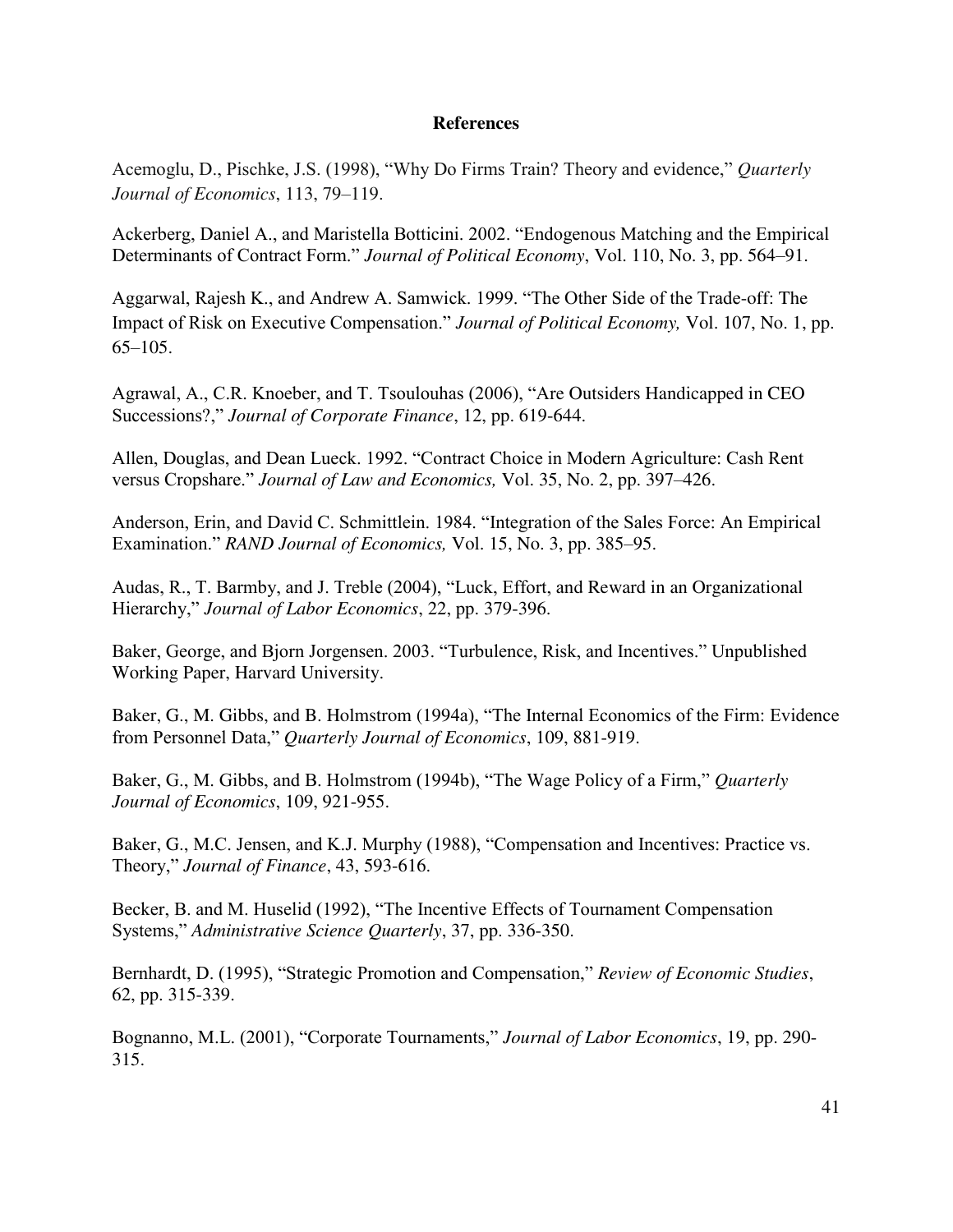# **References**

Acemoglu, D., Pischke, J.S. (1998), "Why Do Firms Train? Theory and evidence," *Quarterly Journal of Economics*, 113, 79–119.

Ackerberg, Daniel A., and Maristella Botticini. 2002. "Endogenous Matching and the Empirical Determinants of Contract Form." *Journal of Political Economy*, Vol. 110, No. 3, pp. 564–91.

Aggarwal, Rajesh K., and Andrew A. Samwick. 1999. "The Other Side of the Trade-off: The Impact of Risk on Executive Compensation." *Journal of Political Economy,* Vol. 107, No. 1, pp. 65–105.

Agrawal, A., C.R. Knoeber, and T. Tsoulouhas (2006), "Are Outsiders Handicapped in CEO Successions?," *Journal of Corporate Finance*, 12, pp. 619-644.

Allen, Douglas, and Dean Lueck. 1992. "Contract Choice in Modern Agriculture: Cash Rent versus Cropshare." *Journal of Law and Economics,* Vol. 35, No. 2, pp. 397–426.

Anderson, Erin, and David C. Schmittlein. 1984. "Integration of the Sales Force: An Empirical Examination." *RAND Journal of Economics,* Vol. 15, No. 3, pp. 385–95.

Audas, R., T. Barmby, and J. Treble (2004), "Luck, Effort, and Reward in an Organizational Hierarchy," *Journal of Labor Economics*, 22, pp. 379-396.

Baker, George, and Bjorn Jorgensen. 2003. "Turbulence, Risk, and Incentives." Unpublished Working Paper, Harvard University.

Baker, G., M. Gibbs, and B. Holmstrom (1994a), "The Internal Economics of the Firm: Evidence from Personnel Data," *Quarterly Journal of Economics*, 109, 881-919.

Baker, G., M. Gibbs, and B. Holmstrom (1994b), "The Wage Policy of a Firm," *Quarterly Journal of Economics*, 109, 921-955.

Baker, G., M.C. Jensen, and K.J. Murphy (1988), "Compensation and Incentives: Practice vs. Theory," *Journal of Finance*, 43, 593-616.

Becker, B. and M. Huselid (1992), "The Incentive Effects of Tournament Compensation Systems," *Administrative Science Quarterly*, 37, pp. 336-350.

Bernhardt, D. (1995), "Strategic Promotion and Compensation," *Review of Economic Studies*, 62, pp. 315-339.

Bognanno, M.L. (2001), "Corporate Tournaments," *Journal of Labor Economics*, 19, pp. 290- 315.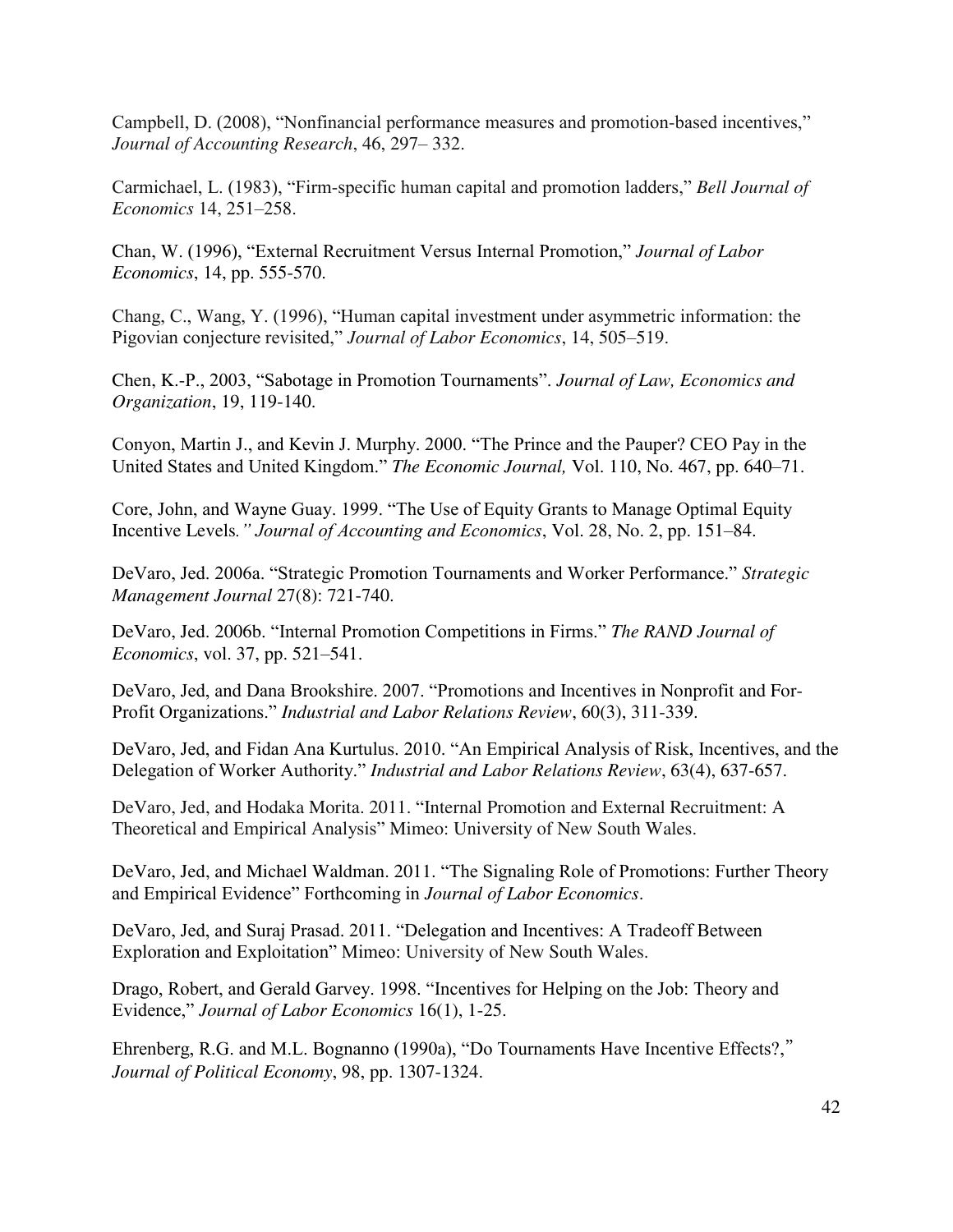Campbell, D. (2008), "Nonfinancial performance measures and promotion-based incentives," *Journal of Accounting Research*, 46, 297– 332.

Carmichael, L. (1983), "Firm-specific human capital and promotion ladders," *Bell Journal of Economics* 14, 251–258.

Chan, W. (1996), "External Recruitment Versus Internal Promotion," *Journal of Labor Economics*, 14, pp. 555-570.

Chang, C., Wang, Y. (1996), "Human capital investment under asymmetric information: the Pigovian conjecture revisited," *Journal of Labor Economics*, 14, 505–519.

Chen, K.-P., 2003, "Sabotage in Promotion Tournaments". *Journal of Law, Economics and Organization*, 19, 119-140.

Conyon, Martin J., and Kevin J. Murphy. 2000. "The Prince and the Pauper? CEO Pay in the United States and United Kingdom." *The Economic Journal,* Vol. 110, No. 467, pp. 640–71.

Core, John, and Wayne Guay. 1999. "The Use of Equity Grants to Manage Optimal Equity Incentive Levels*." Journal of Accounting and Economics*, Vol. 28, No. 2, pp. 151–84.

DeVaro, Jed. 2006a. "Strategic Promotion Tournaments and Worker Performance." *Strategic Management Journal* 27(8): 721-740.

DeVaro, Jed. 2006b. "Internal Promotion Competitions in Firms." *The RAND Journal of Economics*, vol. 37, pp. 521–541.

DeVaro, Jed, and Dana Brookshire. 2007. "Promotions and Incentives in Nonprofit and For-Profit Organizations." *Industrial and Labor Relations Review*, 60(3), 311-339.

DeVaro, Jed, and Fidan Ana Kurtulus. 2010. "An Empirical Analysis of Risk, Incentives, and the Delegation of Worker Authority." *Industrial and Labor Relations Review*, 63(4), 637-657.

DeVaro, Jed, and Hodaka Morita. 2011. "Internal Promotion and External Recruitment: A Theoretical and Empirical Analysis" Mimeo: University of New South Wales.

DeVaro, Jed, and Michael Waldman. 2011. "The Signaling Role of Promotions: Further Theory and Empirical Evidence" Forthcoming in *Journal of Labor Economics*.

DeVaro, Jed, and Suraj Prasad. 2011. "Delegation and Incentives: A Tradeoff Between Exploration and Exploitation" Mimeo: University of New South Wales.

Drago, Robert, and Gerald Garvey. 1998. "Incentives for Helping on the Job: Theory and Evidence," *Journal of Labor Economics* 16(1), 1-25.

Ehrenberg, R.G. and M.L. Bognanno (1990a), "Do Tournaments Have Incentive Effects?," *Journal of Political Economy*, 98, pp. 1307-1324.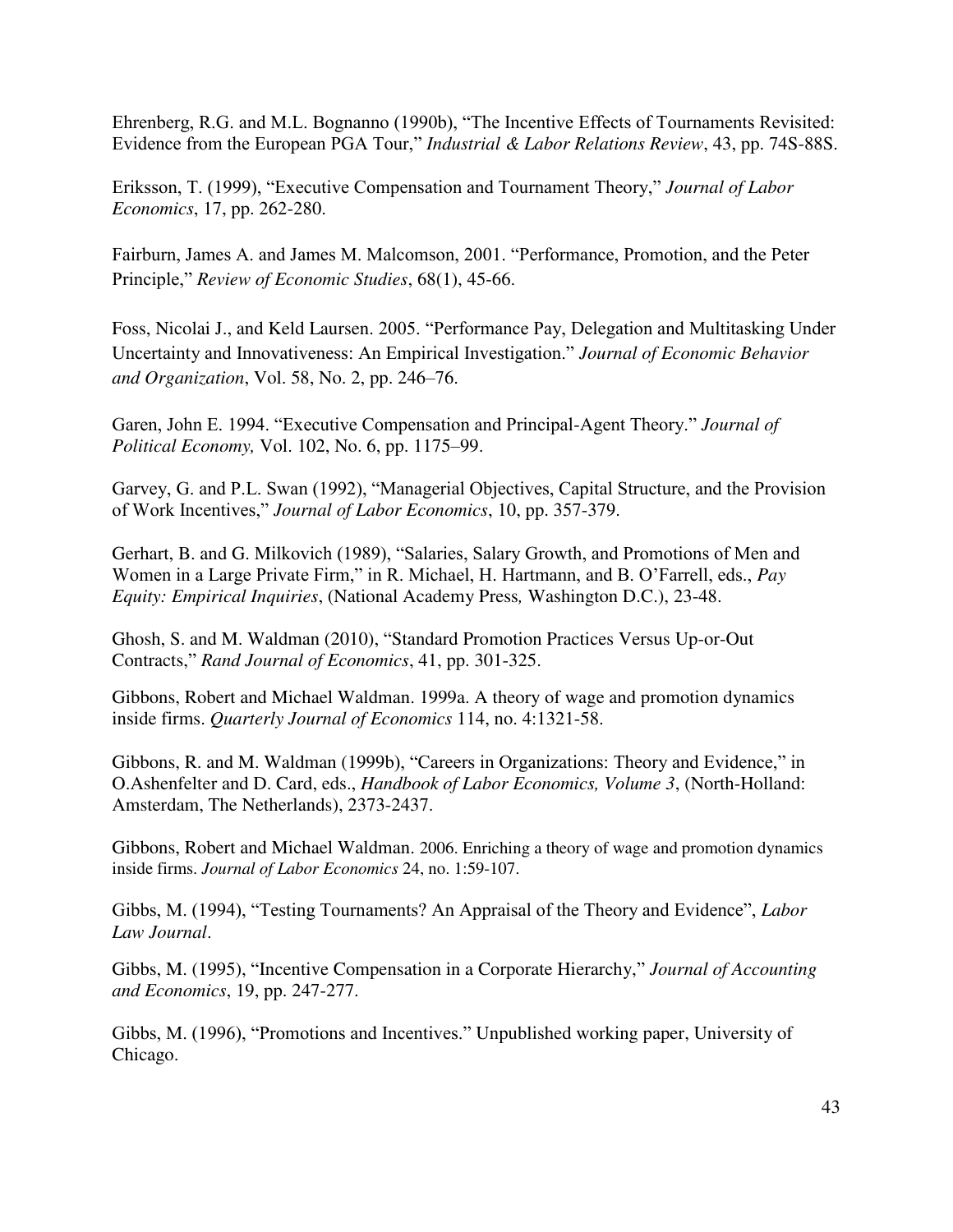Ehrenberg, R.G. and M.L. Bognanno (1990b), "The Incentive Effects of Tournaments Revisited: Evidence from the European PGA Tour," *Industrial & Labor Relations Review*, 43, pp. 74S-88S.

Eriksson, T. (1999), "Executive Compensation and Tournament Theory," *Journal of Labor Economics*, 17, pp. 262-280.

Fairburn, James A. and James M. Malcomson, 2001. "Performance, Promotion, and the Peter Principle," *Review of Economic Studies*, 68(1), 45-66.

Foss, Nicolai J., and Keld Laursen. 2005. "Performance Pay, Delegation and Multitasking Under Uncertainty and Innovativeness: An Empirical Investigation." *Journal of Economic Behavior and Organization*, Vol. 58, No. 2, pp. 246–76.

Garen, John E. 1994. "Executive Compensation and Principal-Agent Theory." *Journal of Political Economy,* Vol. 102, No. 6, pp. 1175–99.

Garvey, G. and P.L. Swan (1992), "Managerial Objectives, Capital Structure, and the Provision of Work Incentives," *Journal of Labor Economics*, 10, pp. 357-379.

Gerhart, B. and G. Milkovich (1989), "Salaries, Salary Growth, and Promotions of Men and Women in a Large Private Firm," in R. Michael, H. Hartmann, and B. O'Farrell, eds., *Pay Equity: Empirical Inquiries*, (National Academy Press*,* Washington D.C.), 23-48.

Ghosh, S. and M. Waldman (2010), "Standard Promotion Practices Versus Up-or-Out Contracts," *Rand Journal of Economics*, 41, pp. 301-325.

Gibbons, Robert and Michael Waldman. 1999a. A theory of wage and promotion dynamics inside firms. *Quarterly Journal of Economics* 114, no. 4:1321-58.

Gibbons, R. and M. Waldman (1999b), "Careers in Organizations: Theory and Evidence," in O.Ashenfelter and D. Card, eds., *Handbook of Labor Economics, Volume 3*, (North-Holland: Amsterdam, The Netherlands), 2373-2437.

Gibbons, Robert and Michael Waldman. 2006. Enriching a theory of wage and promotion dynamics inside firms. *Journal of Labor Economics* 24, no. 1:59-107.

Gibbs, M. (1994), "Testing Tournaments? An Appraisal of the Theory and Evidence", *Labor Law Journal*.

Gibbs, M. (1995), "Incentive Compensation in a Corporate Hierarchy," *Journal of Accounting and Economics*, 19, pp. 247-277.

Gibbs, M. (1996), "Promotions and Incentives." Unpublished working paper, University of Chicago.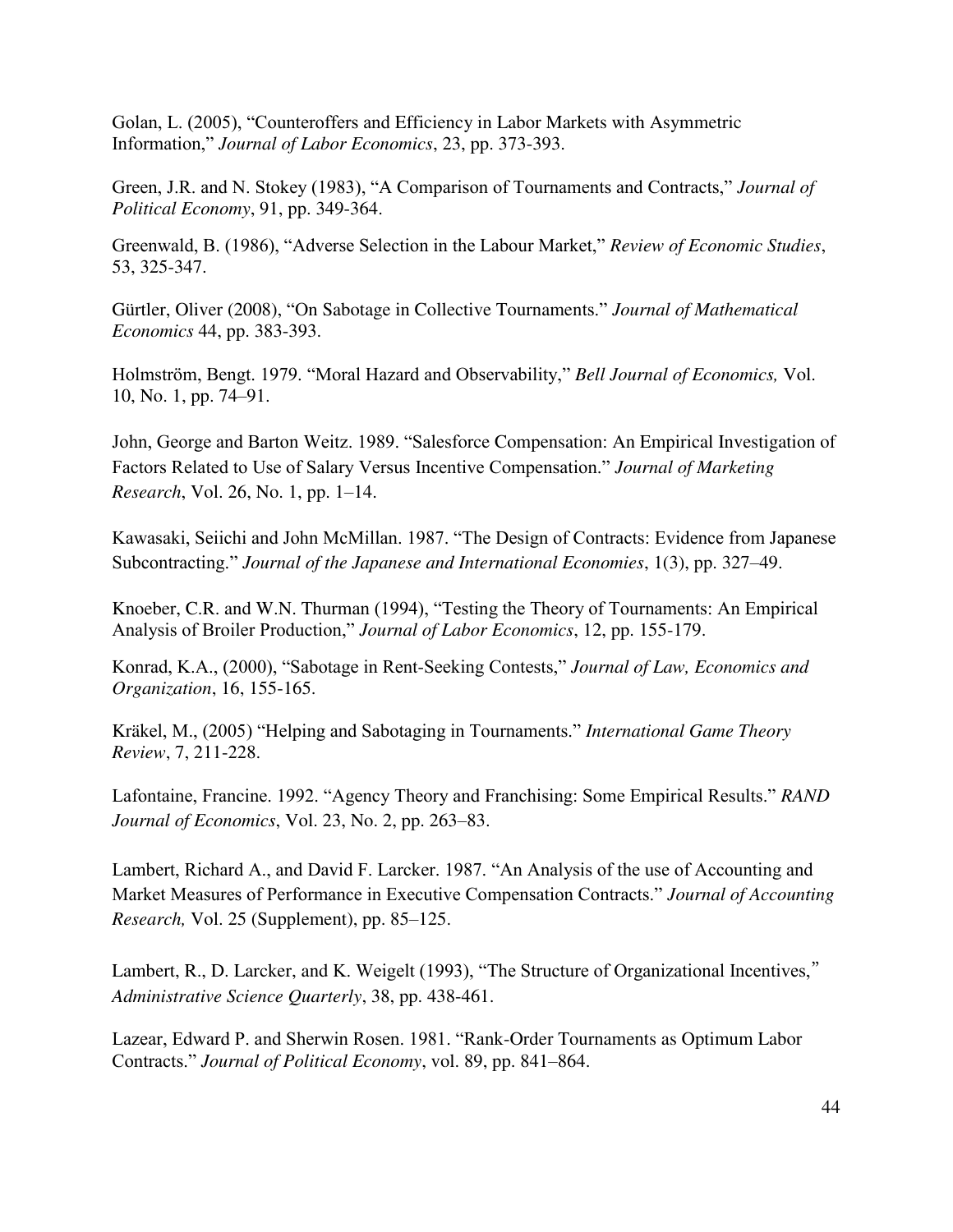Golan, L. (2005), "Counteroffers and Efficiency in Labor Markets with Asymmetric Information," *Journal of Labor Economics*, 23, pp. 373-393.

Green, J.R. and N. Stokey (1983), "A Comparison of Tournaments and Contracts," *Journal of Political Economy*, 91, pp. 349-364.

Greenwald, B. (1986), "Adverse Selection in the Labour Market," *Review of Economic Studies*, 53, 325-347.

Gürtler, Oliver (2008), "On Sabotage in Collective Tournaments." *Journal of Mathematical Economics* 44, pp. 383-393.

Holmström, Bengt. 1979. "Moral Hazard and Observability," *Bell Journal of Economics,* Vol. 10, No. 1, pp. 74–91.

John, George and Barton Weitz. 1989. "Salesforce Compensation: An Empirical Investigation of Factors Related to Use of Salary Versus Incentive Compensation." *Journal of Marketing Research*, Vol. 26, No. 1, pp. 1–14.

Kawasaki, Seiichi and John McMillan. 1987. "The Design of Contracts: Evidence from Japanese Subcontracting." *Journal of the Japanese and International Economies*, 1(3), pp. 327–49.

Knoeber, C.R. and W.N. Thurman (1994), "Testing the Theory of Tournaments: An Empirical Analysis of Broiler Production," *Journal of Labor Economics*, 12, pp. 155-179.

Konrad, K.A., (2000), "Sabotage in Rent-Seeking Contests," *Journal of Law, Economics and Organization*, 16, 155-165.

Kräkel, M., (2005) "Helping and Sabotaging in Tournaments." *International Game Theory Review*, 7, 211-228.

Lafontaine, Francine. 1992. "Agency Theory and Franchising: Some Empirical Results." *RAND Journal of Economics*, Vol. 23, No. 2, pp. 263–83.

Lambert, Richard A., and David F. Larcker. 1987. "An Analysis of the use of Accounting and Market Measures of Performance in Executive Compensation Contracts." *Journal of Accounting Research,* Vol. 25 (Supplement), pp. 85–125.

Lambert, R., D. Larcker, and K. Weigelt (1993), "The Structure of Organizational Incentives," *Administrative Science Quarterly*, 38, pp. 438-461.

Lazear, Edward P. and Sherwin Rosen. 1981. "Rank-Order Tournaments as Optimum Labor Contracts." *Journal of Political Economy*, vol. 89, pp. 841–864.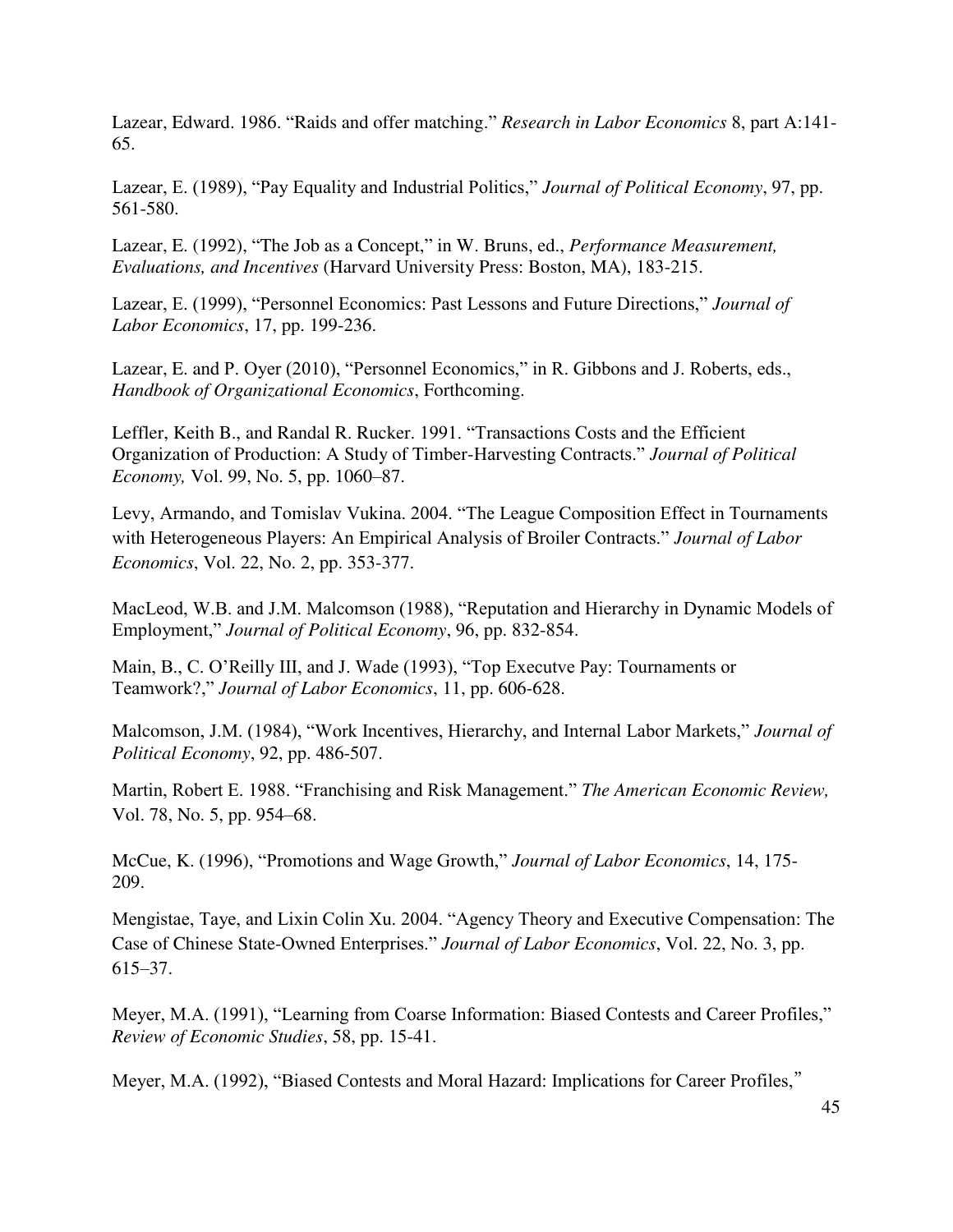Lazear, Edward. 1986. "Raids and offer matching." *Research in Labor Economics* 8, part A:141- 65.

Lazear, E. (1989), "Pay Equality and Industrial Politics," *Journal of Political Economy*, 97, pp. 561-580.

Lazear, E. (1992), "The Job as a Concept," in W. Bruns, ed., *Performance Measurement, Evaluations, and Incentives* (Harvard University Press: Boston, MA), 183-215.

Lazear, E. (1999), "Personnel Economics: Past Lessons and Future Directions," *Journal of Labor Economics*, 17, pp. 199-236.

Lazear, E. and P. Oyer (2010), "Personnel Economics," in R. Gibbons and J. Roberts, eds., *Handbook of Organizational Economics*, Forthcoming.

Leffler, Keith B., and Randal R. Rucker. 1991. "Transactions Costs and the Efficient Organization of Production: A Study of Timber-Harvesting Contracts." *Journal of Political Economy,* Vol. 99, No. 5, pp. 1060–87.

Levy, Armando, and Tomislav Vukina. 2004. "The League Composition Effect in Tournaments with Heterogeneous Players: An Empirical Analysis of Broiler Contracts." *Journal of Labor Economics*, Vol. 22, No. 2, pp. 353-377.

MacLeod, W.B. and J.M. Malcomson (1988), "Reputation and Hierarchy in Dynamic Models of Employment," *Journal of Political Economy*, 96, pp. 832-854.

Main, B., C. O'Reilly III, and J. Wade (1993), "Top Executve Pay: Tournaments or Teamwork?," *Journal of Labor Economics*, 11, pp. 606-628.

Malcomson, J.M. (1984), "Work Incentives, Hierarchy, and Internal Labor Markets," *Journal of Political Economy*, 92, pp. 486-507.

Martin, Robert E. 1988. "Franchising and Risk Management." *The American Economic Review,* Vol. 78, No. 5, pp. 954–68.

McCue, K. (1996), "Promotions and Wage Growth," *Journal of Labor Economics*, 14, 175- 209.

Mengistae, Taye, and Lixin Colin Xu. 2004. "Agency Theory and Executive Compensation: The Case of Chinese State-Owned Enterprises." *Journal of Labor Economics*, Vol. 22, No. 3, pp. 615–37.

Meyer, M.A. (1991), "Learning from Coarse Information: Biased Contests and Career Profiles," *Review of Economic Studies*, 58, pp. 15-41.

Meyer, M.A. (1992), "Biased Contests and Moral Hazard: Implications for Career Profiles,"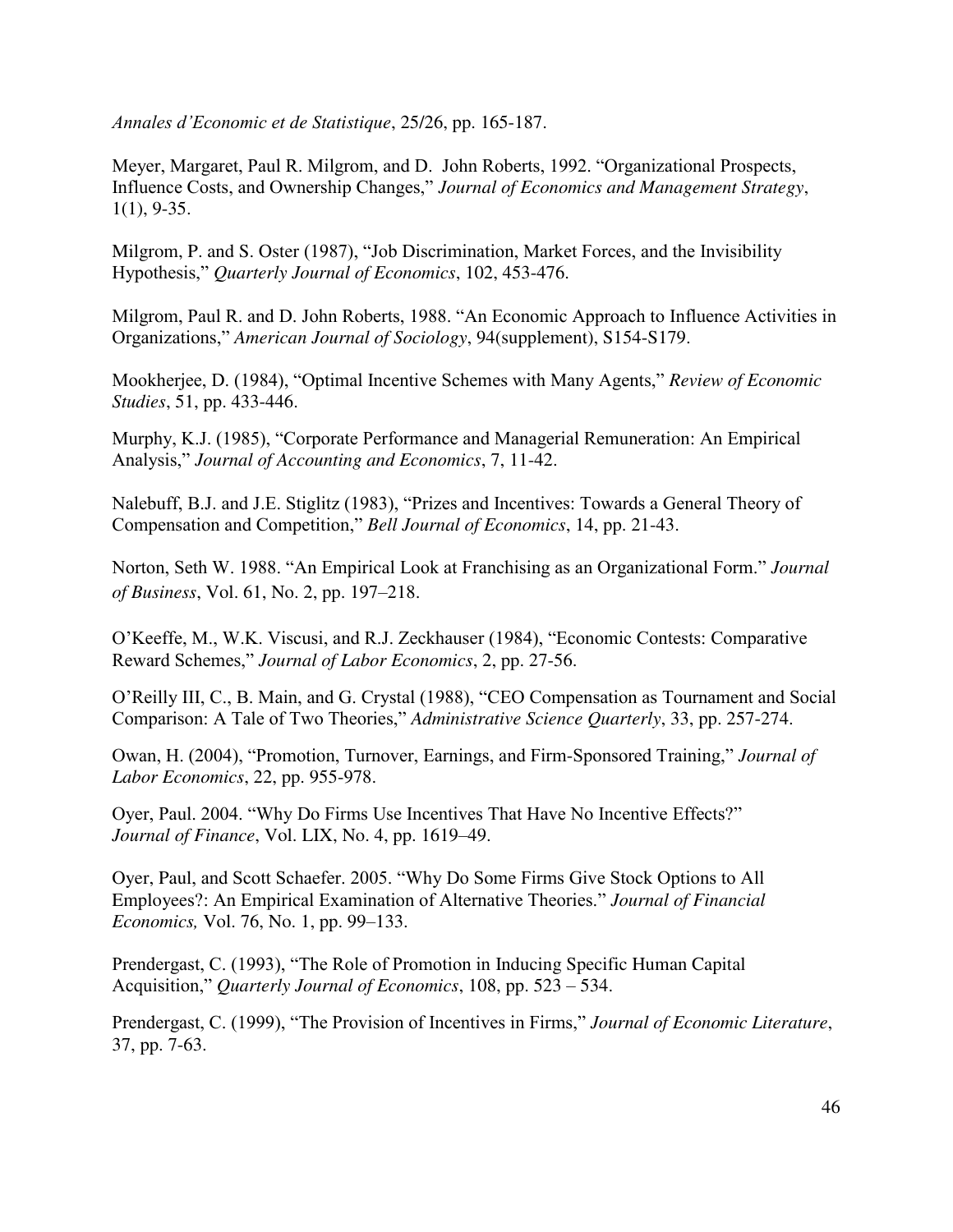*Annales d'Economic et de Statistique*, 25/26, pp. 165-187.

Meyer, Margaret, Paul R. Milgrom, and D. John Roberts, 1992. "Organizational Prospects, Influence Costs, and Ownership Changes," *Journal of Economics and Management Strategy*,  $1(1)$ , 9-35.

Milgrom, P. and S. Oster (1987), "Job Discrimination, Market Forces, and the Invisibility Hypothesis," *Quarterly Journal of Economics*, 102, 453-476.

Milgrom, Paul R. and D. John Roberts, 1988. "An Economic Approach to Influence Activities in Organizations," *American Journal of Sociology*, 94(supplement), S154-S179.

Mookherjee, D. (1984), "Optimal Incentive Schemes with Many Agents," *Review of Economic Studies*, 51, pp. 433-446.

Murphy, K.J. (1985), "Corporate Performance and Managerial Remuneration: An Empirical Analysis," *Journal of Accounting and Economics*, 7, 11-42.

Nalebuff, B.J. and J.E. Stiglitz (1983), "Prizes and Incentives: Towards a General Theory of Compensation and Competition," *Bell Journal of Economics*, 14, pp. 21-43.

Norton, Seth W. 1988. "An Empirical Look at Franchising as an Organizational Form." *Journal of Business*, Vol. 61, No. 2, pp. 197–218.

O'Keeffe, M., W.K. Viscusi, and R.J. Zeckhauser (1984), "Economic Contests: Comparative Reward Schemes," *Journal of Labor Economics*, 2, pp. 27-56.

O'Reilly III, C., B. Main, and G. Crystal (1988), "CEO Compensation as Tournament and Social Comparison: A Tale of Two Theories," *Administrative Science Quarterly*, 33, pp. 257-274.

Owan, H. (2004), "Promotion, Turnover, Earnings, and Firm-Sponsored Training," *Journal of Labor Economics*, 22, pp. 955-978.

Oyer, Paul. 2004. "Why Do Firms Use Incentives That Have No Incentive Effects?" *Journal of Finance*, Vol. LIX, No. 4, pp. 1619–49.

Oyer, Paul, and Scott Schaefer. 2005. "Why Do Some Firms Give Stock Options to All Employees?: An Empirical Examination of Alternative Theories." *Journal of Financial Economics,* Vol. 76, No. 1, pp. 99–133.

Prendergast, C. (1993), "The Role of Promotion in Inducing Specific Human Capital Acquisition," *Quarterly Journal of Economics*, 108, pp. 523 – 534.

Prendergast, C. (1999), "The Provision of Incentives in Firms," *Journal of Economic Literature*, 37, pp. 7-63.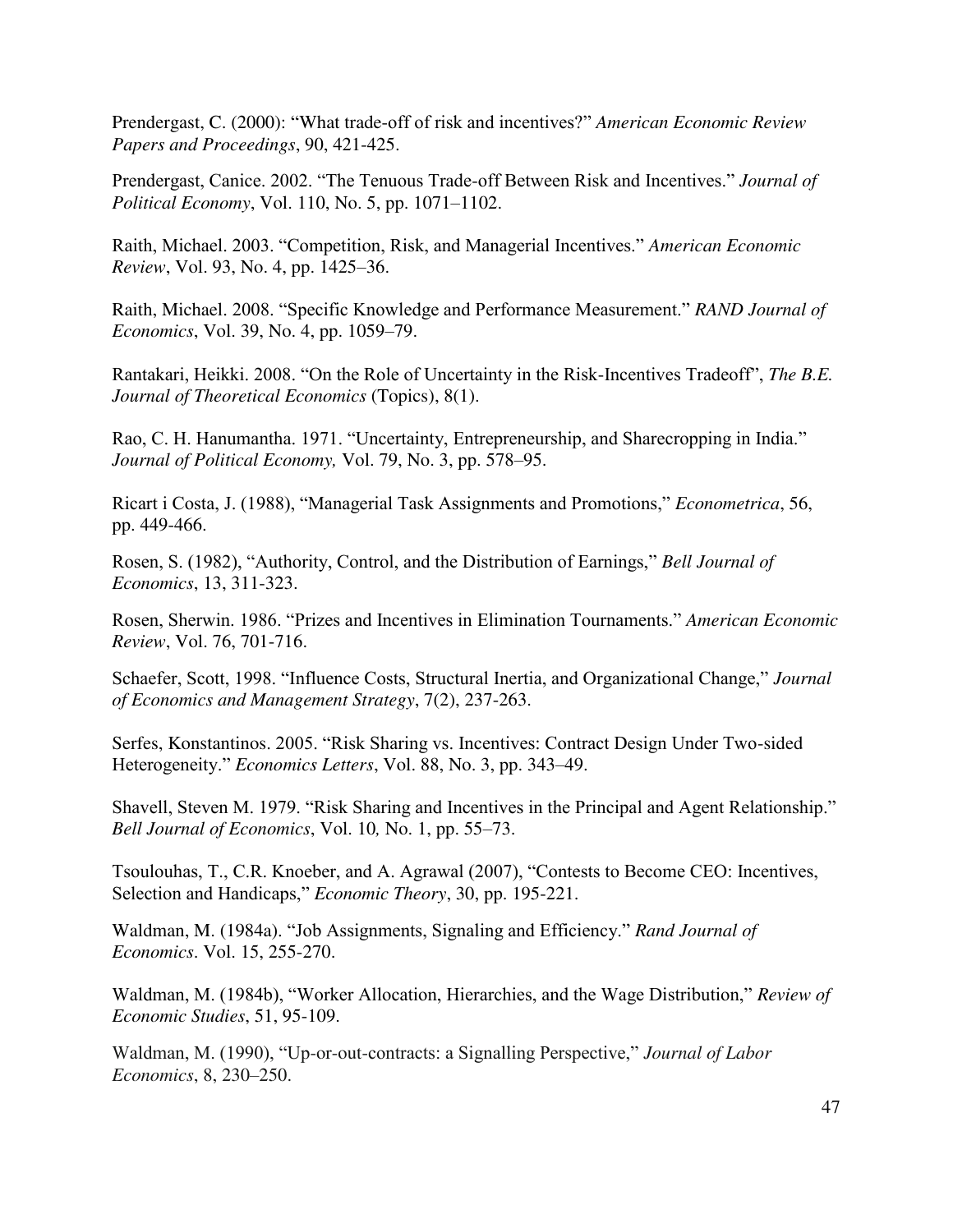Prendergast, C. (2000): "What trade-off of risk and incentives?" *American Economic Review Papers and Proceedings*, 90, 421-425.

Prendergast, Canice. 2002. "The Tenuous Trade-off Between Risk and Incentives." *Journal of Political Economy*, Vol. 110, No. 5, pp. 1071–1102.

Raith, Michael. 2003. "Competition, Risk, and Managerial Incentives." *American Economic Review*, Vol. 93, No. 4, pp. 1425–36.

Raith, Michael. 2008. "Specific Knowledge and Performance Measurement." *RAND Journal of Economics*, Vol. 39, No. 4, pp. 1059–79.

Rantakari, Heikki. 2008. "On the Role of Uncertainty in the Risk-Incentives Tradeoff", *The B.E. Journal of Theoretical Economics* (Topics), 8(1).

Rao, C. H. Hanumantha. 1971. "Uncertainty, Entrepreneurship, and Sharecropping in India." *Journal of Political Economy,* Vol. 79, No. 3, pp. 578–95.

Ricart i Costa, J. (1988), "Managerial Task Assignments and Promotions," *Econometrica*, 56, pp. 449-466.

Rosen, S. (1982), "Authority, Control, and the Distribution of Earnings," *Bell Journal of Economics*, 13, 311-323.

Rosen, Sherwin. 1986. "Prizes and Incentives in Elimination Tournaments." *American Economic Review*, Vol. 76, 701-716.

Schaefer, Scott, 1998. "Influence Costs, Structural Inertia, and Organizational Change," *Journal of Economics and Management Strategy*, 7(2), 237-263.

Serfes, Konstantinos. 2005. "Risk Sharing vs. Incentives: Contract Design Under Two-sided Heterogeneity." *Economics Letters*, Vol. 88, No. 3, pp. 343–49.

Shavell, Steven M. 1979. "Risk Sharing and Incentives in the Principal and Agent Relationship." *Bell Journal of Economics*, Vol. 10*,* No. 1, pp. 55–73.

Tsoulouhas, T., C.R. Knoeber, and A. Agrawal (2007), "Contests to Become CEO: Incentives, Selection and Handicaps," *Economic Theory*, 30, pp. 195-221.

Waldman, M. (1984a). "Job Assignments, Signaling and Efficiency." *Rand Journal of Economics*. Vol. 15, 255-270.

Waldman, M. (1984b), "Worker Allocation, Hierarchies, and the Wage Distribution," *Review of Economic Studies*, 51, 95-109.

Waldman, M. (1990), "Up-or-out-contracts: a Signalling Perspective," *Journal of Labor Economics*, 8, 230–250.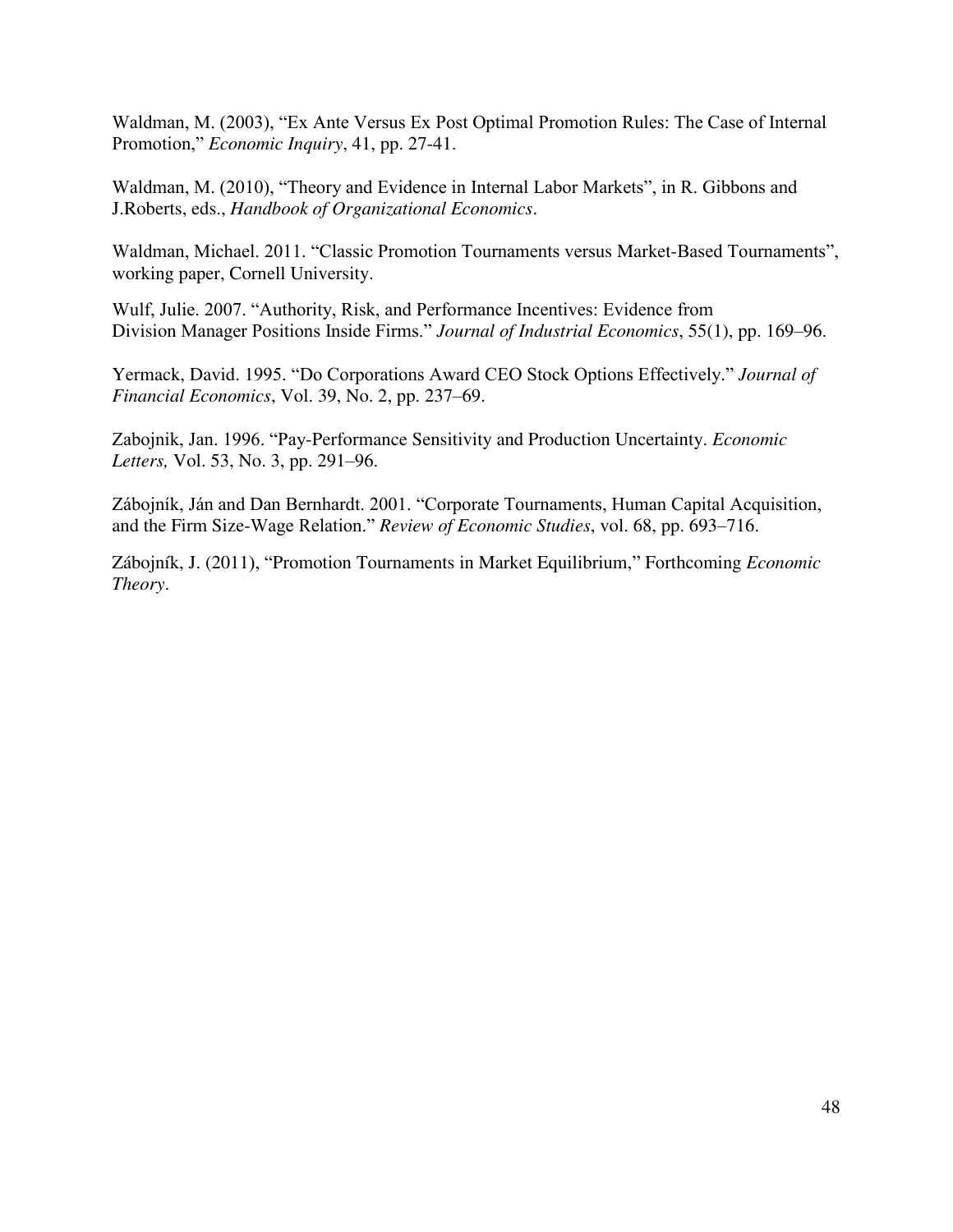Waldman, M. (2003), "Ex Ante Versus Ex Post Optimal Promotion Rules: The Case of Internal Promotion," *Economic Inquiry*, 41, pp. 27-41.

Waldman, M. (2010), "Theory and Evidence in Internal Labor Markets", in R. Gibbons and J.Roberts, eds., *Handbook of Organizational Economics*.

Waldman, Michael. 2011. "Classic Promotion Tournaments versus Market-Based Tournaments", working paper, Cornell University.

Wulf, Julie. 2007. "Authority, Risk, and Performance Incentives: Evidence from Division Manager Positions Inside Firms." *Journal of Industrial Economics*, 55(1), pp. 169–96.

Yermack, David. 1995. "Do Corporations Award CEO Stock Options Effectively." *Journal of Financial Economics*, Vol. 39, No. 2, pp. 237–69.

Zabojnik, Jan. 1996. "Pay-Performance Sensitivity and Production Uncertainty. *Economic Letters,* Vol. 53, No. 3, pp. 291–96.

Zábojník, Ján and Dan Bernhardt. 2001. "Corporate Tournaments, Human Capital Acquisition, and the Firm Size-Wage Relation." *Review of Economic Studies*, vol. 68, pp. 693–716.

Zábojník, J. (2011), "Promotion Tournaments in Market Equilibrium," Forthcoming *Economic Theory*.